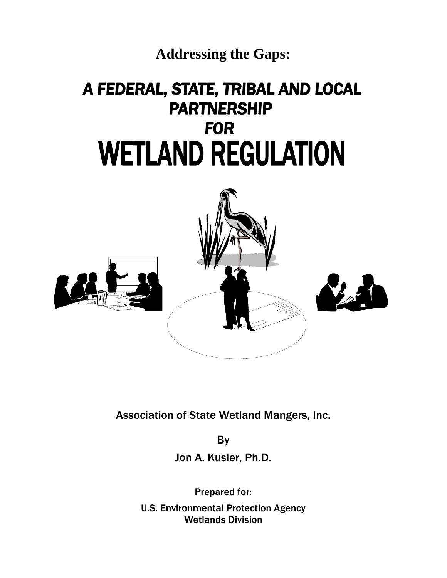

# A FEDERAL, STATE, TRIBAL AND LOCAL **PARTNERSHIP**<br>FOR **WETLAND REGULATION**



Association of State Wetland Mangers, Inc.

By Jon A. Kusler, Ph.D.

Prepared for: U.S. Environmental Protection Agency Wetlands Division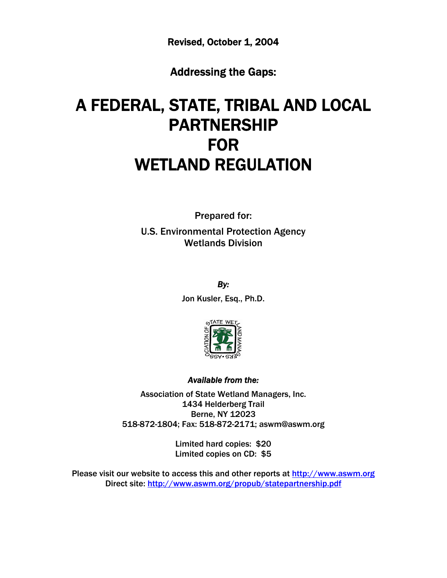Revised, October 1, 2004

Addressing the Gaps:

# A FEDERAL, STATE, TRIBAL AND LOCAL PARTNERSHIP FOR WETLAND REGULATION

Prepared for: U.S. Environmental Protection Agency Wetlands Division

*By:* 

Jon Kusler, Esq., Ph.D.



# *Available from the:*

Association of State Wetland Managers, Inc. 1434 Helderberg Trail Berne, NY 12023 518-872-1804; Fax: 518-872-2171; aswm@aswm.org

> Limited hard copies: \$20 Limited copies on CD: \$5

Please visit our website to access this and other reports at [http://www.aswm.org](http://www.aswm.org/) Direct site:<http://www.aswm.org/propub/statepartnership.pdf>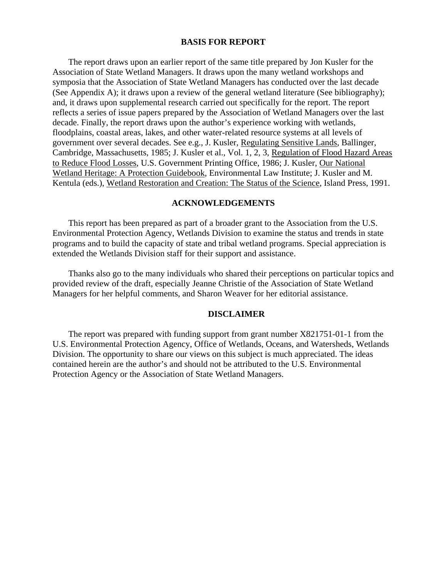#### **BASIS FOR REPORT**

The report draws upon an earlier report of the same title prepared by Jon Kusler for the Association of State Wetland Managers. It draws upon the many wetland workshops and symposia that the Association of State Wetland Managers has conducted over the last decade (See Appendix A); it draws upon a review of the general wetland literature (See bibliography); and, it draws upon supplemental research carried out specifically for the report. The report reflects a series of issue papers prepared by the Association of Wetland Managers over the last decade. Finally, the report draws upon the author's experience working with wetlands, floodplains, coastal areas, lakes, and other water-related resource systems at all levels of government over several decades. See e.g., J. Kusler, Regulating Sensitive Lands, Ballinger, Cambridge, Massachusetts, 1985; J. Kusler et al., Vol. 1, 2, 3, Regulation of Flood Hazard Areas to Reduce Flood Losses, U.S. Government Printing Office, 1986; J. Kusler, Our National Wetland Heritage: A Protection Guidebook, Environmental Law Institute; J. Kusler and M. Kentula (eds.), Wetland Restoration and Creation: The Status of the Science, Island Press, 1991.

#### **ACKNOWLEDGEMENTS**

This report has been prepared as part of a broader grant to the Association from the U.S. Environmental Protection Agency, Wetlands Division to examine the status and trends in state programs and to build the capacity of state and tribal wetland programs. Special appreciation is extended the Wetlands Division staff for their support and assistance.

Thanks also go to the many individuals who shared their perceptions on particular topics and provided review of the draft, especially Jeanne Christie of the Association of State Wetland Managers for her helpful comments, and Sharon Weaver for her editorial assistance.

#### **DISCLAIMER**

The report was prepared with funding support from grant number X821751-01-1 from the U.S. Environmental Protection Agency, Office of Wetlands, Oceans, and Watersheds, Wetlands Division. The opportunity to share our views on this subject is much appreciated. The ideas contained herein are the author's and should not be attributed to the U.S. Environmental Protection Agency or the Association of State Wetland Managers.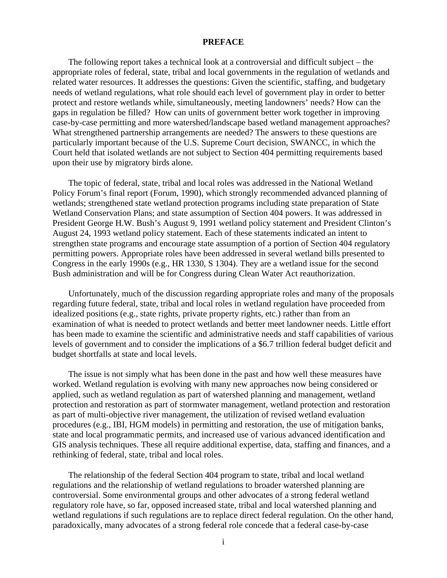#### **PREFACE**

The following report takes a technical look at a controversial and difficult subject – the appropriate roles of federal, state, tribal and local governments in the regulation of wetlands and related water resources. It addresses the questions: Given the scientific, staffing, and budgetary needs of wetland regulations, what role should each level of government play in order to better protect and restore wetlands while, simultaneously, meeting landowners' needs? How can the gaps in regulation be filled? How can units of government better work together in improving case-by-case permitting and more watershed/landscape based wetland management approaches? What strengthened partnership arrangements are needed? The answers to these questions are particularly important because of the U.S. Supreme Court decision, SWANCC, in which the Court held that isolated wetlands are not subject to Section 404 permitting requirements based upon their use by migratory birds alone.

The topic of federal, state, tribal and local roles was addressed in the National Wetland Policy Forum's final report (Forum, 1990), which strongly recommended advanced planning of wetlands; strengthened state wetland protection programs including state preparation of State Wetland Conservation Plans; and state assumption of Section 404 powers. It was addressed in President George H.W. Bush's August 9, 1991 wetland policy statement and President Clinton's August 24, 1993 wetland policy statement. Each of these statements indicated an intent to strengthen state programs and encourage state assumption of a portion of Section 404 regulatory permitting powers. Appropriate roles have been addressed in several wetland bills presented to Congress in the early 1990s (e.g., HR 1330, S 1304). They are a wetland issue for the second Bush administration and will be for Congress during Clean Water Act reauthorization.

Unfortunately, much of the discussion regarding appropriate roles and many of the proposals regarding future federal, state, tribal and local roles in wetland regulation have proceeded from idealized positions (e.g., state rights, private property rights, etc.) rather than from an examination of what is needed to protect wetlands and better meet landowner needs. Little effort has been made to examine the scientific and administrative needs and staff capabilities of various levels of government and to consider the implications of a \$6.7 trillion federal budget deficit and budget shortfalls at state and local levels.

The issue is not simply what has been done in the past and how well these measures have worked. Wetland regulation is evolving with many new approaches now being considered or applied, such as wetland regulation as part of watershed planning and management, wetland protection and restoration as part of stormwater management, wetland protection and restoration as part of multi-objective river management, the utilization of revised wetland evaluation procedures (e.g., IBI, HGM models) in permitting and restoration, the use of mitigation banks, state and local programmatic permits, and increased use of various advanced identification and GIS analysis techniques. These all require additional expertise, data, staffing and finances, and a rethinking of federal, state, tribal and local roles.

The relationship of the federal Section 404 program to state, tribal and local wetland regulations and the relationship of wetland regulations to broader watershed planning are controversial. Some environmental groups and other advocates of a strong federal wetland regulatory role have, so far, opposed increased state, tribal and local watershed planning and wetland regulations if such regulations are to replace direct federal regulation. On the other hand, paradoxically, many advocates of a strong federal role concede that a federal case-by-case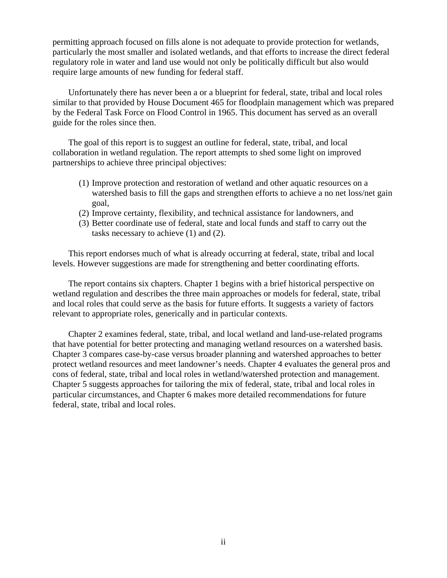permitting approach focused on fills alone is not adequate to provide protection for wetlands, particularly the most smaller and isolated wetlands, and that efforts to increase the direct federal regulatory role in water and land use would not only be politically difficult but also would require large amounts of new funding for federal staff.

Unfortunately there has never been a or a blueprint for federal, state, tribal and local roles similar to that provided by House Document 465 for floodplain management which was prepared by the Federal Task Force on Flood Control in 1965. This document has served as an overall guide for the roles since then.

The goal of this report is to suggest an outline for federal, state, tribal, and local collaboration in wetland regulation. The report attempts to shed some light on improved partnerships to achieve three principal objectives:

- (1) Improve protection and restoration of wetland and other aquatic resources on a watershed basis to fill the gaps and strengthen efforts to achieve a no net loss/net gain goal,
- (2) Improve certainty, flexibility, and technical assistance for landowners, and
- (3) Better coordinate use of federal, state and local funds and staff to carry out the tasks necessary to achieve (1) and (2).

This report endorses much of what is already occurring at federal, state, tribal and local levels. However suggestions are made for strengthening and better coordinating efforts.

The report contains six chapters. Chapter 1 begins with a brief historical perspective on wetland regulation and describes the three main approaches or models for federal, state, tribal and local roles that could serve as the basis for future efforts. It suggests a variety of factors relevant to appropriate roles, generically and in particular contexts.

Chapter 2 examines federal, state, tribal, and local wetland and land-use-related programs that have potential for better protecting and managing wetland resources on a watershed basis. Chapter 3 compares case-by-case versus broader planning and watershed approaches to better protect wetland resources and meet landowner's needs. Chapter 4 evaluates the general pros and cons of federal, state, tribal and local roles in wetland/watershed protection and management. Chapter 5 suggests approaches for tailoring the mix of federal, state, tribal and local roles in particular circumstances, and Chapter 6 makes more detailed recommendations for future federal, state, tribal and local roles.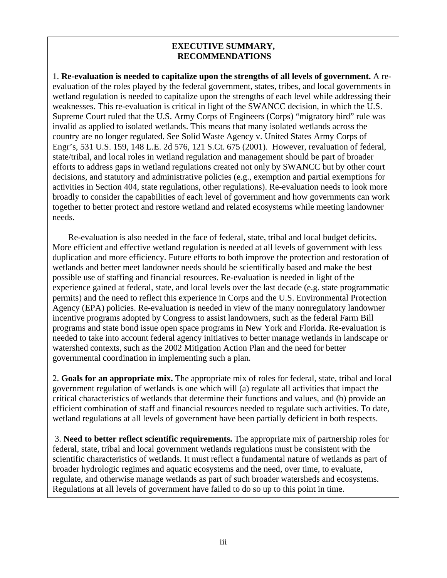# **EXECUTIVE SUMMARY, RECOMMENDATIONS**

1. **Re-evaluation is needed to capitalize upon the strengths of all levels of government.** A reevaluation of the roles played by the federal government, states, tribes, and local governments in wetland regulation is needed to capitalize upon the strengths of each level while addressing their weaknesses. This re-evaluation is critical in light of the SWANCC decision, in which the U.S. Supreme Court ruled that the U.S. Army Corps of Engineers (Corps) "migratory bird" rule was invalid as applied to isolated wetlands. This means that many isolated wetlands across the country are no longer regulated. See Solid Waste Agency v. United States Army Corps of Engr's, 531 U.S. 159, 148 L.E. 2d 576, 121 S.Ct. 675 (2001). However, revaluation of federal, state/tribal, and local roles in wetland regulation and management should be part of broader efforts to address gaps in wetland regulations created not only by SWANCC but by other court decisions, and statutory and administrative policies (e.g., exemption and partial exemptions for activities in Section 404, state regulations, other regulations). Re-evaluation needs to look more broadly to consider the capabilities of each level of government and how governments can work together to better protect and restore wetland and related ecosystems while meeting landowner needs.

Re-evaluation is also needed in the face of federal, state, tribal and local budget deficits. More efficient and effective wetland regulation is needed at all levels of government with less duplication and more efficiency. Future efforts to both improve the protection and restoration of wetlands and better meet landowner needs should be scientifically based and make the best possible use of staffing and financial resources. Re-evaluation is needed in light of the experience gained at federal, state, and local levels over the last decade (e.g. state programmatic permits) and the need to reflect this experience in Corps and the U.S. Environmental Protection Agency (EPA) policies. Re-evaluation is needed in view of the many nonregulatory landowner incentive programs adopted by Congress to assist landowners, such as the federal Farm Bill programs and state bond issue open space programs in New York and Florida. Re-evaluation is needed to take into account federal agency initiatives to better manage wetlands in landscape or watershed contexts, such as the 2002 Mitigation Action Plan and the need for better governmental coordination in implementing such a plan.

2. **Goals for an appropriate mix.** The appropriate mix of roles for federal, state, tribal and local government regulation of wetlands is one which will (a) regulate all activities that impact the critical characteristics of wetlands that determine their functions and values, and (b) provide an efficient combination of staff and financial resources needed to regulate such activities. To date, wetland regulations at all levels of government have been partially deficient in both respects.

 3. **Need to better reflect scientific requirements.** The appropriate mix of partnership roles for federal, state, tribal and local government wetlands regulations must be consistent with the scientific characteristics of wetlands. It must reflect a fundamental nature of wetlands as part of broader hydrologic regimes and aquatic ecosystems and the need, over time, to evaluate, regulate, and otherwise manage wetlands as part of such broader watersheds and ecosystems. Regulations at all levels of government have failed to do so up to this point in time.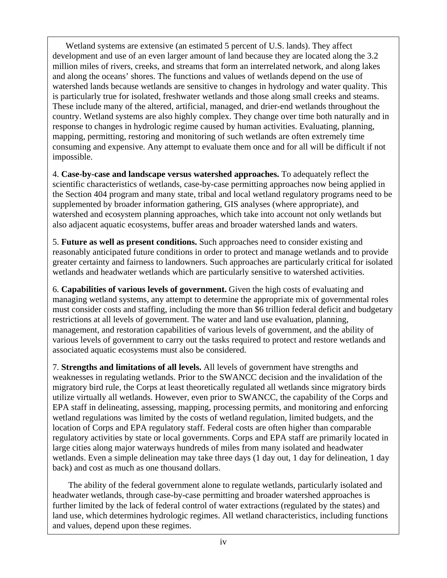Wetland systems are extensive (an estimated 5 percent of U.S. lands). They affect development and use of an even larger amount of land because they are located along the 3.2 million miles of rivers, creeks, and streams that form an interrelated network, and along lakes and along the oceans' shores. The functions and values of wetlands depend on the use of watershed lands because wetlands are sensitive to changes in hydrology and water quality. This is particularly true for isolated, freshwater wetlands and those along small creeks and steams. These include many of the altered, artificial, managed, and drier-end wetlands throughout the country. Wetland systems are also highly complex. They change over time both naturally and in response to changes in hydrologic regime caused by human activities. Evaluating, planning, mapping, permitting, restoring and monitoring of such wetlands are often extremely time consuming and expensive. Any attempt to evaluate them once and for all will be difficult if not impossible.

4. **Case-by-case and landscape versus watershed approaches.** To adequately reflect the scientific characteristics of wetlands, case-by-case permitting approaches now being applied in the Section 404 program and many state, tribal and local wetland regulatory programs need to be supplemented by broader information gathering, GIS analyses (where appropriate), and watershed and ecosystem planning approaches, which take into account not only wetlands but also adjacent aquatic ecosystems, buffer areas and broader watershed lands and waters.

5. **Future as well as present conditions.** Such approaches need to consider existing and reasonably anticipated future conditions in order to protect and manage wetlands and to provide greater certainty and fairness to landowners. Such approaches are particularly critical for isolated wetlands and headwater wetlands which are particularly sensitive to watershed activities.

6. **Capabilities of various levels of government.** Given the high costs of evaluating and managing wetland systems, any attempt to determine the appropriate mix of governmental roles must consider costs and staffing, including the more than \$6 trillion federal deficit and budgetary restrictions at all levels of government. The water and land use evaluation, planning, management, and restoration capabilities of various levels of government, and the ability of various levels of government to carry out the tasks required to protect and restore wetlands and associated aquatic ecosystems must also be considered.

7. **Strengths and limitations of all levels.** All levels of government have strengths and weaknesses in regulating wetlands. Prior to the SWANCC decision and the invalidation of the migratory bird rule, the Corps at least theoretically regulated all wetlands since migratory birds utilize virtually all wetlands. However, even prior to SWANCC, the capability of the Corps and EPA staff in delineating, assessing, mapping, processing permits, and monitoring and enforcing wetland regulations was limited by the costs of wetland regulation, limited budgets, and the location of Corps and EPA regulatory staff. Federal costs are often higher than comparable regulatory activities by state or local governments. Corps and EPA staff are primarily located in large cities along major waterways hundreds of miles from many isolated and headwater wetlands. Even a simple delineation may take three days (1 day out, 1 day for delineation, 1 day back) and cost as much as one thousand dollars.

 The ability of the federal government alone to regulate wetlands, particularly isolated and headwater wetlands, through case-by-case permitting and broader watershed approaches is further limited by the lack of federal control of water extractions (regulated by the states) and land use, which determines hydrologic regimes. All wetland characteristics, including functions and values, depend upon these regimes.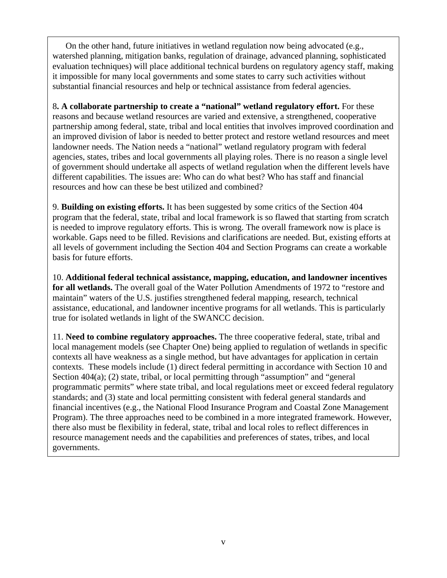On the other hand, future initiatives in wetland regulation now being advocated (e.g., watershed planning, mitigation banks, regulation of drainage, advanced planning, sophisticated evaluation techniques) will place additional technical burdens on regulatory agency staff, making it impossible for many local governments and some states to carry such activities without substantial financial resources and help or technical assistance from federal agencies.

8**. A collaborate partnership to create a "national" wetland regulatory effort.** For these reasons and because wetland resources are varied and extensive, a strengthened, cooperative partnership among federal, state, tribal and local entities that involves improved coordination and an improved division of labor is needed to better protect and restore wetland resources and meet landowner needs. The Nation needs a "national" wetland regulatory program with federal agencies, states, tribes and local governments all playing roles. There is no reason a single level of government should undertake all aspects of wetland regulation when the different levels have different capabilities. The issues are: Who can do what best? Who has staff and financial resources and how can these be best utilized and combined?

9. **Building on existing efforts.** It has been suggested by some critics of the Section 404 program that the federal, state, tribal and local framework is so flawed that starting from scratch is needed to improve regulatory efforts. This is wrong. The overall framework now is place is workable. Gaps need to be filled. Revisions and clarifications are needed. But, existing efforts at all levels of government including the Section 404 and Section Programs can create a workable basis for future efforts.

10. **Additional federal technical assistance, mapping, education, and landowner incentives for all wetlands.** The overall goal of the Water Pollution Amendments of 1972 to "restore and maintain" waters of the U.S. justifies strengthened federal mapping, research, technical assistance, educational, and landowner incentive programs for all wetlands. This is particularly true for isolated wetlands in light of the SWANCC decision.

11. **Need to combine regulatory approaches.** The three cooperative federal, state, tribal and local management models (see Chapter One) being applied to regulation of wetlands in specific contexts all have weakness as a single method, but have advantages for application in certain contexts. These models include (1) direct federal permitting in accordance with Section 10 and Section 404(a); (2) state, tribal, or local permitting through "assumption" and "general programmatic permits" where state tribal, and local regulations meet or exceed federal regulatory standards; and (3) state and local permitting consistent with federal general standards and financial incentives (e.g., the National Flood Insurance Program and Coastal Zone Management Program). The three approaches need to be combined in a more integrated framework. However, there also must be flexibility in federal, state, tribal and local roles to reflect differences in resource management needs and the capabilities and preferences of states, tribes, and local governments.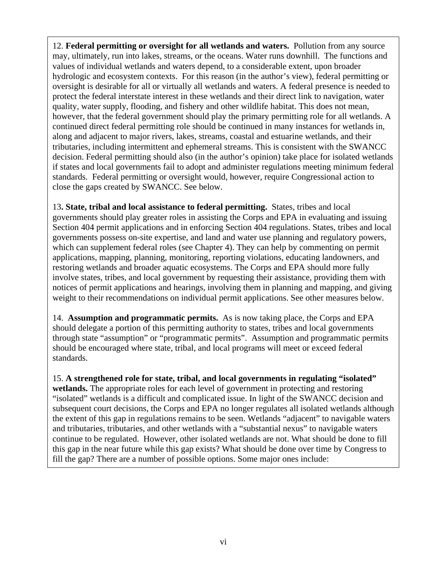12. **Federal permitting or oversight for all wetlands and waters.** Pollution from any source may, ultimately, run into lakes, streams, or the oceans. Water runs downhill. The functions and values of individual wetlands and waters depend, to a considerable extent, upon broader hydrologic and ecosystem contexts. For this reason (in the author's view), federal permitting or oversight is desirable for all or virtually all wetlands and waters. A federal presence is needed to protect the federal interstate interest in these wetlands and their direct link to navigation, water quality, water supply, flooding, and fishery and other wildlife habitat. This does not mean, however, that the federal government should play the primary permitting role for all wetlands. A continued direct federal permitting role should be continued in many instances for wetlands in, along and adjacent to major rivers, lakes, streams, coastal and estuarine wetlands, and their tributaries, including intermittent and ephemeral streams. This is consistent with the SWANCC decision. Federal permitting should also (in the author's opinion) take place for isolated wetlands if states and local governments fail to adopt and administer regulations meeting minimum federal standards. Federal permitting or oversight would, however, require Congressional action to close the gaps created by SWANCC. See below.

13**. State, tribal and local assistance to federal permitting.** States, tribes and local governments should play greater roles in assisting the Corps and EPA in evaluating and issuing Section 404 permit applications and in enforcing Section 404 regulations. States, tribes and local governments possess on-site expertise, and land and water use planning and regulatory powers, which can supplement federal roles (see Chapter 4). They can help by commenting on permit applications, mapping, planning, monitoring, reporting violations, educating landowners, and restoring wetlands and broader aquatic ecosystems. The Corps and EPA should more fully involve states, tribes, and local government by requesting their assistance, providing them with notices of permit applications and hearings, involving them in planning and mapping, and giving weight to their recommendations on individual permit applications. See other measures below.

14. **Assumption and programmatic permits.** As is now taking place, the Corps and EPA should delegate a portion of this permitting authority to states, tribes and local governments through state "assumption" or "programmatic permits". Assumption and programmatic permits should be encouraged where state, tribal, and local programs will meet or exceed federal standards.

15. **A strengthened role for state, tribal, and local governments in regulating "isolated" wetlands.** The appropriate roles for each level of government in protecting and restoring "isolated" wetlands is a difficult and complicated issue. In light of the SWANCC decision and subsequent court decisions, the Corps and EPA no longer regulates all isolated wetlands although the extent of this gap in regulations remains to be seen. Wetlands "adjacent" to navigable waters and tributaries, tributaries, and other wetlands with a "substantial nexus" to navigable waters continue to be regulated. However, other isolated wetlands are not. What should be done to fill this gap in the near future while this gap exists? What should be done over time by Congress to fill the gap? There are a number of possible options. Some major ones include: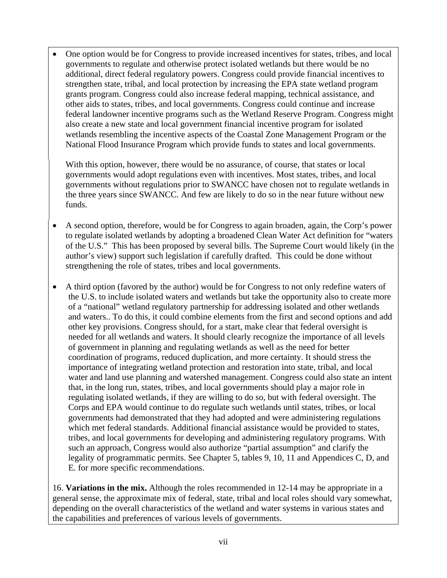• One option would be for Congress to provide increased incentives for states, tribes, and local governments to regulate and otherwise protect isolated wetlands but there would be no additional, direct federal regulatory powers. Congress could provide financial incentives to strengthen state, tribal, and local protection by increasing the EPA state wetland program grants program. Congress could also increase federal mapping, technical assistance, and other aids to states, tribes, and local governments. Congress could continue and increase federal landowner incentive programs such as the Wetland Reserve Program. Congress might also create a new state and local government financial incentive program for isolated wetlands resembling the incentive aspects of the Coastal Zone Management Program or the National Flood Insurance Program which provide funds to states and local governments.

With this option, however, there would be no assurance, of course, that states or local governments would adopt regulations even with incentives. Most states, tribes, and local governments without regulations prior to SWANCC have chosen not to regulate wetlands in the three years since SWANCC. And few are likely to do so in the near future without new funds.

- A second option, therefore, would be for Congress to again broaden, again, the Corp's power to regulate isolated wetlands by adopting a broadened Clean Water Act definition for "waters of the U.S." This has been proposed by several bills. The Supreme Court would likely (in the author's view) support such legislation if carefully drafted. This could be done without strengthening the role of states, tribes and local governments.
- A third option (favored by the author) would be for Congress to not only redefine waters of the U.S. to include isolated waters and wetlands but take the opportunity also to create more of a "national" wetland regulatory partnership for addressing isolated and other wetlands and waters.. To do this, it could combine elements from the first and second options and add other key provisions. Congress should, for a start, make clear that federal oversight is needed for all wetlands and waters. It should clearly recognize the importance of all levels of government in planning and regulating wetlands as well as the need for better coordination of programs, reduced duplication, and more certainty. It should stress the importance of integrating wetland protection and restoration into state, tribal, and local water and land use planning and watershed management. Congress could also state an intent that, in the long run, states, tribes, and local governments should play a major role in regulating isolated wetlands, if they are willing to do so, but with federal oversight. The Corps and EPA would continue to do regulate such wetlands until states, tribes, or local governments had demonstrated that they had adopted and were administering regulations which met federal standards. Additional financial assistance would be provided to states, tribes, and local governments for developing and administering regulatory programs. With such an approach, Congress would also authorize "partial assumption" and clarify the legality of programmatic permits. See Chapter 5, tables 9, 10, 11 and Appendices C, D, and E. for more specific recommendations.

16. **Variations in the mix.** Although the roles recommended in 12-14 may be appropriate in a general sense, the approximate mix of federal, state, tribal and local roles should vary somewhat, depending on the overall characteristics of the wetland and water systems in various states and the capabilities and preferences of various levels of governments.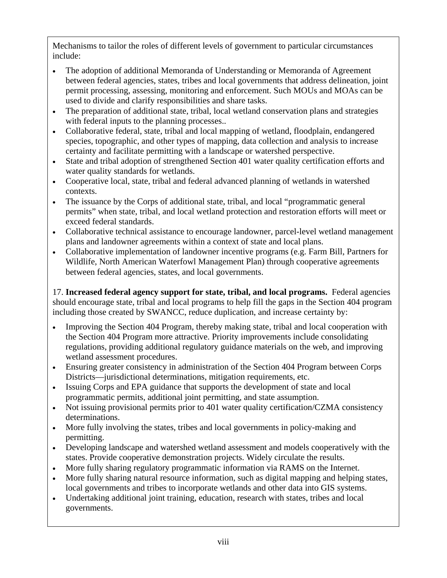Mechanisms to tailor the roles of different levels of government to particular circumstances include:

- The adoption of additional Memoranda of Understanding or Memoranda of Agreement between federal agencies, states, tribes and local governments that address delineation, joint permit processing, assessing, monitoring and enforcement. Such MOUs and MOAs can be used to divide and clarify responsibilities and share tasks.
- The preparation of additional state, tribal, local wetland conservation plans and strategies with federal inputs to the planning processes...
- Collaborative federal, state, tribal and local mapping of wetland, floodplain, endangered species, topographic, and other types of mapping, data collection and analysis to increase certainty and facilitate permitting with a landscape or watershed perspective.
- State and tribal adoption of strengthened Section 401 water quality certification efforts and water quality standards for wetlands.
- Cooperative local, state, tribal and federal advanced planning of wetlands in watershed contexts.
- The issuance by the Corps of additional state, tribal, and local "programmatic general permits" when state, tribal, and local wetland protection and restoration efforts will meet or exceed federal standards.
- Collaborative technical assistance to encourage landowner, parcel-level wetland management plans and landowner agreements within a context of state and local plans.
- Collaborative implementation of landowner incentive programs (e.g. Farm Bill, Partners for Wildlife, North American Waterfowl Management Plan) through cooperative agreements between federal agencies, states, and local governments.

17. **Increased federal agency support for state, tribal, and local programs.** Federal agencies should encourage state, tribal and local programs to help fill the gaps in the Section 404 program including those created by SWANCC, reduce duplication, and increase certainty by:

- Improving the Section 404 Program, thereby making state, tribal and local cooperation with the Section 404 Program more attractive. Priority improvements include consolidating regulations, providing additional regulatory guidance materials on the web, and improving wetland assessment procedures.
- Ensuring greater consistency in administration of the Section 404 Program between Corps Districts—jurisdictional determinations, mitigation requirements, etc.
- Issuing Corps and EPA guidance that supports the development of state and local programmatic permits, additional joint permitting, and state assumption.
- Not issuing provisional permits prior to 401 water quality certification/CZMA consistency determinations.
- More fully involving the states, tribes and local governments in policy-making and permitting.
- Developing landscape and watershed wetland assessment and models cooperatively with the states. Provide cooperative demonstration projects. Widely circulate the results.
- More fully sharing regulatory programmatic information via RAMS on the Internet.
- More fully sharing natural resource information, such as digital mapping and helping states, local governments and tribes to incorporate wetlands and other data into GIS systems.
- Undertaking additional joint training, education, research with states, tribes and local governments.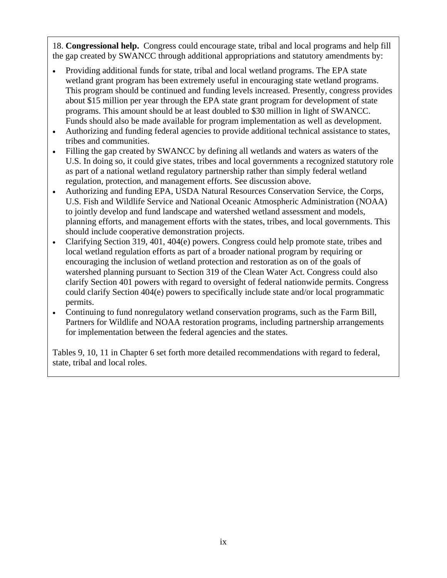18. **Congressional help.** Congress could encourage state, tribal and local programs and help fill the gap created by SWANCC through additional appropriations and statutory amendments by:

- Providing additional funds for state, tribal and local wetland programs. The EPA state wetland grant program has been extremely useful in encouraging state wetland programs. This program should be continued and funding levels increased. Presently, congress provides about \$15 million per year through the EPA state grant program for development of state programs. This amount should be at least doubled to \$30 million in light of SWANCC. Funds should also be made available for program implementation as well as development.
- Authorizing and funding federal agencies to provide additional technical assistance to states, tribes and communities.
- Filling the gap created by SWANCC by defining all wetlands and waters as waters of the U.S. In doing so, it could give states, tribes and local governments a recognized statutory role as part of a national wetland regulatory partnership rather than simply federal wetland regulation, protection, and management efforts. See discussion above.
- Authorizing and funding EPA, USDA Natural Resources Conservation Service, the Corps, U.S. Fish and Wildlife Service and National Oceanic Atmospheric Administration (NOAA) to jointly develop and fund landscape and watershed wetland assessment and models, planning efforts, and management efforts with the states, tribes, and local governments. This should include cooperative demonstration projects.
- Clarifying Section 319, 401, 404(e) powers. Congress could help promote state, tribes and local wetland regulation efforts as part of a broader national program by requiring or encouraging the inclusion of wetland protection and restoration as on of the goals of watershed planning pursuant to Section 319 of the Clean Water Act. Congress could also clarify Section 401 powers with regard to oversight of federal nationwide permits. Congress could clarify Section 404(e) powers to specifically include state and/or local programmatic permits.
- Continuing to fund nonregulatory wetland conservation programs, such as the Farm Bill, Partners for Wildlife and NOAA restoration programs, including partnership arrangements for implementation between the federal agencies and the states.

Tables 9, 10, 11 in Chapter 6 set forth more detailed recommendations with regard to federal, state, tribal and local roles.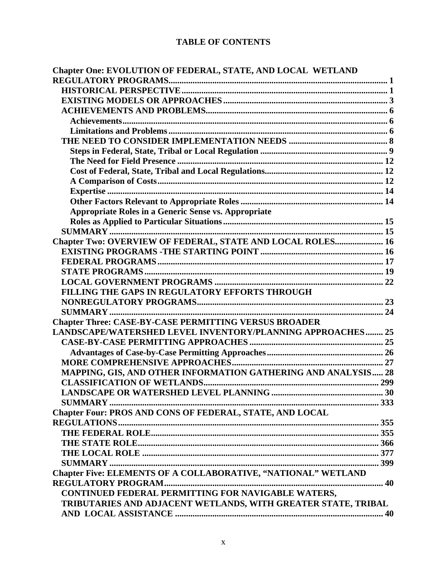# **TABLE OF CONTENTS**

| Chapter One: EVOLUTION OF FEDERAL, STATE, AND LOCAL WETLAND     |  |
|-----------------------------------------------------------------|--|
|                                                                 |  |
|                                                                 |  |
|                                                                 |  |
|                                                                 |  |
|                                                                 |  |
|                                                                 |  |
|                                                                 |  |
|                                                                 |  |
|                                                                 |  |
|                                                                 |  |
|                                                                 |  |
|                                                                 |  |
|                                                                 |  |
| <b>Appropriate Roles in a Generic Sense vs. Appropriate</b>     |  |
|                                                                 |  |
|                                                                 |  |
| Chapter Two: OVERVIEW OF FEDERAL, STATE AND LOCAL ROLES 16      |  |
|                                                                 |  |
|                                                                 |  |
|                                                                 |  |
|                                                                 |  |
| FILLING THE GAPS IN REGULATORY EFFORTS THROUGH                  |  |
|                                                                 |  |
|                                                                 |  |
| <b>Chapter Three: CASE-BY-CASE PERMITTING VERSUS BROADER</b>    |  |
| LANDSCAPE/WATERSHED LEVEL INVENTORY/PLANNING APPROACHES 25      |  |
|                                                                 |  |
|                                                                 |  |
|                                                                 |  |
| MAPPING, GIS, AND OTHER INFORMATION GATHERING AND ANALYSIS 28   |  |
|                                                                 |  |
|                                                                 |  |
|                                                                 |  |
| <b>Chapter Four: PROS AND CONS OF FEDERAL, STATE, AND LOCAL</b> |  |
|                                                                 |  |
|                                                                 |  |
|                                                                 |  |
|                                                                 |  |
|                                                                 |  |
| Chapter Five: ELEMENTS OF A COLLABORATIVE, "NATIONAL" WETLAND   |  |
|                                                                 |  |
| CONTINUED FEDERAL PERMITTING FOR NAVIGABLE WATERS,              |  |
| TRIBUTARIES AND ADJACENT WETLANDS, WITH GREATER STATE, TRIBAL   |  |
|                                                                 |  |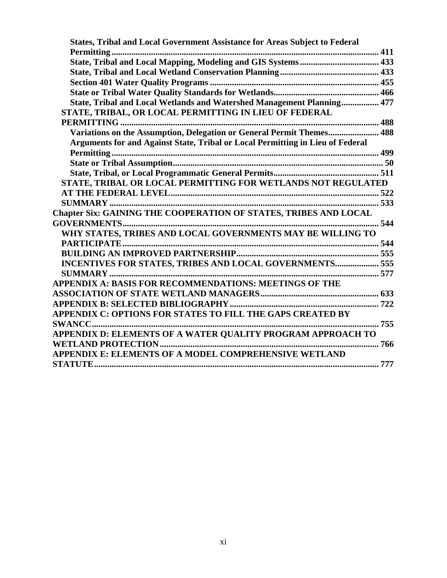| <b>States, Tribal and Local Government Assistance for Areas Subject to Federal</b> |  |
|------------------------------------------------------------------------------------|--|
|                                                                                    |  |
|                                                                                    |  |
|                                                                                    |  |
|                                                                                    |  |
|                                                                                    |  |
| State, Tribal and Local Wetlands and Watershed Management Planning 477             |  |
| STATE, TRIBAL, OR LOCAL PERMITTING IN LIEU OF FEDERAL                              |  |
|                                                                                    |  |
| Variations on the Assumption, Delegation or General Permit Themes 488              |  |
| Arguments for and Against State, Tribal or Local Permitting in Lieu of Federal     |  |
|                                                                                    |  |
|                                                                                    |  |
|                                                                                    |  |
| STATE, TRIBAL OR LOCAL PERMITTING FOR WETLANDS NOT REGULATED                       |  |
|                                                                                    |  |
|                                                                                    |  |
| <b>Chapter Six: GAINING THE COOPERATION OF STATES, TRIBES AND LOCAL</b>            |  |
|                                                                                    |  |
| WHY STATES, TRIBES AND LOCAL GOVERNMENTS MAY BE WILLING TO                         |  |
|                                                                                    |  |
|                                                                                    |  |
| INCENTIVES FOR STATES, TRIBES AND LOCAL GOVERNMENTS 555                            |  |
|                                                                                    |  |
| <b>APPENDIX A: BASIS FOR RECOMMENDATIONS: MEETINGS OF THE</b>                      |  |
|                                                                                    |  |
|                                                                                    |  |
| APPENDIX C: OPTIONS FOR STATES TO FILL THE GAPS CREATED BY                         |  |
| <b>SWANCC</b>                                                                      |  |
| APPENDIX D: ELEMENTS OF A WATER QUALITY PROGRAM APPROACH TO                        |  |
|                                                                                    |  |
| APPENDIX E: ELEMENTS OF A MODEL COMPREHENSIVE WETLAND                              |  |
|                                                                                    |  |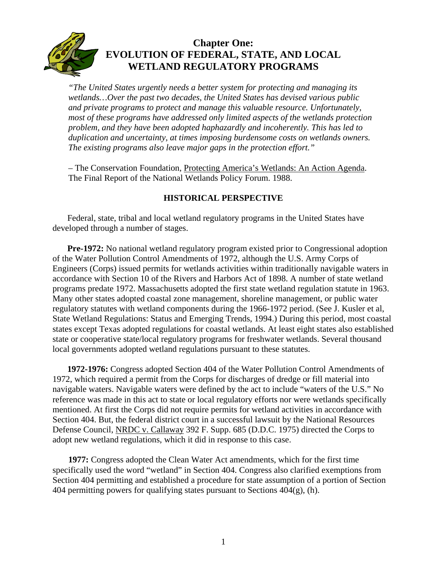<span id="page-14-0"></span>

# **Chapter One: EVOLUTION OF FEDERAL, STATE, AND LOCAL WETLAND REGULATORY PROGRAMS**

*"The United States urgently needs a better system for protecting and managing its wetlands…Over the past two decades, the United States has devised various public and private programs to protect and manage this valuable resource. Unfortunately, most of these programs have addressed only limited aspects of the wetlands protection problem, and they have been adopted haphazardly and incoherently. This has led to duplication and uncertainty, at times imposing burdensome costs on wetlands owners. The existing programs also leave major gaps in the protection effort."* 

– The Conservation Foundation, Protecting America's Wetlands: An Action Agenda. The Final Report of the National Wetlands Policy Forum. 1988.

# **HISTORICAL PERSPECTIVE**

Federal, state, tribal and local wetland regulatory programs in the United States have developed through a number of stages.

**Pre-1972:** No national wetland regulatory program existed prior to Congressional adoption of the Water Pollution Control Amendments of 1972, although the U.S. Army Corps of Engineers (Corps) issued permits for wetlands activities within traditionally navigable waters in accordance with Section 10 of the Rivers and Harbors Act of 1898. A number of state wetland programs predate 1972. Massachusetts adopted the first state wetland regulation statute in 1963. Many other states adopted coastal zone management, shoreline management, or public water regulatory statutes with wetland components during the 1966-1972 period. (See J. Kusler et al, State Wetland Regulations: Status and Emerging Trends, 1994.) During this period, most coastal states except Texas adopted regulations for coastal wetlands. At least eight states also established state or cooperative state/local regulatory programs for freshwater wetlands. Several thousand local governments adopted wetland regulations pursuant to these statutes.

**1972-1976:** Congress adopted Section 404 of the Water Pollution Control Amendments of 1972, which required a permit from the Corps for discharges of dredge or fill material into navigable waters. Navigable waters were defined by the act to include "waters of the U.S." No reference was made in this act to state or local regulatory efforts nor were wetlands specifically mentioned. At first the Corps did not require permits for wetland activities in accordance with Section 404. But, the federal district court in a successful lawsuit by the National Resources Defense Council, NRDC v. Callaway 392 F. Supp. 685 (D.D.C. 1975) directed the Corps to adopt new wetland regulations, which it did in response to this case.

**1977:** Congress adopted the Clean Water Act amendments, which for the first time specifically used the word "wetland" in Section 404. Congress also clarified exemptions from Section 404 permitting and established a procedure for state assumption of a portion of Section 404 permitting powers for qualifying states pursuant to Sections  $404(g)$ , (h).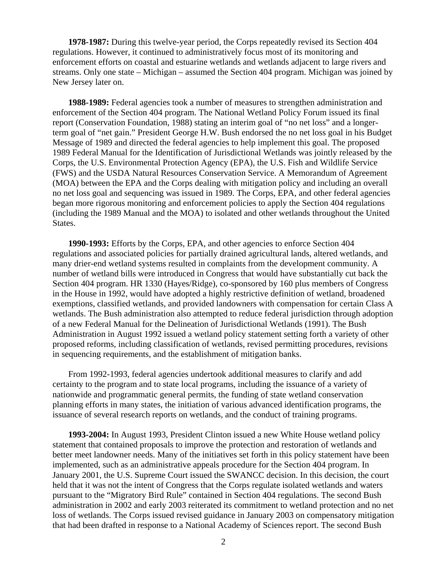**1978-1987:** During this twelve-year period, the Corps repeatedly revised its Section 404 regulations. However, it continued to administratively focus most of its monitoring and enforcement efforts on coastal and estuarine wetlands and wetlands adjacent to large rivers and streams. Only one state – Michigan – assumed the Section 404 program. Michigan was joined by New Jersey later on.

**1988-1989:** Federal agencies took a number of measures to strengthen administration and enforcement of the Section 404 program. The National Wetland Policy Forum issued its final report (Conservation Foundation, 1988) stating an interim goal of "no net loss" and a longerterm goal of "net gain." President George H.W. Bush endorsed the no net loss goal in his Budget Message of 1989 and directed the federal agencies to help implement this goal. The proposed 1989 Federal Manual for the Identification of Jurisdictional Wetlands was jointly released by the Corps, the U.S. Environmental Protection Agency (EPA), the U.S. Fish and Wildlife Service (FWS) and the USDA Natural Resources Conservation Service. A Memorandum of Agreement (MOA) between the EPA and the Corps dealing with mitigation policy and including an overall no net loss goal and sequencing was issued in 1989. The Corps, EPA, and other federal agencies began more rigorous monitoring and enforcement policies to apply the Section 404 regulations (including the 1989 Manual and the MOA) to isolated and other wetlands throughout the United States.

**1990-1993:** Efforts by the Corps, EPA, and other agencies to enforce Section 404 regulations and associated policies for partially drained agricultural lands, altered wetlands, and many drier-end wetland systems resulted in complaints from the development community. A number of wetland bills were introduced in Congress that would have substantially cut back the Section 404 program. HR 1330 (Hayes/Ridge), co-sponsored by 160 plus members of Congress in the House in 1992, would have adopted a highly restrictive definition of wetland, broadened exemptions, classified wetlands, and provided landowners with compensation for certain Class A wetlands. The Bush administration also attempted to reduce federal jurisdiction through adoption of a new Federal Manual for the Delineation of Jurisdictional Wetlands (1991). The Bush Administration in August 1992 issued a wetland policy statement setting forth a variety of other proposed reforms, including classification of wetlands, revised permitting procedures, revisions in sequencing requirements, and the establishment of mitigation banks.

From 1992-1993, federal agencies undertook additional measures to clarify and add certainty to the program and to state local programs, including the issuance of a variety of nationwide and programmatic general permits, the funding of state wetland conservation planning efforts in many states, the initiation of various advanced identification programs, the issuance of several research reports on wetlands, and the conduct of training programs.

**1993-2004:** In August 1993, President Clinton issued a new White House wetland policy statement that contained proposals to improve the protection and restoration of wetlands and better meet landowner needs. Many of the initiatives set forth in this policy statement have been implemented, such as an administrative appeals procedure for the Section 404 program. In January 2001, the U.S. Supreme Court issued the SWANCC decision. In this decision, the court held that it was not the intent of Congress that the Corps regulate isolated wetlands and waters pursuant to the "Migratory Bird Rule" contained in Section 404 regulations. The second Bush administration in 2002 and early 2003 reiterated its commitment to wetland protection and no net loss of wetlands. The Corps issued revised guidance in January 2003 on compensatory mitigation that had been drafted in response to a National Academy of Sciences report. The second Bush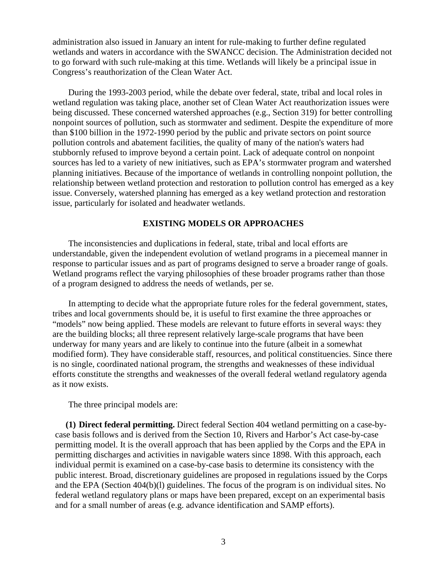<span id="page-16-0"></span>administration also issued in January an intent for rule-making to further define regulated wetlands and waters in accordance with the SWANCC decision. The Administration decided not to go forward with such rule-making at this time. Wetlands will likely be a principal issue in Congress's reauthorization of the Clean Water Act.

During the 1993-2003 period, while the debate over federal, state, tribal and local roles in wetland regulation was taking place, another set of Clean Water Act reauthorization issues were being discussed. These concerned watershed approaches (e.g., Section 319) for better controlling nonpoint sources of pollution, such as stormwater and sediment. Despite the expenditure of more than \$100 billion in the 1972-1990 period by the public and private sectors on point source pollution controls and abatement facilities, the quality of many of the nation's waters had stubbornly refused to improve beyond a certain point. Lack of adequate control on nonpoint sources has led to a variety of new initiatives, such as EPA's stormwater program and watershed planning initiatives. Because of the importance of wetlands in controlling nonpoint pollution, the relationship between wetland protection and restoration to pollution control has emerged as a key issue. Conversely, watershed planning has emerged as a key wetland protection and restoration issue, particularly for isolated and headwater wetlands.

#### **EXISTING MODELS OR APPROACHES**

The inconsistencies and duplications in federal, state, tribal and local efforts are understandable, given the independent evolution of wetland programs in a piecemeal manner in response to particular issues and as part of programs designed to serve a broader range of goals. Wetland programs reflect the varying philosophies of these broader programs rather than those of a program designed to address the needs of wetlands, per se.

In attempting to decide what the appropriate future roles for the federal government, states, tribes and local governments should be, it is useful to first examine the three approaches or "models" now being applied. These models are relevant to future efforts in several ways: they are the building blocks; all three represent relatively large-scale programs that have been underway for many years and are likely to continue into the future (albeit in a somewhat modified form). They have considerable staff, resources, and political constituencies. Since there is no single, coordinated national program, the strengths and weaknesses of these individual efforts constitute the strengths and weaknesses of the overall federal wetland regulatory agenda as it now exists.

The three principal models are:

**(1) Direct federal permitting.** Direct federal Section 404 wetland permitting on a case-bycase basis follows and is derived from the Section 10, Rivers and Harbor's Act case-by-case permitting model. It is the overall approach that has been applied by the Corps and the EPA in permitting discharges and activities in navigable waters since 1898. With this approach, each individual permit is examined on a case-by-case basis to determine its consistency with the public interest. Broad, discretionary guidelines are proposed in regulations issued by the Corps and the EPA (Section 404(b)(l) guidelines. The focus of the program is on individual sites. No federal wetland regulatory plans or maps have been prepared, except on an experimental basis and for a small number of areas (e.g. advance identification and SAMP efforts).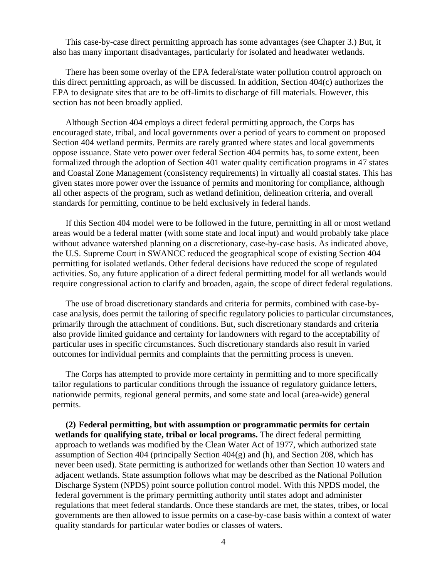This case-by-case direct permitting approach has some advantages (see Chapter 3.) But, it also has many important disadvantages, particularly for isolated and headwater wetlands.

There has been some overlay of the EPA federal/state water pollution control approach on this direct permitting approach, as will be discussed. In addition, Section 404(c) authorizes the EPA to designate sites that are to be off-limits to discharge of fill materials. However, this section has not been broadly applied.

Although Section 404 employs a direct federal permitting approach, the Corps has encouraged state, tribal, and local governments over a period of years to comment on proposed Section 404 wetland permits. Permits are rarely granted where states and local governments oppose issuance. State veto power over federal Section 404 permits has, to some extent, been formalized through the adoption of Section 401 water quality certification programs in 47 states and Coastal Zone Management (consistency requirements) in virtually all coastal states. This has given states more power over the issuance of permits and monitoring for compliance, although all other aspects of the program, such as wetland definition, delineation criteria, and overall standards for permitting, continue to be held exclusively in federal hands.

If this Section 404 model were to be followed in the future, permitting in all or most wetland areas would be a federal matter (with some state and local input) and would probably take place without advance watershed planning on a discretionary, case-by-case basis. As indicated above, the U.S. Supreme Court in SWANCC reduced the geographical scope of existing Section 404 permitting for isolated wetlands. Other federal decisions have reduced the scope of regulated activities. So, any future application of a direct federal permitting model for all wetlands would require congressional action to clarify and broaden, again, the scope of direct federal regulations.

The use of broad discretionary standards and criteria for permits, combined with case-bycase analysis, does permit the tailoring of specific regulatory policies to particular circumstances, primarily through the attachment of conditions. But, such discretionary standards and criteria also provide limited guidance and certainty for landowners with regard to the acceptability of particular uses in specific circumstances. Such discretionary standards also result in varied outcomes for individual permits and complaints that the permitting process is uneven.

The Corps has attempted to provide more certainty in permitting and to more specifically tailor regulations to particular conditions through the issuance of regulatory guidance letters, nationwide permits, regional general permits, and some state and local (area-wide) general permits.

**(2) Federal permitting, but with assumption or programmatic permits for certain wetlands for qualifying state, tribal or local programs.** The direct federal permitting approach to wetlands was modified by the Clean Water Act of 1977, which authorized state assumption of Section 404 (principally Section  $404(g)$  and (h), and Section 208, which has never been used). State permitting is authorized for wetlands other than Section 10 waters and adjacent wetlands. State assumption follows what may be described as the National Pollution Discharge System (NPDS) point source pollution control model. With this NPDS model, the federal government is the primary permitting authority until states adopt and administer regulations that meet federal standards. Once these standards are met, the states, tribes, or local governments are then allowed to issue permits on a case-by-case basis within a context of water quality standards for particular water bodies or classes of waters.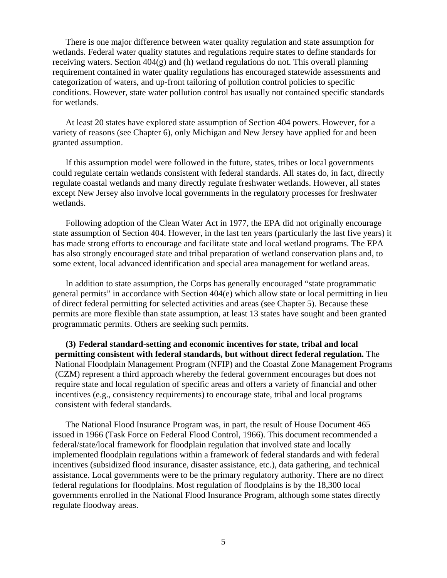There is one major difference between water quality regulation and state assumption for wetlands. Federal water quality statutes and regulations require states to define standards for receiving waters. Section 404(g) and (h) wetland regulations do not. This overall planning requirement contained in water quality regulations has encouraged statewide assessments and categorization of waters, and up-front tailoring of pollution control policies to specific conditions. However, state water pollution control has usually not contained specific standards for wetlands.

At least 20 states have explored state assumption of Section 404 powers. However, for a variety of reasons (see Chapter 6), only Michigan and New Jersey have applied for and been granted assumption.

If this assumption model were followed in the future, states, tribes or local governments could regulate certain wetlands consistent with federal standards. All states do, in fact, directly regulate coastal wetlands and many directly regulate freshwater wetlands. However, all states except New Jersey also involve local governments in the regulatory processes for freshwater wetlands.

Following adoption of the Clean Water Act in 1977, the EPA did not originally encourage state assumption of Section 404. However, in the last ten years (particularly the last five years) it has made strong efforts to encourage and facilitate state and local wetland programs. The EPA has also strongly encouraged state and tribal preparation of wetland conservation plans and, to some extent, local advanced identification and special area management for wetland areas.

In addition to state assumption, the Corps has generally encouraged "state programmatic general permits" in accordance with Section 404(e) which allow state or local permitting in lieu of direct federal permitting for selected activities and areas (see Chapter 5). Because these permits are more flexible than state assumption, at least 13 states have sought and been granted programmatic permits. Others are seeking such permits.

**(3) Federal standard-setting and economic incentives for state, tribal and local permitting consistent with federal standards, but without direct federal regulation.** The National Floodplain Management Program (NFIP) and the Coastal Zone Management Programs (CZM) represent a third approach whereby the federal government encourages but does not require state and local regulation of specific areas and offers a variety of financial and other incentives (e.g., consistency requirements) to encourage state, tribal and local programs consistent with federal standards.

The National Flood Insurance Program was, in part, the result of House Document 465 issued in 1966 (Task Force on Federal Flood Control, 1966). This document recommended a federal/state/local framework for floodplain regulation that involved state and locally implemented floodplain regulations within a framework of federal standards and with federal incentives (subsidized flood insurance, disaster assistance, etc.), data gathering, and technical assistance. Local governments were to be the primary regulatory authority. There are no direct federal regulations for floodplains. Most regulation of floodplains is by the 18,300 local governments enrolled in the National Flood Insurance Program, although some states directly regulate floodway areas.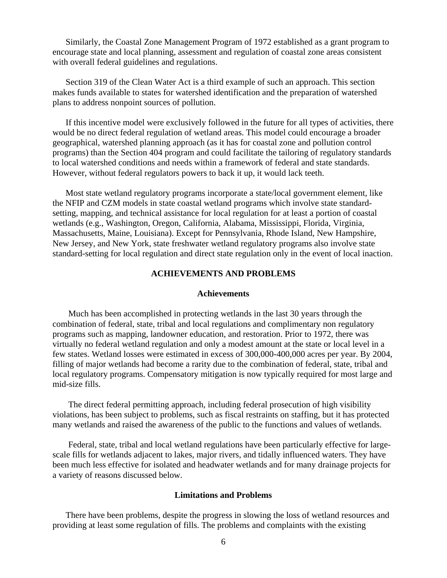<span id="page-19-0"></span>Similarly, the Coastal Zone Management Program of 1972 established as a grant program to encourage state and local planning, assessment and regulation of coastal zone areas consistent with overall federal guidelines and regulations.

Section 319 of the Clean Water Act is a third example of such an approach. This section makes funds available to states for watershed identification and the preparation of watershed plans to address nonpoint sources of pollution.

If this incentive model were exclusively followed in the future for all types of activities, there would be no direct federal regulation of wetland areas. This model could encourage a broader geographical, watershed planning approach (as it has for coastal zone and pollution control programs) than the Section 404 program and could facilitate the tailoring of regulatory standards to local watershed conditions and needs within a framework of federal and state standards. However, without federal regulators powers to back it up, it would lack teeth.

Most state wetland regulatory programs incorporate a state/local government element, like the NFIP and CZM models in state coastal wetland programs which involve state standardsetting, mapping, and technical assistance for local regulation for at least a portion of coastal wetlands (e.g., Washington, Oregon, California, Alabama, Mississippi, Florida, Virginia, Massachusetts, Maine, Louisiana). Except for Pennsylvania, Rhode Island, New Hampshire, New Jersey, and New York, state freshwater wetland regulatory programs also involve state standard-setting for local regulation and direct state regulation only in the event of local inaction.

#### **ACHIEVEMENTS AND PROBLEMS**

#### **Achievements**

Much has been accomplished in protecting wetlands in the last 30 years through the combination of federal, state, tribal and local regulations and complimentary non regulatory programs such as mapping, landowner education, and restoration. Prior to 1972, there was virtually no federal wetland regulation and only a modest amount at the state or local level in a few states. Wetland losses were estimated in excess of 300,000-400,000 acres per year. By 2004, filling of major wetlands had become a rarity due to the combination of federal, state, tribal and local regulatory programs. Compensatory mitigation is now typically required for most large and mid-size fills.

The direct federal permitting approach, including federal prosecution of high visibility violations, has been subject to problems, such as fiscal restraints on staffing, but it has protected many wetlands and raised the awareness of the public to the functions and values of wetlands.

Federal, state, tribal and local wetland regulations have been particularly effective for largescale fills for wetlands adjacent to lakes, major rivers, and tidally influenced waters. They have been much less effective for isolated and headwater wetlands and for many drainage projects for a variety of reasons discussed below.

#### **Limitations and Problems**

There have been problems, despite the progress in slowing the loss of wetland resources and providing at least some regulation of fills. The problems and complaints with the existing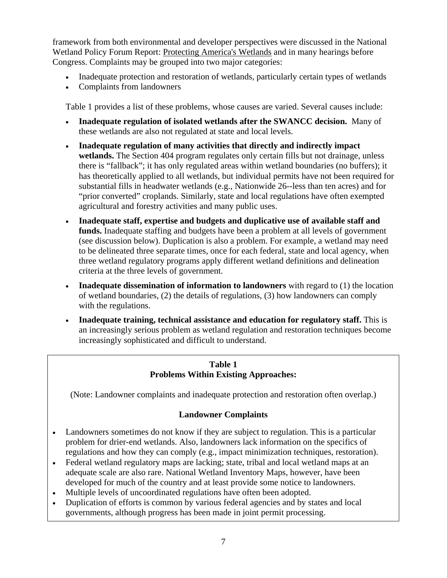framework from both environmental and developer perspectives were discussed in the National Wetland Policy Forum Report: Protecting America's Wetlands and in many hearings before Congress. Complaints may be grouped into two major categories:

- Inadequate protection and restoration of wetlands, particularly certain types of wetlands
- Complaints from landowners

Table 1 provides a list of these problems, whose causes are varied. Several causes include:

- **Inadequate regulation of isolated wetlands after the SWANCC decision.** Many of these wetlands are also not regulated at state and local levels.
- **Inadequate regulation of many activities that directly and indirectly impact wetlands.** The Section 404 program regulates only certain fills but not drainage, unless there is "fallback"; it has only regulated areas within wetland boundaries (no buffers); it has theoretically applied to all wetlands, but individual permits have not been required for substantial fills in headwater wetlands (e.g., Nationwide 26--less than ten acres) and for "prior converted" croplands. Similarly, state and local regulations have often exempted agricultural and forestry activities and many public uses.
- **Inadequate staff, expertise and budgets and duplicative use of available staff and funds.** Inadequate staffing and budgets have been a problem at all levels of government (see discussion below). Duplication is also a problem. For example, a wetland may need to be delineated three separate times, once for each federal, state and local agency, when three wetland regulatory programs apply different wetland definitions and delineation criteria at the three levels of government.
- **Inadequate dissemination of information to landowners** with regard to (1) the location of wetland boundaries, (2) the details of regulations, (3) how landowners can comply with the regulations.
- **Inadequate training, technical assistance and education for regulatory staff.** This is an increasingly serious problem as wetland regulation and restoration techniques become increasingly sophisticated and difficult to understand.

# **Table 1 Problems Within Existing Approaches:**

(Note: Landowner complaints and inadequate protection and restoration often overlap.)

# **Landowner Complaints**

- Landowners sometimes do not know if they are subject to regulation. This is a particular problem for drier-end wetlands. Also, landowners lack information on the specifics of regulations and how they can comply (e.g., impact minimization techniques, restoration).
- Federal wetland regulatory maps are lacking; state, tribal and local wetland maps at an adequate scale are also rare. National Wetland Inventory Maps, however, have been developed for much of the country and at least provide some notice to landowners.
- Multiple levels of uncoordinated regulations have often been adopted.
- Duplication of efforts is common by various federal agencies and by states and local governments, although progress has been made in joint permit processing.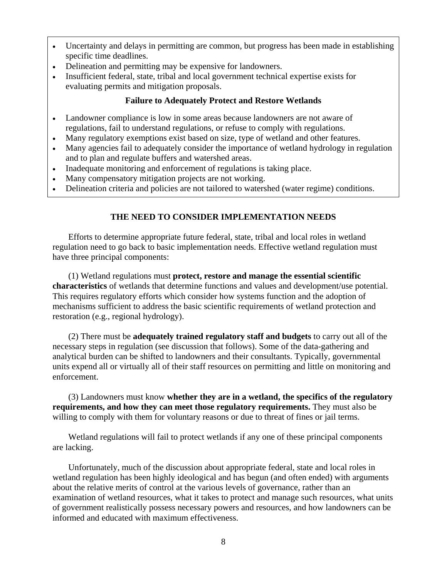- <span id="page-21-0"></span>Uncertainty and delays in permitting are common, but progress has been made in establishing specific time deadlines.
- Delineation and permitting may be expensive for landowners.
- Insufficient federal, state, tribal and local government technical expertise exists for evaluating permits and mitigation proposals.

# **Failure to Adequately Protect and Restore Wetlands**

- Landowner compliance is low in some areas because landowners are not aware of regulations, fail to understand regulations, or refuse to comply with regulations.
- Many regulatory exemptions exist based on size, type of wetland and other features.
- Many agencies fail to adequately consider the importance of wetland hydrology in regulation and to plan and regulate buffers and watershed areas.
- Inadequate monitoring and enforcement of regulations is taking place.
- Many compensatory mitigation projects are not working.
- Delineation criteria and policies are not tailored to watershed (water regime) conditions.

# **THE NEED TO CONSIDER IMPLEMENTATION NEEDS**

Efforts to determine appropriate future federal, state, tribal and local roles in wetland regulation need to go back to basic implementation needs. Effective wetland regulation must have three principal components:

(1) Wetland regulations must **protect, restore and manage the essential scientific characteristics** of wetlands that determine functions and values and development/use potential. This requires regulatory efforts which consider how systems function and the adoption of mechanisms sufficient to address the basic scientific requirements of wetland protection and restoration (e.g., regional hydrology).

(2) There must be **adequately trained regulatory staff and budgets** to carry out all of the necessary steps in regulation (see discussion that follows). Some of the data-gathering and analytical burden can be shifted to landowners and their consultants. Typically, governmental units expend all or virtually all of their staff resources on permitting and little on monitoring and enforcement.

(3) Landowners must know **whether they are in a wetland, the specifics of the regulatory requirements, and how they can meet those regulatory requirements.** They must also be willing to comply with them for voluntary reasons or due to threat of fines or jail terms.

Wetland regulations will fail to protect wetlands if any one of these principal components are lacking.

Unfortunately, much of the discussion about appropriate federal, state and local roles in wetland regulation has been highly ideological and has begun (and often ended) with arguments about the relative merits of control at the various levels of governance, rather than an examination of wetland resources, what it takes to protect and manage such resources, what units of government realistically possess necessary powers and resources, and how landowners can be informed and educated with maximum effectiveness.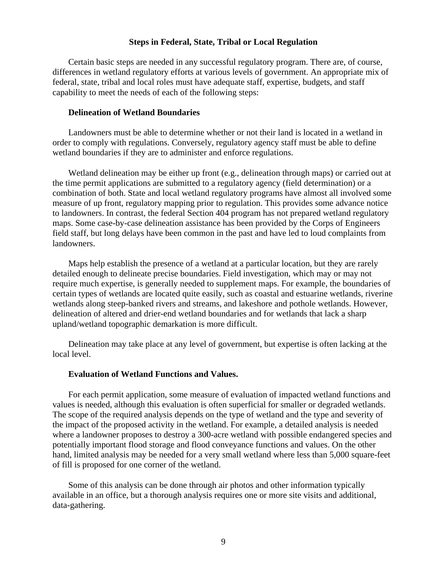#### **Steps in Federal, State, Tribal or Local Regulation**

<span id="page-22-0"></span>Certain basic steps are needed in any successful regulatory program. There are, of course, differences in wetland regulatory efforts at various levels of government. An appropriate mix of federal, state, tribal and local roles must have adequate staff, expertise, budgets, and staff capability to meet the needs of each of the following steps:

# **Delineation of Wetland Boundaries**

Landowners must be able to determine whether or not their land is located in a wetland in order to comply with regulations. Conversely, regulatory agency staff must be able to define wetland boundaries if they are to administer and enforce regulations.

Wetland delineation may be either up front (e.g., delineation through maps) or carried out at the time permit applications are submitted to a regulatory agency (field determination) or a combination of both. State and local wetland regulatory programs have almost all involved some measure of up front, regulatory mapping prior to regulation. This provides some advance notice to landowners. In contrast, the federal Section 404 program has not prepared wetland regulatory maps. Some case-by-case delineation assistance has been provided by the Corps of Engineers field staff, but long delays have been common in the past and have led to loud complaints from landowners.

Maps help establish the presence of a wetland at a particular location, but they are rarely detailed enough to delineate precise boundaries. Field investigation, which may or may not require much expertise, is generally needed to supplement maps. For example, the boundaries of certain types of wetlands are located quite easily, such as coastal and estuarine wetlands, riverine wetlands along steep-banked rivers and streams, and lakeshore and pothole wetlands. However, delineation of altered and drier-end wetland boundaries and for wetlands that lack a sharp upland/wetland topographic demarkation is more difficult.

Delineation may take place at any level of government, but expertise is often lacking at the local level.

#### **Evaluation of Wetland Functions and Values.**

For each permit application, some measure of evaluation of impacted wetland functions and values is needed, although this evaluation is often superficial for smaller or degraded wetlands. The scope of the required analysis depends on the type of wetland and the type and severity of the impact of the proposed activity in the wetland. For example, a detailed analysis is needed where a landowner proposes to destroy a 300-acre wetland with possible endangered species and potentially important flood storage and flood conveyance functions and values. On the other hand, limited analysis may be needed for a very small wetland where less than 5,000 square-feet of fill is proposed for one corner of the wetland.

Some of this analysis can be done through air photos and other information typically available in an office, but a thorough analysis requires one or more site visits and additional, data-gathering.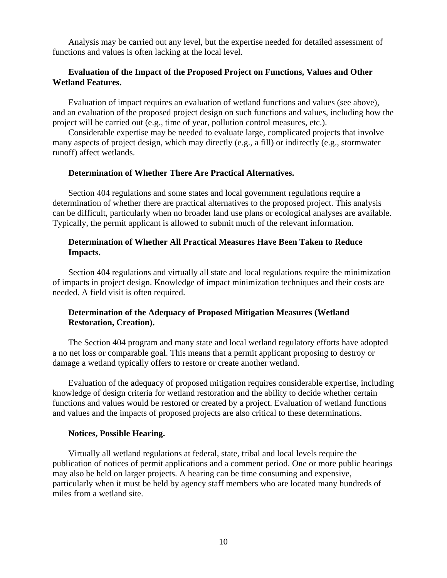Analysis may be carried out any level, but the expertise needed for detailed assessment of functions and values is often lacking at the local level.

# **Evaluation of the Impact of the Proposed Project on Functions, Values and Other Wetland Features.**

Evaluation of impact requires an evaluation of wetland functions and values (see above), and an evaluation of the proposed project design on such functions and values, including how the project will be carried out (e.g., time of year, pollution control measures, etc.).

Considerable expertise may be needed to evaluate large, complicated projects that involve many aspects of project design, which may directly (e.g., a fill) or indirectly (e.g., stormwater runoff) affect wetlands.

# **Determination of Whether There Are Practical Alternatives.**

Section 404 regulations and some states and local government regulations require a determination of whether there are practical alternatives to the proposed project. This analysis can be difficult, particularly when no broader land use plans or ecological analyses are available. Typically, the permit applicant is allowed to submit much of the relevant information.

# **Determination of Whether All Practical Measures Have Been Taken to Reduce Impacts.**

Section 404 regulations and virtually all state and local regulations require the minimization of impacts in project design. Knowledge of impact minimization techniques and their costs are needed. A field visit is often required.

# **Determination of the Adequacy of Proposed Mitigation Measures (Wetland Restoration, Creation).**

The Section 404 program and many state and local wetland regulatory efforts have adopted a no net loss or comparable goal. This means that a permit applicant proposing to destroy or damage a wetland typically offers to restore or create another wetland.

Evaluation of the adequacy of proposed mitigation requires considerable expertise, including knowledge of design criteria for wetland restoration and the ability to decide whether certain functions and values would be restored or created by a project. Evaluation of wetland functions and values and the impacts of proposed projects are also critical to these determinations.

#### **Notices, Possible Hearing.**

Virtually all wetland regulations at federal, state, tribal and local levels require the publication of notices of permit applications and a comment period. One or more public hearings may also be held on larger projects. A hearing can be time consuming and expensive, particularly when it must be held by agency staff members who are located many hundreds of miles from a wetland site.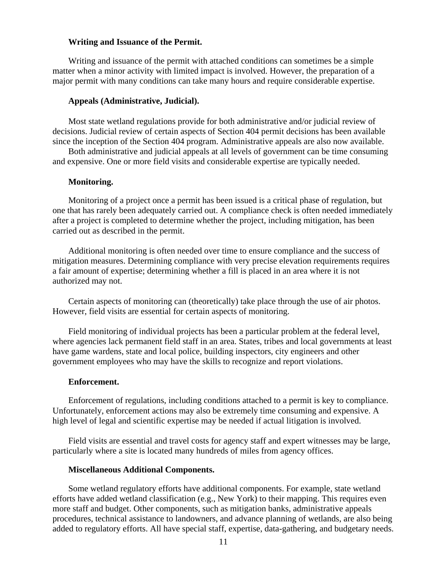#### **Writing and Issuance of the Permit.**

Writing and issuance of the permit with attached conditions can sometimes be a simple matter when a minor activity with limited impact is involved. However, the preparation of a major permit with many conditions can take many hours and require considerable expertise.

#### **Appeals (Administrative, Judicial).**

Most state wetland regulations provide for both administrative and/or judicial review of decisions. Judicial review of certain aspects of Section 404 permit decisions has been available since the inception of the Section 404 program. Administrative appeals are also now available.

Both administrative and judicial appeals at all levels of government can be time consuming and expensive. One or more field visits and considerable expertise are typically needed.

#### **Monitoring.**

Monitoring of a project once a permit has been issued is a critical phase of regulation, but one that has rarely been adequately carried out. A compliance check is often needed immediately after a project is completed to determine whether the project, including mitigation, has been carried out as described in the permit.

Additional monitoring is often needed over time to ensure compliance and the success of mitigation measures. Determining compliance with very precise elevation requirements requires a fair amount of expertise; determining whether a fill is placed in an area where it is not authorized may not.

Certain aspects of monitoring can (theoretically) take place through the use of air photos. However, field visits are essential for certain aspects of monitoring.

Field monitoring of individual projects has been a particular problem at the federal level, where agencies lack permanent field staff in an area. States, tribes and local governments at least have game wardens, state and local police, building inspectors, city engineers and other government employees who may have the skills to recognize and report violations.

#### **Enforcement.**

Enforcement of regulations, including conditions attached to a permit is key to compliance. Unfortunately, enforcement actions may also be extremely time consuming and expensive. A high level of legal and scientific expertise may be needed if actual litigation is involved.

Field visits are essential and travel costs for agency staff and expert witnesses may be large, particularly where a site is located many hundreds of miles from agency offices.

#### **Miscellaneous Additional Components.**

Some wetland regulatory efforts have additional components. For example, state wetland efforts have added wetland classification (e.g., New York) to their mapping. This requires even more staff and budget. Other components, such as mitigation banks, administrative appeals procedures, technical assistance to landowners, and advance planning of wetlands, are also being added to regulatory efforts. All have special staff, expertise, data-gathering, and budgetary needs.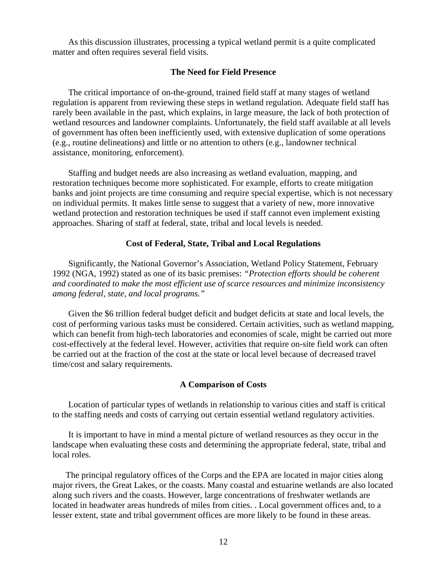<span id="page-25-0"></span>As this discussion illustrates, processing a typical wetland permit is a quite complicated matter and often requires several field visits.

# **The Need for Field Presence**

The critical importance of on-the-ground, trained field staff at many stages of wetland regulation is apparent from reviewing these steps in wetland regulation. Adequate field staff has rarely been available in the past, which explains, in large measure, the lack of both protection of wetland resources and landowner complaints. Unfortunately, the field staff available at all levels of government has often been inefficiently used, with extensive duplication of some operations (e.g., routine delineations) and little or no attention to others (e.g., landowner technical assistance, monitoring, enforcement).

Staffing and budget needs are also increasing as wetland evaluation, mapping, and restoration techniques become more sophisticated. For example, efforts to create mitigation banks and joint projects are time consuming and require special expertise, which is not necessary on individual permits. It makes little sense to suggest that a variety of new, more innovative wetland protection and restoration techniques be used if staff cannot even implement existing approaches. Sharing of staff at federal, state, tribal and local levels is needed.

#### **Cost of Federal, State, Tribal and Local Regulations**

Significantly, the National Governor's Association, Wetland Policy Statement, February 1992 (NGA, 1992) stated as one of its basic premises: *"Protection efforts should be coherent and coordinated to make the most efficient use of scarce resources and minimize inconsistency among federal, state, and local programs."* 

Given the \$6 trillion federal budget deficit and budget deficits at state and local levels, the cost of performing various tasks must be considered. Certain activities, such as wetland mapping, which can benefit from high-tech laboratories and economies of scale, might be carried out more cost-effectively at the federal level. However, activities that require on-site field work can often be carried out at the fraction of the cost at the state or local level because of decreased travel time/cost and salary requirements.

#### **A Comparison of Costs**

Location of particular types of wetlands in relationship to various cities and staff is critical to the staffing needs and costs of carrying out certain essential wetland regulatory activities.

It is important to have in mind a mental picture of wetland resources as they occur in the landscape when evaluating these costs and determining the appropriate federal, state, tribal and local roles.

The principal regulatory offices of the Corps and the EPA are located in major cities along major rivers, the Great Lakes, or the coasts. Many coastal and estuarine wetlands are also located along such rivers and the coasts. However, large concentrations of freshwater wetlands are located in headwater areas hundreds of miles from cities. . Local government offices and, to a lesser extent, state and tribal government offices are more likely to be found in these areas.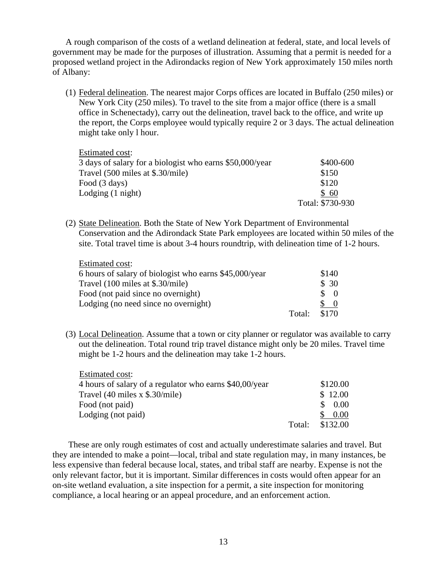A rough comparison of the costs of a wetland delineation at federal, state, and local levels of government may be made for the purposes of illustration. Assuming that a permit is needed for a proposed wetland project in the Adirondacks region of New York approximately 150 miles north of Albany:

(1) Federal delineation. The nearest major Corps offices are located in Buffalo (250 miles) or New York City (250 miles). To travel to the site from a major office (there is a small office in Schenectady), carry out the delineation, travel back to the office, and write up the report, the Corps employee would typically require 2 or 3 days. The actual delineation might take only l hour.

| Estimated cost:                                          |                  |
|----------------------------------------------------------|------------------|
| 3 days of salary for a biologist who earns \$50,000/year | \$400-600        |
| Travel (500 miles at \$.30/mile)                         | \$150            |
| Food (3 days)                                            | \$120            |
| Lodging $(1 \text{ night})$                              | \$60             |
|                                                          | Total: \$730-930 |

(2) State Delineation. Both the State of New York Department of Environmental Conservation and the Adirondack State Park employees are located within 50 miles of the site. Total travel time is about 3-4 hours roundtrip, with delineation time of 1-2 hours.

| Estimated cost:                                        |        |               |
|--------------------------------------------------------|--------|---------------|
| 6 hours of salary of biologist who earns \$45,000/year |        | \$140         |
| Travel (100 miles at \$.30/mile)                       |        | \$30          |
| Food (not paid since no overnight)                     |        | $\mathcal{S}$ |
| Lodging (no need since no overnight)                   |        |               |
|                                                        | Total: | \$170         |

(3) Local Delineation. Assume that a town or city planner or regulator was available to carry out the delineation. Total round trip travel distance might only be 20 miles. Travel time might be 1-2 hours and the delineation may take 1-2 hours.

| <b>Estimated cost:</b>                                  |        |          |
|---------------------------------------------------------|--------|----------|
| 4 hours of salary of a regulator who earns \$40,00/year |        | \$120.00 |
| Travel $(40 \text{ miles x } $.30/\text{mile})$         |        | \$12.00  |
| Food (not paid)                                         |        | 0.00     |
| Lodging (not paid)                                      |        | 0.00     |
|                                                         | Total: | \$132.00 |

These are only rough estimates of cost and actually underestimate salaries and travel. But they are intended to make a point—local, tribal and state regulation may, in many instances, be less expensive than federal because local, states, and tribal staff are nearby. Expense is not the only relevant factor, but it is important. Similar differences in costs would often appear for an on-site wetland evaluation, a site inspection for a permit, a site inspection for monitoring compliance, a local hearing or an appeal procedure, and an enforcement action.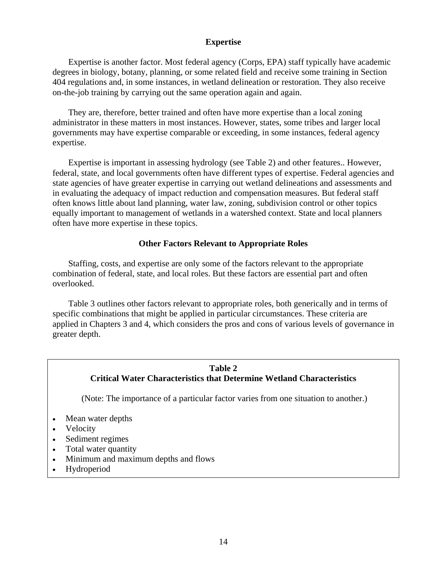# **Expertise**

<span id="page-27-0"></span>Expertise is another factor. Most federal agency (Corps, EPA) staff typically have academic degrees in biology, botany, planning, or some related field and receive some training in Section 404 regulations and, in some instances, in wetland delineation or restoration. They also receive on-the-job training by carrying out the same operation again and again.

They are, therefore, better trained and often have more expertise than a local zoning administrator in these matters in most instances. However, states, some tribes and larger local governments may have expertise comparable or exceeding, in some instances, federal agency expertise.

Expertise is important in assessing hydrology (see Table 2) and other features.. However, federal, state, and local governments often have different types of expertise. Federal agencies and state agencies of have greater expertise in carrying out wetland delineations and assessments and in evaluating the adequacy of impact reduction and compensation measures. But federal staff often knows little about land planning, water law, zoning, subdivision control or other topics equally important to management of wetlands in a watershed context. State and local planners often have more expertise in these topics.

# **Other Factors Relevant to Appropriate Roles**

Staffing, costs, and expertise are only some of the factors relevant to the appropriate combination of federal, state, and local roles. But these factors are essential part and often overlooked.

Table 3 outlines other factors relevant to appropriate roles, both generically and in terms of specific combinations that might be applied in particular circumstances. These criteria are applied in Chapters 3 and 4, which considers the pros and cons of various levels of governance in greater depth.

# **Table 2 Critical Water Characteristics that Determine Wetland Characteristics**

(Note: The importance of a particular factor varies from one situation to another.)

- Mean water depths
- **Velocity**
- Sediment regimes
- Total water quantity
- Minimum and maximum depths and flows
- Hydroperiod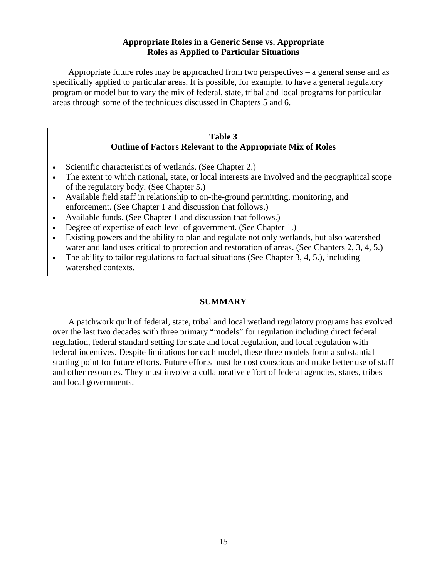# **Appropriate Roles in a Generic Sense vs. Appropriate Roles as Applied to Particular Situations**

<span id="page-28-0"></span>Appropriate future roles may be approached from two perspectives – a general sense and as specifically applied to particular areas. It is possible, for example, to have a general regulatory program or model but to vary the mix of federal, state, tribal and local programs for particular areas through some of the techniques discussed in Chapters 5 and 6.

# **Table 3 Outline of Factors Relevant to the Appropriate Mix of Roles**

- Scientific characteristics of wetlands. (See Chapter 2.)
- The extent to which national, state, or local interests are involved and the geographical scope of the regulatory body. (See Chapter 5.)
- Available field staff in relationship to on-the-ground permitting, monitoring, and enforcement. (See Chapter 1 and discussion that follows.)
- Available funds. (See Chapter 1 and discussion that follows.)
- Degree of expertise of each level of government. (See Chapter 1.)
- Existing powers and the ability to plan and regulate not only wetlands, but also watershed water and land uses critical to protection and restoration of areas. (See Chapters 2, 3, 4, 5.)
- The ability to tailor regulations to factual situations (See Chapter 3, 4, 5.), including watershed contexts.

# **SUMMARY**

A patchwork quilt of federal, state, tribal and local wetland regulatory programs has evolved over the last two decades with three primary "models" for regulation including direct federal regulation, federal standard setting for state and local regulation, and local regulation with federal incentives. Despite limitations for each model, these three models form a substantial starting point for future efforts. Future efforts must be cost conscious and make better use of staff and other resources. They must involve a collaborative effort of federal agencies, states, tribes and local governments.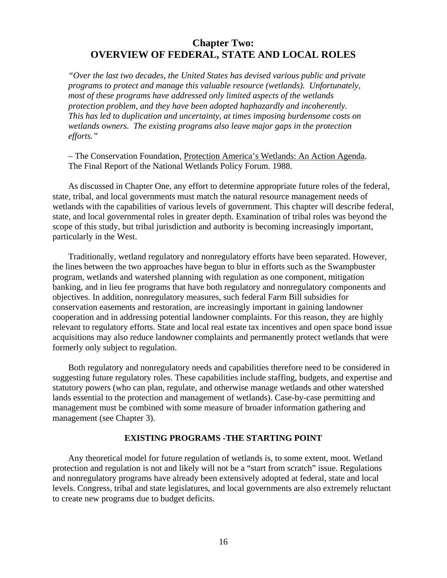# <span id="page-29-0"></span>**Chapter Two: OVERVIEW OF FEDERAL, STATE AND LOCAL ROLES**

*"Over the last two decades, the United States has devised various public and private programs to protect and manage this valuable resource (wetlands). Unfortunately, most of these programs have addressed only limited aspects of the wetlands protection problem, and they have been adopted haphazardly and incoherently. This has led to duplication and uncertainty, at times imposing burdensome costs on wetlands owners. The existing programs also leave major gaps in the protection efforts."* 

– The Conservation Foundation, Protection America's Wetlands: An Action Agenda. The Final Report of the National Wetlands Policy Forum. 1988.

As discussed in Chapter One, any effort to determine appropriate future roles of the federal, state, tribal, and local governments must match the natural resource management needs of wetlands with the capabilities of various levels of government. This chapter will describe federal, state, and local governmental roles in greater depth. Examination of tribal roles was beyond the scope of this study, but tribal jurisdiction and authority is becoming increasingly important, particularly in the West.

Traditionally, wetland regulatory and nonregulatory efforts have been separated. However, the lines between the two approaches have begun to blur in efforts such as the Swampbuster program, wetlands and watershed planning with regulation as one component, mitigation banking, and in lieu fee programs that have both regulatory and nonregulatory components and objectives. In addition, nonregulatory measures, such federal Farm Bill subsidies for conservation easements and restoration, are increasingly important in gaining landowner cooperation and in addressing potential landowner complaints. For this reason, they are highly relevant to regulatory efforts. State and local real estate tax incentives and open space bond issue acquisitions may also reduce landowner complaints and permanently protect wetlands that were formerly only subject to regulation.

Both regulatory and nonregulatory needs and capabilities therefore need to be considered in suggesting future regulatory roles. These capabilities include staffing, budgets, and expertise and statutory powers (who can plan, regulate, and otherwise manage wetlands and other watershed lands essential to the protection and management of wetlands). Case-by-case permitting and management must be combined with some measure of broader information gathering and management (see Chapter 3).

#### **EXISTING PROGRAMS -THE STARTING POINT**

Any theoretical model for future regulation of wetlands is, to some extent, moot. Wetland protection and regulation is not and likely will not be a "start from scratch" issue. Regulations and nonregulatory programs have already been extensively adopted at federal, state and local levels. Congress, tribal and state legislatures, and local governments are also extremely reluctant to create new programs due to budget deficits.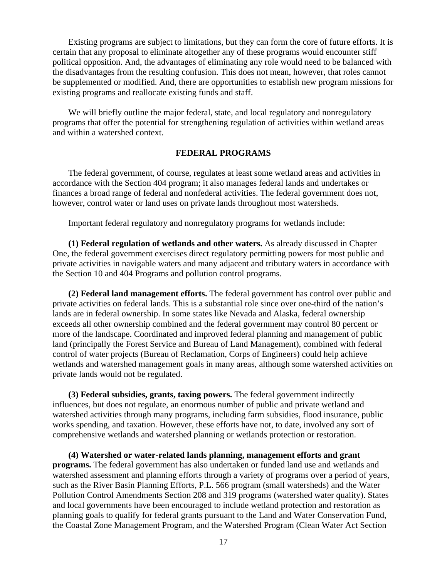<span id="page-30-0"></span>Existing programs are subject to limitations, but they can form the core of future efforts. It is certain that any proposal to eliminate altogether any of these programs would encounter stiff political opposition. And, the advantages of eliminating any role would need to be balanced with the disadvantages from the resulting confusion. This does not mean, however, that roles cannot be supplemented or modified. And, there are opportunities to establish new program missions for existing programs and reallocate existing funds and staff.

We will briefly outline the major federal, state, and local regulatory and nonregulatory programs that offer the potential for strengthening regulation of activities within wetland areas and within a watershed context.

#### **FEDERAL PROGRAMS**

The federal government, of course, regulates at least some wetland areas and activities in accordance with the Section 404 program; it also manages federal lands and undertakes or finances a broad range of federal and nonfederal activities. The federal government does not, however, control water or land uses on private lands throughout most watersheds.

Important federal regulatory and nonregulatory programs for wetlands include:

**(1) Federal regulation of wetlands and other waters.** As already discussed in Chapter One, the federal government exercises direct regulatory permitting powers for most public and private activities in navigable waters and many adjacent and tributary waters in accordance with the Section 10 and 404 Programs and pollution control programs.

**(2) Federal land management efforts.** The federal government has control over public and private activities on federal lands. This is a substantial role since over one-third of the nation's lands are in federal ownership. In some states like Nevada and Alaska, federal ownership exceeds all other ownership combined and the federal government may control 80 percent or more of the landscape. Coordinated and improved federal planning and management of public land (principally the Forest Service and Bureau of Land Management), combined with federal control of water projects (Bureau of Reclamation, Corps of Engineers) could help achieve wetlands and watershed management goals in many areas, although some watershed activities on private lands would not be regulated.

**(3) Federal subsidies, grants, taxing powers.** The federal government indirectly influences, but does not regulate, an enormous number of public and private wetland and watershed activities through many programs, including farm subsidies, flood insurance, public works spending, and taxation. However, these efforts have not, to date, involved any sort of comprehensive wetlands and watershed planning or wetlands protection or restoration.

**(4) Watershed or water-related lands planning, management efforts and grant programs.** The federal government has also undertaken or funded land use and wetlands and watershed assessment and planning efforts through a variety of programs over a period of years, such as the River Basin Planning Efforts, P.L. 566 program (small watersheds) and the Water Pollution Control Amendments Section 208 and 319 programs (watershed water quality). States and local governments have been encouraged to include wetland protection and restoration as planning goals to qualify for federal grants pursuant to the Land and Water Conservation Fund, the Coastal Zone Management Program, and the Watershed Program (Clean Water Act Section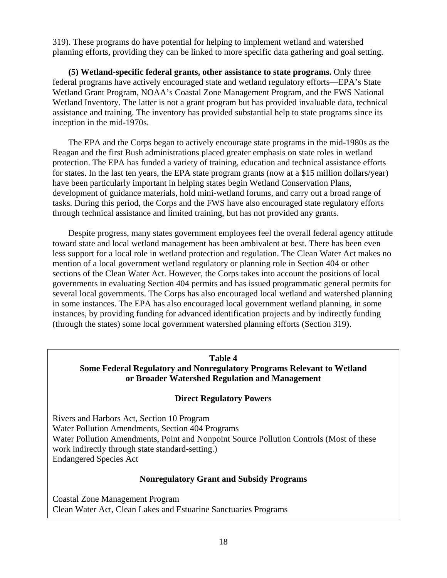319). These programs do have potential for helping to implement wetland and watershed planning efforts, providing they can be linked to more specific data gathering and goal setting.

**(5) Wetland-specific federal grants, other assistance to state programs.** Only three federal programs have actively encouraged state and wetland regulatory efforts—EPA's State Wetland Grant Program, NOAA's Coastal Zone Management Program, and the FWS National Wetland Inventory. The latter is not a grant program but has provided invaluable data, technical assistance and training. The inventory has provided substantial help to state programs since its inception in the mid-1970s.

The EPA and the Corps began to actively encourage state programs in the mid-1980s as the Reagan and the first Bush administrations placed greater emphasis on state roles in wetland protection. The EPA has funded a variety of training, education and technical assistance efforts for states. In the last ten years, the EPA state program grants (now at a \$15 million dollars/year) have been particularly important in helping states begin Wetland Conservation Plans, development of guidance materials, hold mini-wetland forums, and carry out a broad range of tasks. During this period, the Corps and the FWS have also encouraged state regulatory efforts through technical assistance and limited training, but has not provided any grants.

Despite progress, many states government employees feel the overall federal agency attitude toward state and local wetland management has been ambivalent at best. There has been even less support for a local role in wetland protection and regulation. The Clean Water Act makes no mention of a local government wetland regulatory or planning role in Section 404 or other sections of the Clean Water Act. However, the Corps takes into account the positions of local governments in evaluating Section 404 permits and has issued programmatic general permits for several local governments. The Corps has also encouraged local wetland and watershed planning in some instances. The EPA has also encouraged local government wetland planning, in some instances, by providing funding for advanced identification projects and by indirectly funding (through the states) some local government watershed planning efforts (Section 319).

#### **Table 4**

# **Some Federal Regulatory and Nonregulatory Programs Relevant to Wetland or Broader Watershed Regulation and Management**

# **Direct Regulatory Powers**

Rivers and Harbors Act, Section 10 Program Water Pollution Amendments, Section 404 Programs Water Pollution Amendments, Point and Nonpoint Source Pollution Controls (Most of these work indirectly through state standard-setting.) Endangered Species Act

# **Nonregulatory Grant and Subsidy Programs**

Coastal Zone Management Program Clean Water Act, Clean Lakes and Estuarine Sanctuaries Programs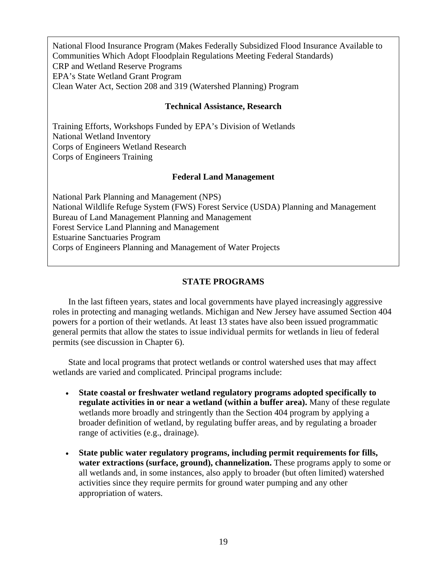<span id="page-32-0"></span>National Flood Insurance Program (Makes Federally Subsidized Flood Insurance Available to Communities Which Adopt Floodplain Regulations Meeting Federal Standards) CRP and Wetland Reserve Programs EPA's State Wetland Grant Program Clean Water Act, Section 208 and 319 (Watershed Planning) Program

# **Technical Assistance, Research**

Training Efforts, Workshops Funded by EPA's Division of Wetlands National Wetland Inventory Corps of Engineers Wetland Research Corps of Engineers Training

#### **Federal Land Management**

National Park Planning and Management (NPS) National Wildlife Refuge System (FWS) Forest Service (USDA) Planning and Management Bureau of Land Management Planning and Management Forest Service Land Planning and Management Estuarine Sanctuaries Program Corps of Engineers Planning and Management of Water Projects

# **STATE PROGRAMS**

In the last fifteen years, states and local governments have played increasingly aggressive roles in protecting and managing wetlands. Michigan and New Jersey have assumed Section 404 powers for a portion of their wetlands. At least 13 states have also been issued programmatic general permits that allow the states to issue individual permits for wetlands in lieu of federal permits (see discussion in Chapter 6).

State and local programs that protect wetlands or control watershed uses that may affect wetlands are varied and complicated. Principal programs include:

- **State coastal or freshwater wetland regulatory programs adopted specifically to regulate activities in or near a wetland (within a buffer area).** Many of these regulate wetlands more broadly and stringently than the Section 404 program by applying a broader definition of wetland, by regulating buffer areas, and by regulating a broader range of activities (e.g., drainage).
- **State public water regulatory programs, including permit requirements for fills, water extractions (surface, ground), channelization.** These programs apply to some or all wetlands and, in some instances, also apply to broader (but often limited) watershed activities since they require permits for ground water pumping and any other appropriation of waters.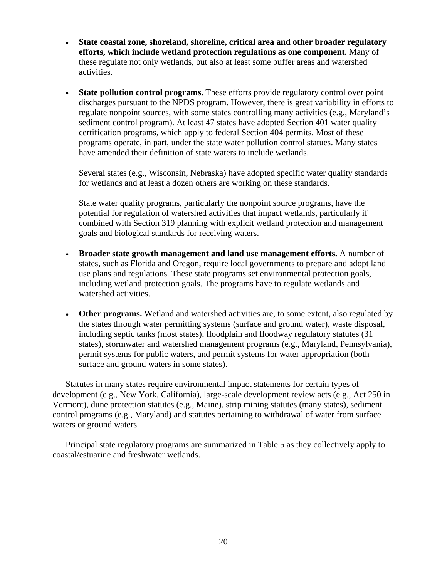- **State coastal zone, shoreland, shoreline, critical area and other broader regulatory efforts, which include wetland protection regulations as one component.** Many of these regulate not only wetlands, but also at least some buffer areas and watershed activities.
- **State pollution control programs.** These efforts provide regulatory control over point discharges pursuant to the NPDS program. However, there is great variability in efforts to regulate nonpoint sources, with some states controlling many activities (e.g., Maryland's sediment control program). At least 47 states have adopted Section 401 water quality certification programs, which apply to federal Section 404 permits. Most of these programs operate, in part, under the state water pollution control statues. Many states have amended their definition of state waters to include wetlands.

Several states (e.g., Wisconsin, Nebraska) have adopted specific water quality standards for wetlands and at least a dozen others are working on these standards.

State water quality programs, particularly the nonpoint source programs, have the potential for regulation of watershed activities that impact wetlands, particularly if combined with Section 319 planning with explicit wetland protection and management goals and biological standards for receiving waters.

- **Broader state growth management and land use management efforts.** A number of states, such as Florida and Oregon, require local governments to prepare and adopt land use plans and regulations. These state programs set environmental protection goals, including wetland protection goals. The programs have to regulate wetlands and watershed activities.
- **Other programs.** Wetland and watershed activities are, to some extent, also regulated by the states through water permitting systems (surface and ground water), waste disposal, including septic tanks (most states), floodplain and floodway regulatory statutes (31 states), stormwater and watershed management programs (e.g., Maryland, Pennsylvania), permit systems for public waters, and permit systems for water appropriation (both surface and ground waters in some states).

Statutes in many states require environmental impact statements for certain types of development (e.g., New York, California), large-scale development review acts (e.g., Act 250 in Vermont), dune protection statutes (e.g., Maine), strip mining statutes (many states), sediment control programs (e.g., Maryland) and statutes pertaining to withdrawal of water from surface waters or ground waters.

Principal state regulatory programs are summarized in Table 5 as they collectively apply to coastal/estuarine and freshwater wetlands.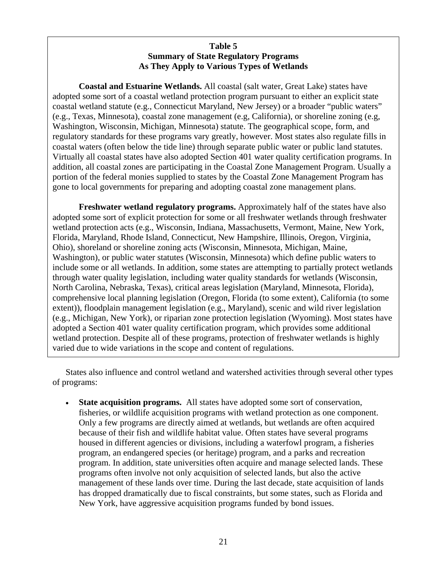# **Table 5 Summary of State Regulatory Programs As They Apply to Various Types of Wetlands**

**Coastal and Estuarine Wetlands.** All coastal (salt water, Great Lake) states have adopted some sort of a coastal wetland protection program pursuant to either an explicit state coastal wetland statute (e.g., Connecticut Maryland, New Jersey) or a broader "public waters" (e.g., Texas, Minnesota), coastal zone management (e.g, California), or shoreline zoning (e.g, Washington, Wisconsin, Michigan, Minnesota) statute. The geographical scope, form, and regulatory standards for these programs vary greatly, however. Most states also regulate fills in coastal waters (often below the tide line) through separate public water or public land statutes. Virtually all coastal states have also adopted Section 401 water quality certification programs. In addition, all coastal zones are participating in the Coastal Zone Management Program. Usually a portion of the federal monies supplied to states by the Coastal Zone Management Program has gone to local governments for preparing and adopting coastal zone management plans.

**Freshwater wetland regulatory programs.** Approximately half of the states have also adopted some sort of explicit protection for some or all freshwater wetlands through freshwater wetland protection acts (e.g., Wisconsin, Indiana, Massachusetts, Vermont, Maine, New York, Florida, Maryland, Rhode Island, Connecticut, New Hampshire, Illinois, Oregon, Virginia, Ohio), shoreland or shoreline zoning acts (Wisconsin, Minnesota, Michigan, Maine, Washington), or public water statutes (Wisconsin, Minnesota) which define public waters to include some or all wetlands. In addition, some states are attempting to partially protect wetlands through water quality legislation, including water quality standards for wetlands (Wisconsin, North Carolina, Nebraska, Texas), critical areas legislation (Maryland, Minnesota, Florida), comprehensive local planning legislation (Oregon, Florida (to some extent), California (to some extent)), floodplain management legislation (e.g., Maryland), scenic and wild river legislation (e.g., Michigan, New York), or riparian zone protection legislation (Wyoming). Most states have adopted a Section 401 water quality certification program, which provides some additional wetland protection. Despite all of these programs, protection of freshwater wetlands is highly varied due to wide variations in the scope and content of regulations.

States also influence and control wetland and watershed activities through several other types of programs:

• **State acquisition programs.** All states have adopted some sort of conservation, fisheries, or wildlife acquisition programs with wetland protection as one component. Only a few programs are directly aimed at wetlands, but wetlands are often acquired because of their fish and wildlife habitat value. Often states have several programs housed in different agencies or divisions, including a waterfowl program, a fisheries program, an endangered species (or heritage) program, and a parks and recreation program. In addition, state universities often acquire and manage selected lands. These programs often involve not only acquisition of selected lands, but also the active management of these lands over time. During the last decade, state acquisition of lands has dropped dramatically due to fiscal constraints, but some states, such as Florida and New York, have aggressive acquisition programs funded by bond issues.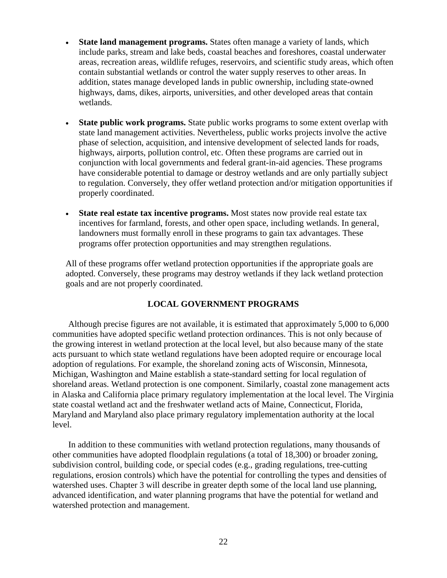- <span id="page-35-0"></span>• **State land management programs.** States often manage a variety of lands, which include parks, stream and lake beds, coastal beaches and foreshores, coastal underwater areas, recreation areas, wildlife refuges, reservoirs, and scientific study areas, which often contain substantial wetlands or control the water supply reserves to other areas. In addition, states manage developed lands in public ownership, including state-owned highways, dams, dikes, airports, universities, and other developed areas that contain wetlands.
- **State public work programs.** State public works programs to some extent overlap with state land management activities. Nevertheless, public works projects involve the active phase of selection, acquisition, and intensive development of selected lands for roads, highways, airports, pollution control, etc. Often these programs are carried out in conjunction with local governments and federal grant-in-aid agencies. These programs have considerable potential to damage or destroy wetlands and are only partially subject to regulation. Conversely, they offer wetland protection and/or mitigation opportunities if properly coordinated.
- **State real estate tax incentive programs.** Most states now provide real estate tax incentives for farmland, forests, and other open space, including wetlands. In general, landowners must formally enroll in these programs to gain tax advantages. These programs offer protection opportunities and may strengthen regulations.

All of these programs offer wetland protection opportunities if the appropriate goals are adopted. Conversely, these programs may destroy wetlands if they lack wetland protection goals and are not properly coordinated.

# **LOCAL GOVERNMENT PROGRAMS**

Although precise figures are not available, it is estimated that approximately 5,000 to 6,000 communities have adopted specific wetland protection ordinances. This is not only because of the growing interest in wetland protection at the local level, but also because many of the state acts pursuant to which state wetland regulations have been adopted require or encourage local adoption of regulations. For example, the shoreland zoning acts of Wisconsin, Minnesota, Michigan, Washington and Maine establish a state-standard setting for local regulation of shoreland areas. Wetland protection is one component. Similarly, coastal zone management acts in Alaska and California place primary regulatory implementation at the local level. The Virginia state coastal wetland act and the freshwater wetland acts of Maine, Connecticut, Florida, Maryland and Maryland also place primary regulatory implementation authority at the local level.

In addition to these communities with wetland protection regulations, many thousands of other communities have adopted floodplain regulations (a total of 18,300) or broader zoning, subdivision control, building code, or special codes (e.g., grading regulations, tree-cutting regulations, erosion controls) which have the potential for controlling the types and densities of watershed uses. Chapter 3 will describe in greater depth some of the local land use planning, advanced identification, and water planning programs that have the potential for wetland and watershed protection and management.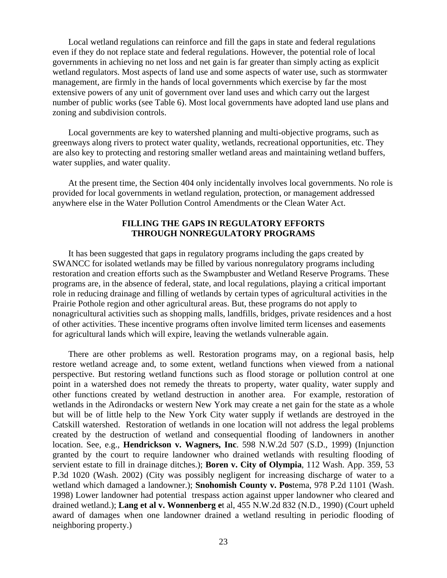Local wetland regulations can reinforce and fill the gaps in state and federal regulations even if they do not replace state and federal regulations. However, the potential role of local governments in achieving no net loss and net gain is far greater than simply acting as explicit wetland regulators. Most aspects of land use and some aspects of water use, such as stormwater management, are firmly in the hands of local governments which exercise by far the most extensive powers of any unit of government over land uses and which carry out the largest number of public works (see Table 6). Most local governments have adopted land use plans and zoning and subdivision controls.

Local governments are key to watershed planning and multi-objective programs, such as greenways along rivers to protect water quality, wetlands, recreational opportunities, etc. They are also key to protecting and restoring smaller wetland areas and maintaining wetland buffers, water supplies, and water quality.

At the present time, the Section 404 only incidentally involves local governments. No role is provided for local governments in wetland regulation, protection, or management addressed anywhere else in the Water Pollution Control Amendments or the Clean Water Act.

## **FILLING THE GAPS IN REGULATORY EFFORTS THROUGH NONREGULATORY PROGRAMS**

It has been suggested that gaps in regulatory programs including the gaps created by SWANCC for isolated wetlands may be filled by various nonregulatory programs including restoration and creation efforts such as the Swampbuster and Wetland Reserve Programs. These programs are, in the absence of federal, state, and local regulations, playing a critical important role in reducing drainage and filling of wetlands by certain types of agricultural activities in the Prairie Pothole region and other agricultural areas. But, these programs do not apply to nonagricultural activities such as shopping malls, landfills, bridges, private residences and a host of other activities. These incentive programs often involve limited term licenses and easements for agricultural lands which will expire, leaving the wetlands vulnerable again.

There are other problems as well. Restoration programs may, on a regional basis, help restore wetland acreage and, to some extent, wetland functions when viewed from a national perspective. But restoring wetland functions such as flood storage or pollution control at one point in a watershed does not remedy the threats to property, water quality, water supply and other functions created by wetland destruction in another area. For example, restoration of wetlands in the Adirondacks or western New York may create a net gain for the state as a whole but will be of little help to the New York City water supply if wetlands are destroyed in the Catskill watershed. Restoration of wetlands in one location will not address the legal problems created by the destruction of wetland and consequential flooding of landowners in another location. See, e.g., **Hendrickson v. Wagners, Inc**. 598 N.W.2d 507 (S.D., 1999) (Injunction granted by the court to require landowner who drained wetlands with resulting flooding of servient estate to fill in drainage ditches.); **Boren v. City of Olympia**, 112 Wash. App. 359, 53 P.3d 1020 (Wash. 2002) (City was possibly negligent for increasing discharge of water to a wetland which damaged a landowner.); **Snohomish County v. Pos**tema, 978 P.2d 1101 (Wash. 1998) Lower landowner had potential trespass action against upper landowner who cleared and drained wetland.); **Lang et al v. Wonnenberg e**t al, 455 N.W.2d 832 (N.D., 1990) (Court upheld award of damages when one landowner drained a wetland resulting in periodic flooding of neighboring property.)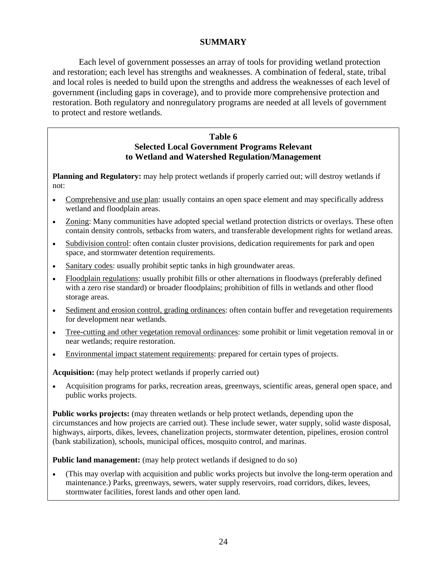# **SUMMARY**

Each level of government possesses an array of tools for providing wetland protection and restoration; each level has strengths and weaknesses. A combination of federal, state, tribal and local roles is needed to build upon the strengths and address the weaknesses of each level of government (including gaps in coverage), and to provide more comprehensive protection and restoration. Both regulatory and nonregulatory programs are needed at all levels of government to protect and restore wetlands.

## **Table 6 Selected Local Government Programs Relevant to Wetland and Watershed Regulation/Management**

**Planning and Regulatory:** may help protect wetlands if properly carried out; will destroy wetlands if not:

- Comprehensive and use plan: usually contains an open space element and may specifically address wetland and floodplain areas.
- Zoning: Many communities have adopted special wetland protection districts or overlays. These often contain density controls, setbacks from waters, and transferable development rights for wetland areas.
- Subdivision control: often contain cluster provisions, dedication requirements for park and open space, and stormwater detention requirements.
- Sanitary codes: usually prohibit septic tanks in high groundwater areas.
- Floodplain regulations: usually prohibit fills or other alternations in floodways (preferably defined with a zero rise standard) or broader floodplains; prohibition of fills in wetlands and other flood storage areas.
- Sediment and erosion control, grading ordinances: often contain buffer and revegetation requirements for development near wetlands.
- Tree-cutting and other vegetation removal ordinances: some prohibit or limit vegetation removal in or near wetlands; require restoration.
- Environmental impact statement requirements: prepared for certain types of projects.

**Acquisition:** (may help protect wetlands if properly carried out)

• Acquisition programs for parks, recreation areas, greenways, scientific areas, general open space, and public works projects.

**Public works projects:** (may threaten wetlands or help protect wetlands, depending upon the circumstances and how projects are carried out). These include sewer, water supply, solid waste disposal, highways, airports, dikes, levees, chanelization projects, stormwater detention, pipelines, erosion control (bank stabilization), schools, municipal offices, mosquito control, and marinas.

**Public land management:** (may help protect wetlands if designed to do so)

• (This may overlap with acquisition and public works projects but involve the long-term operation and maintenance.) Parks, greenways, sewers, water supply reservoirs, road corridors, dikes, levees, stormwater facilities, forest lands and other open land.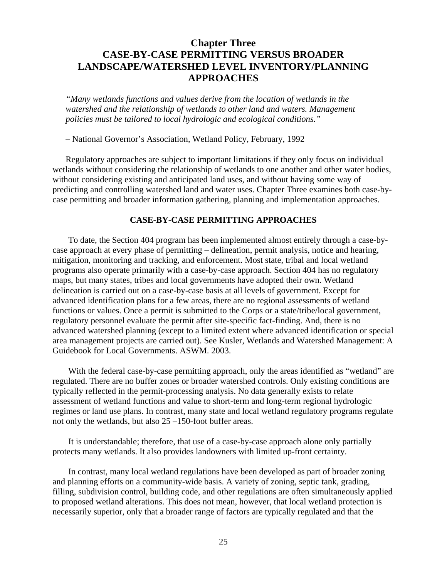# **Chapter Three CASE-BY-CASE PERMITTING VERSUS BROADER LANDSCAPE/WATERSHED LEVEL INVENTORY/PLANNING APPROACHES**

*"Many wetlands functions and values derive from the location of wetlands in the watershed and the relationship of wetlands to other land and waters. Management policies must be tailored to local hydrologic and ecological conditions."* 

– National Governor's Association, Wetland Policy, February, 1992

Regulatory approaches are subject to important limitations if they only focus on individual wetlands without considering the relationship of wetlands to one another and other water bodies, without considering existing and anticipated land uses, and without having some way of predicting and controlling watershed land and water uses. Chapter Three examines both case-bycase permitting and broader information gathering, planning and implementation approaches.

### **CASE-BY-CASE PERMITTING APPROACHES**

To date, the Section 404 program has been implemented almost entirely through a case-bycase approach at every phase of permitting – delineation, permit analysis, notice and hearing, mitigation, monitoring and tracking, and enforcement. Most state, tribal and local wetland programs also operate primarily with a case-by-case approach. Section 404 has no regulatory maps, but many states, tribes and local governments have adopted their own. Wetland delineation is carried out on a case-by-case basis at all levels of government. Except for advanced identification plans for a few areas, there are no regional assessments of wetland functions or values. Once a permit is submitted to the Corps or a state/tribe/local government, regulatory personnel evaluate the permit after site-specific fact-finding. And, there is no advanced watershed planning (except to a limited extent where advanced identification or special area management projects are carried out). See Kusler, Wetlands and Watershed Management: A Guidebook for Local Governments. ASWM. 2003.

With the federal case-by-case permitting approach, only the areas identified as "wetland" are regulated. There are no buffer zones or broader watershed controls. Only existing conditions are typically reflected in the permit-processing analysis. No data generally exists to relate assessment of wetland functions and value to short-term and long-term regional hydrologic regimes or land use plans. In contrast, many state and local wetland regulatory programs regulate not only the wetlands, but also 25 –150-foot buffer areas.

It is understandable; therefore, that use of a case-by-case approach alone only partially protects many wetlands. It also provides landowners with limited up-front certainty.

In contrast, many local wetland regulations have been developed as part of broader zoning and planning efforts on a community-wide basis. A variety of zoning, septic tank, grading, filling, subdivision control, building code, and other regulations are often simultaneously applied to proposed wetland alterations. This does not mean, however, that local wetland protection is necessarily superior, only that a broader range of factors are typically regulated and that the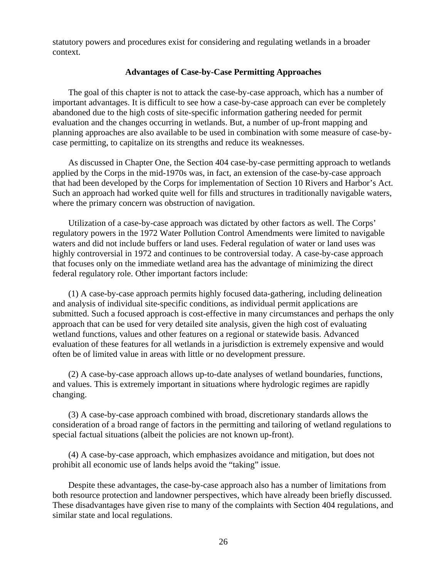statutory powers and procedures exist for considering and regulating wetlands in a broader context.

#### **Advantages of Case-by-Case Permitting Approaches**

The goal of this chapter is not to attack the case-by-case approach, which has a number of important advantages. It is difficult to see how a case-by-case approach can ever be completely abandoned due to the high costs of site-specific information gathering needed for permit evaluation and the changes occurring in wetlands. But, a number of up-front mapping and planning approaches are also available to be used in combination with some measure of case-bycase permitting, to capitalize on its strengths and reduce its weaknesses.

As discussed in Chapter One, the Section 404 case-by-case permitting approach to wetlands applied by the Corps in the mid-1970s was, in fact, an extension of the case-by-case approach that had been developed by the Corps for implementation of Section 10 Rivers and Harbor's Act. Such an approach had worked quite well for fills and structures in traditionally navigable waters, where the primary concern was obstruction of navigation.

Utilization of a case-by-case approach was dictated by other factors as well. The Corps' regulatory powers in the 1972 Water Pollution Control Amendments were limited to navigable waters and did not include buffers or land uses. Federal regulation of water or land uses was highly controversial in 1972 and continues to be controversial today. A case-by-case approach that focuses only on the immediate wetland area has the advantage of minimizing the direct federal regulatory role. Other important factors include:

(1) A case-by-case approach permits highly focused data-gathering, including delineation and analysis of individual site-specific conditions, as individual permit applications are submitted. Such a focused approach is cost-effective in many circumstances and perhaps the only approach that can be used for very detailed site analysis, given the high cost of evaluating wetland functions, values and other features on a regional or statewide basis. Advanced evaluation of these features for all wetlands in a jurisdiction is extremely expensive and would often be of limited value in areas with little or no development pressure.

(2) A case-by-case approach allows up-to-date analyses of wetland boundaries, functions, and values. This is extremely important in situations where hydrologic regimes are rapidly changing.

(3) A case-by-case approach combined with broad, discretionary standards allows the consideration of a broad range of factors in the permitting and tailoring of wetland regulations to special factual situations (albeit the policies are not known up-front).

(4) A case-by-case approach, which emphasizes avoidance and mitigation, but does not prohibit all economic use of lands helps avoid the "taking" issue.

Despite these advantages, the case-by-case approach also has a number of limitations from both resource protection and landowner perspectives, which have already been briefly discussed. These disadvantages have given rise to many of the complaints with Section 404 regulations, and similar state and local regulations.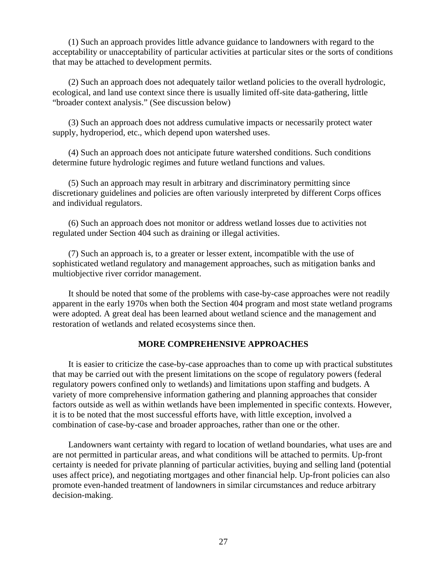(1) Such an approach provides little advance guidance to landowners with regard to the acceptability or unacceptability of particular activities at particular sites or the sorts of conditions that may be attached to development permits.

(2) Such an approach does not adequately tailor wetland policies to the overall hydrologic, ecological, and land use context since there is usually limited off-site data-gathering, little "broader context analysis." (See discussion below)

(3) Such an approach does not address cumulative impacts or necessarily protect water supply, hydroperiod, etc., which depend upon watershed uses.

(4) Such an approach does not anticipate future watershed conditions. Such conditions determine future hydrologic regimes and future wetland functions and values.

(5) Such an approach may result in arbitrary and discriminatory permitting since discretionary guidelines and policies are often variously interpreted by different Corps offices and individual regulators.

(6) Such an approach does not monitor or address wetland losses due to activities not regulated under Section 404 such as draining or illegal activities.

(7) Such an approach is, to a greater or lesser extent, incompatible with the use of sophisticated wetland regulatory and management approaches, such as mitigation banks and multiobjective river corridor management.

It should be noted that some of the problems with case-by-case approaches were not readily apparent in the early 1970s when both the Section 404 program and most state wetland programs were adopted. A great deal has been learned about wetland science and the management and restoration of wetlands and related ecosystems since then.

#### **MORE COMPREHENSIVE APPROACHES**

It is easier to criticize the case-by-case approaches than to come up with practical substitutes that may be carried out with the present limitations on the scope of regulatory powers (federal regulatory powers confined only to wetlands) and limitations upon staffing and budgets. A variety of more comprehensive information gathering and planning approaches that consider factors outside as well as within wetlands have been implemented in specific contexts. However, it is to be noted that the most successful efforts have, with little exception, involved a combination of case-by-case and broader approaches, rather than one or the other.

Landowners want certainty with regard to location of wetland boundaries, what uses are and are not permitted in particular areas, and what conditions will be attached to permits. Up-front certainty is needed for private planning of particular activities, buying and selling land (potential uses affect price), and negotiating mortgages and other financial help. Up-front policies can also promote even-handed treatment of landowners in similar circumstances and reduce arbitrary decision-making.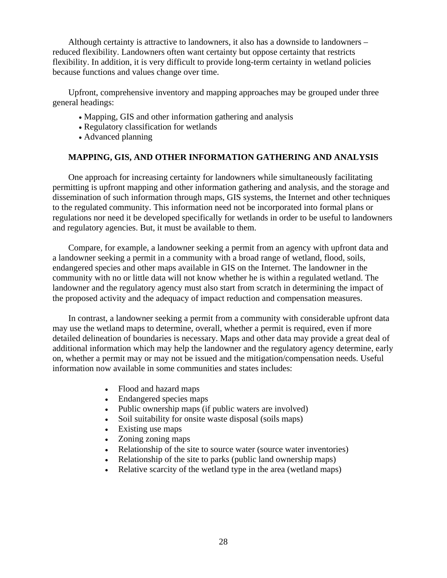Although certainty is attractive to landowners, it also has a downside to landowners – reduced flexibility. Landowners often want certainty but oppose certainty that restricts flexibility. In addition, it is very difficult to provide long-term certainty in wetland policies because functions and values change over time.

Upfront, comprehensive inventory and mapping approaches may be grouped under three general headings:

- Mapping, GIS and other information gathering and analysis
- Regulatory classification for wetlands
- Advanced planning

## **MAPPING, GIS, AND OTHER INFORMATION GATHERING AND ANALYSIS**

One approach for increasing certainty for landowners while simultaneously facilitating permitting is upfront mapping and other information gathering and analysis, and the storage and dissemination of such information through maps, GIS systems, the Internet and other techniques to the regulated community. This information need not be incorporated into formal plans or regulations nor need it be developed specifically for wetlands in order to be useful to landowners and regulatory agencies. But, it must be available to them.

Compare, for example, a landowner seeking a permit from an agency with upfront data and a landowner seeking a permit in a community with a broad range of wetland, flood, soils, endangered species and other maps available in GIS on the Internet. The landowner in the community with no or little data will not know whether he is within a regulated wetland. The landowner and the regulatory agency must also start from scratch in determining the impact of the proposed activity and the adequacy of impact reduction and compensation measures.

In contrast, a landowner seeking a permit from a community with considerable upfront data may use the wetland maps to determine, overall, whether a permit is required, even if more detailed delineation of boundaries is necessary. Maps and other data may provide a great deal of additional information which may help the landowner and the regulatory agency determine, early on, whether a permit may or may not be issued and the mitigation/compensation needs. Useful information now available in some communities and states includes:

- Flood and hazard maps
- Endangered species maps
- Public ownership maps (if public waters are involved)
- Soil suitability for onsite waste disposal (soils maps)
- Existing use maps
- Zoning zoning maps
- Relationship of the site to source water (source water inventories)
- Relationship of the site to parks (public land ownership maps)
- Relative scarcity of the wetland type in the area (wetland maps)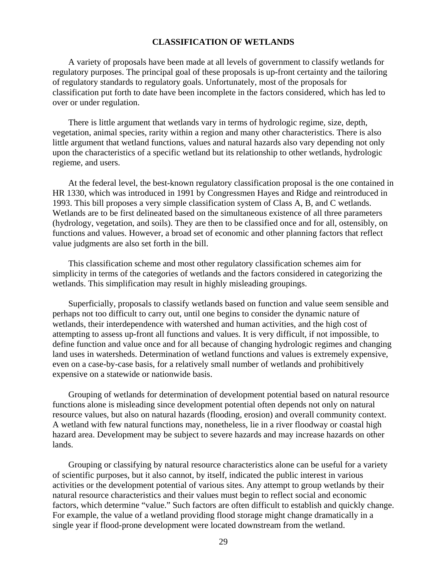### **CLASSIFICATION OF WETLANDS**

A variety of proposals have been made at all levels of government to classify wetlands for regulatory purposes. The principal goal of these proposals is up-front certainty and the tailoring of regulatory standards to regulatory goals. Unfortunately, most of the proposals for classification put forth to date have been incomplete in the factors considered, which has led to over or under regulation.

There is little argument that wetlands vary in terms of hydrologic regime, size, depth, vegetation, animal species, rarity within a region and many other characteristics. There is also little argument that wetland functions, values and natural hazards also vary depending not only upon the characteristics of a specific wetland but its relationship to other wetlands, hydrologic regieme, and users.

At the federal level, the best-known regulatory classification proposal is the one contained in HR 1330, which was introduced in 1991 by Congressmen Hayes and Ridge and reintroduced in 1993. This bill proposes a very simple classification system of Class A, B, and C wetlands. Wetlands are to be first delineated based on the simultaneous existence of all three parameters (hydrology, vegetation, and soils). They are then to be classified once and for all, ostensibly, on functions and values. However, a broad set of economic and other planning factors that reflect value judgments are also set forth in the bill.

This classification scheme and most other regulatory classification schemes aim for simplicity in terms of the categories of wetlands and the factors considered in categorizing the wetlands. This simplification may result in highly misleading groupings.

Superficially, proposals to classify wetlands based on function and value seem sensible and perhaps not too difficult to carry out, until one begins to consider the dynamic nature of wetlands, their interdependence with watershed and human activities, and the high cost of attempting to assess up-front all functions and values. It is very difficult, if not impossible, to define function and value once and for all because of changing hydrologic regimes and changing land uses in watersheds. Determination of wetland functions and values is extremely expensive, even on a case-by-case basis, for a relatively small number of wetlands and prohibitively expensive on a statewide or nationwide basis.

Grouping of wetlands for determination of development potential based on natural resource functions alone is misleading since development potential often depends not only on natural resource values, but also on natural hazards (flooding, erosion) and overall community context. A wetland with few natural functions may, nonetheless, lie in a river floodway or coastal high hazard area. Development may be subject to severe hazards and may increase hazards on other lands.

Grouping or classifying by natural resource characteristics alone can be useful for a variety of scientific purposes, but it also cannot, by itself, indicated the public interest in various activities or the development potential of various sites. Any attempt to group wetlands by their natural resource characteristics and their values must begin to reflect social and economic factors, which determine "value." Such factors are often difficult to establish and quickly change. For example, the value of a wetland providing flood storage might change dramatically in a single year if flood-prone development were located downstream from the wetland.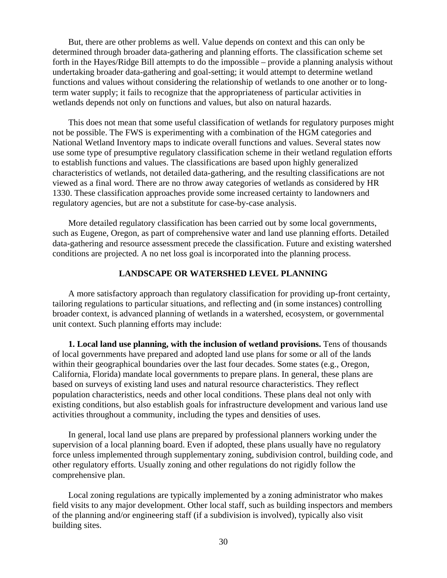But, there are other problems as well. Value depends on context and this can only be determined through broader data-gathering and planning efforts. The classification scheme set forth in the Hayes/Ridge Bill attempts to do the impossible – provide a planning analysis without undertaking broader data-gathering and goal-setting; it would attempt to determine wetland functions and values without considering the relationship of wetlands to one another or to longterm water supply; it fails to recognize that the appropriateness of particular activities in wetlands depends not only on functions and values, but also on natural hazards.

This does not mean that some useful classification of wetlands for regulatory purposes might not be possible. The FWS is experimenting with a combination of the HGM categories and National Wetland Inventory maps to indicate overall functions and values. Several states now use some type of presumptive regulatory classification scheme in their wetland regulation efforts to establish functions and values. The classifications are based upon highly generalized characteristics of wetlands, not detailed data-gathering, and the resulting classifications are not viewed as a final word. There are no throw away categories of wetlands as considered by HR 1330. These classification approaches provide some increased certainty to landowners and regulatory agencies, but are not a substitute for case-by-case analysis.

More detailed regulatory classification has been carried out by some local governments, such as Eugene, Oregon, as part of comprehensive water and land use planning efforts. Detailed data-gathering and resource assessment precede the classification. Future and existing watershed conditions are projected. A no net loss goal is incorporated into the planning process.

## **LANDSCAPE OR WATERSHED LEVEL PLANNING**

A more satisfactory approach than regulatory classification for providing up-front certainty, tailoring regulations to particular situations, and reflecting and (in some instances) controlling broader context, is advanced planning of wetlands in a watershed, ecosystem, or governmental unit context. Such planning efforts may include:

**1. Local land use planning, with the inclusion of wetland provisions.** Tens of thousands of local governments have prepared and adopted land use plans for some or all of the lands within their geographical boundaries over the last four decades. Some states (e.g., Oregon, California, Florida) mandate local governments to prepare plans. In general, these plans are based on surveys of existing land uses and natural resource characteristics. They reflect population characteristics, needs and other local conditions. These plans deal not only with existing conditions, but also establish goals for infrastructure development and various land use activities throughout a community, including the types and densities of uses.

In general, local land use plans are prepared by professional planners working under the supervision of a local planning board. Even if adopted, these plans usually have no regulatory force unless implemented through supplementary zoning, subdivision control, building code, and other regulatory efforts. Usually zoning and other regulations do not rigidly follow the comprehensive plan.

Local zoning regulations are typically implemented by a zoning administrator who makes field visits to any major development. Other local staff, such as building inspectors and members of the planning and/or engineering staff (if a subdivision is involved), typically also visit building sites.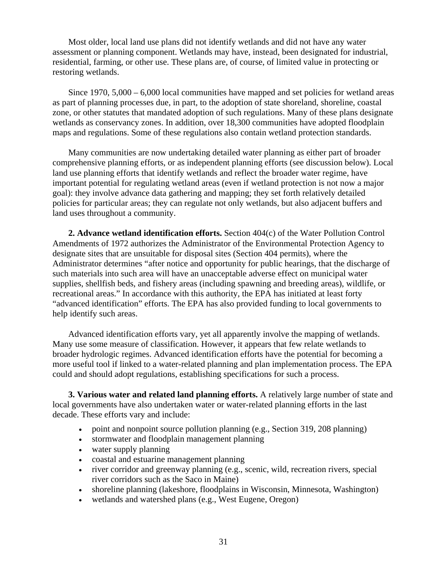Most older, local land use plans did not identify wetlands and did not have any water assessment or planning component. Wetlands may have, instead, been designated for industrial, residential, farming, or other use. These plans are, of course, of limited value in protecting or restoring wetlands.

Since  $1970, 5,000 - 6,000$  local communities have mapped and set policies for wetland areas as part of planning processes due, in part, to the adoption of state shoreland, shoreline, coastal zone, or other statutes that mandated adoption of such regulations. Many of these plans designate wetlands as conservancy zones. In addition, over 18,300 communities have adopted floodplain maps and regulations. Some of these regulations also contain wetland protection standards.

Many communities are now undertaking detailed water planning as either part of broader comprehensive planning efforts, or as independent planning efforts (see discussion below). Local land use planning efforts that identify wetlands and reflect the broader water regime, have important potential for regulating wetland areas (even if wetland protection is not now a major goal): they involve advance data gathering and mapping; they set forth relatively detailed policies for particular areas; they can regulate not only wetlands, but also adjacent buffers and land uses throughout a community.

**2. Advance wetland identification efforts.** Section 404(c) of the Water Pollution Control Amendments of 1972 authorizes the Administrator of the Environmental Protection Agency to designate sites that are unsuitable for disposal sites (Section 404 permits), where the Administrator determines "after notice and opportunity for public hearings, that the discharge of such materials into such area will have an unacceptable adverse effect on municipal water supplies, shellfish beds, and fishery areas (including spawning and breeding areas), wildlife, or recreational areas." In accordance with this authority, the EPA has initiated at least forty "advanced identification" efforts. The EPA has also provided funding to local governments to help identify such areas.

Advanced identification efforts vary, yet all apparently involve the mapping of wetlands. Many use some measure of classification. However, it appears that few relate wetlands to broader hydrologic regimes. Advanced identification efforts have the potential for becoming a more useful tool if linked to a water-related planning and plan implementation process. The EPA could and should adopt regulations, establishing specifications for such a process.

**3. Various water and related land planning efforts.** A relatively large number of state and local governments have also undertaken water or water-related planning efforts in the last decade. These efforts vary and include:

- point and nonpoint source pollution planning (e.g., Section 319, 208 planning)
- stormwater and floodplain management planning
- water supply planning
- coastal and estuarine management planning
- river corridor and greenway planning (e.g., scenic, wild, recreation rivers, special river corridors such as the Saco in Maine)
- shoreline planning (lakeshore, floodplains in Wisconsin, Minnesota, Washington)
- wetlands and watershed plans (e.g., West Eugene, Oregon)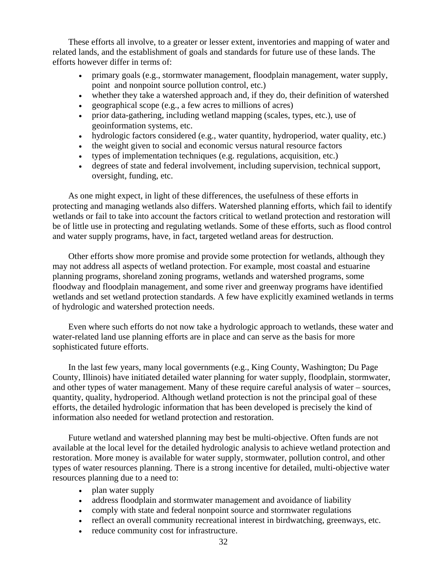These efforts all involve, to a greater or lesser extent, inventories and mapping of water and related lands, and the establishment of goals and standards for future use of these lands. The efforts however differ in terms of:

- primary goals (e.g., stormwater management, floodplain management, water supply, point and nonpoint source pollution control, etc.)
- whether they take a watershed approach and, if they do, their definition of watershed
- geographical scope (e.g., a few acres to millions of acres)
- prior data-gathering, including wetland mapping (scales, types, etc.), use of geoinformation systems, etc.
- hydrologic factors considered (e.g., water quantity, hydroperiod, water quality, etc.)
- the weight given to social and economic versus natural resource factors
- types of implementation techniques (e.g. regulations, acquisition, etc.)
- degrees of state and federal involvement, including supervision, technical support, oversight, funding, etc.

As one might expect, in light of these differences, the usefulness of these efforts in protecting and managing wetlands also differs. Watershed planning efforts, which fail to identify wetlands or fail to take into account the factors critical to wetland protection and restoration will be of little use in protecting and regulating wetlands. Some of these efforts, such as flood control and water supply programs, have, in fact, targeted wetland areas for destruction.

Other efforts show more promise and provide some protection for wetlands, although they may not address all aspects of wetland protection. For example, most coastal and estuarine planning programs, shoreland zoning programs, wetlands and watershed programs, some floodway and floodplain management, and some river and greenway programs have identified wetlands and set wetland protection standards. A few have explicitly examined wetlands in terms of hydrologic and watershed protection needs.

Even where such efforts do not now take a hydrologic approach to wetlands, these water and water-related land use planning efforts are in place and can serve as the basis for more sophisticated future efforts.

In the last few years, many local governments (e.g., King County, Washington; Du Page County, Illinois) have initiated detailed water planning for water supply, floodplain, stormwater, and other types of water management. Many of these require careful analysis of water – sources, quantity, quality, hydroperiod. Although wetland protection is not the principal goal of these efforts, the detailed hydrologic information that has been developed is precisely the kind of information also needed for wetland protection and restoration.

Future wetland and watershed planning may best be multi-objective. Often funds are not available at the local level for the detailed hydrologic analysis to achieve wetland protection and restoration. More money is available for water supply, stormwater, pollution control, and other types of water resources planning. There is a strong incentive for detailed, multi-objective water resources planning due to a need to:

- plan water supply
- address floodplain and stormwater management and avoidance of liability
- comply with state and federal nonpoint source and stormwater regulations
- reflect an overall community recreational interest in birdwatching, greenways, etc.
- reduce community cost for infrastructure.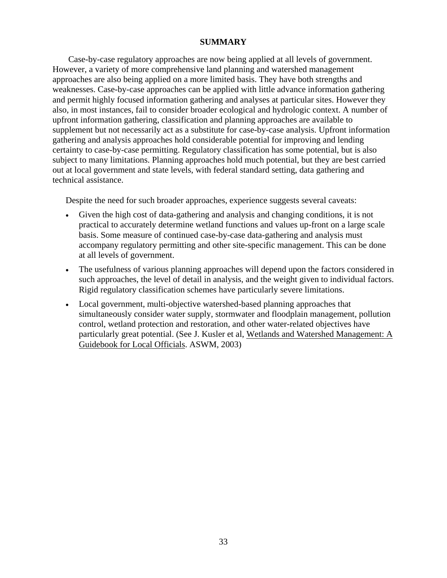### **SUMMARY**

Case-by-case regulatory approaches are now being applied at all levels of government. However, a variety of more comprehensive land planning and watershed management approaches are also being applied on a more limited basis. They have both strengths and weaknesses. Case-by-case approaches can be applied with little advance information gathering and permit highly focused information gathering and analyses at particular sites. However they also, in most instances, fail to consider broader ecological and hydrologic context. A number of upfront information gathering, classification and planning approaches are available to supplement but not necessarily act as a substitute for case-by-case analysis. Upfront information gathering and analysis approaches hold considerable potential for improving and lending certainty to case-by-case permitting. Regulatory classification has some potential, but is also subject to many limitations. Planning approaches hold much potential, but they are best carried out at local government and state levels, with federal standard setting, data gathering and technical assistance.

Despite the need for such broader approaches, experience suggests several caveats:

- Given the high cost of data-gathering and analysis and changing conditions, it is not practical to accurately determine wetland functions and values up-front on a large scale basis. Some measure of continued case-by-case data-gathering and analysis must accompany regulatory permitting and other site-specific management. This can be done at all levels of government.
- The usefulness of various planning approaches will depend upon the factors considered in such approaches, the level of detail in analysis, and the weight given to individual factors. Rigid regulatory classification schemes have particularly severe limitations.
- Local government, multi-objective watershed-based planning approaches that simultaneously consider water supply, stormwater and floodplain management, pollution control, wetland protection and restoration, and other water-related objectives have particularly great potential. (See J. Kusler et al, Wetlands and Watershed Management: A Guidebook for Local Officials. ASWM, 2003)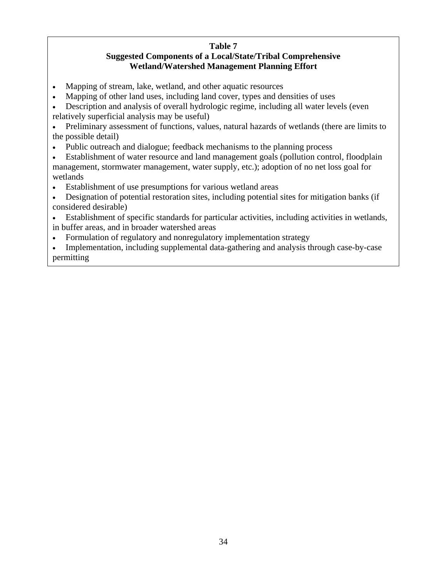# **Table 7**

# **Suggested Components of a Local/State/Tribal Comprehensive Wetland/Watershed Management Planning Effort**

- Mapping of stream, lake, wetland, and other aquatic resources
- Mapping of other land uses, including land cover, types and densities of uses
- Description and analysis of overall hydrologic regime, including all water levels (even relatively superficial analysis may be useful)
- Preliminary assessment of functions, values, natural hazards of wetlands (there are limits to the possible detail)
- Public outreach and dialogue; feedback mechanisms to the planning process
- Establishment of water resource and land management goals (pollution control, floodplain management, stormwater management, water supply, etc.); adoption of no net loss goal for wetlands
- Establishment of use presumptions for various wetland areas
- Designation of potential restoration sites, including potential sites for mitigation banks (if considered desirable)
- Establishment of specific standards for particular activities, including activities in wetlands, in buffer areas, and in broader watershed areas
- Formulation of regulatory and nonregulatory implementation strategy
- Implementation, including supplemental data-gathering and analysis through case-by-case permitting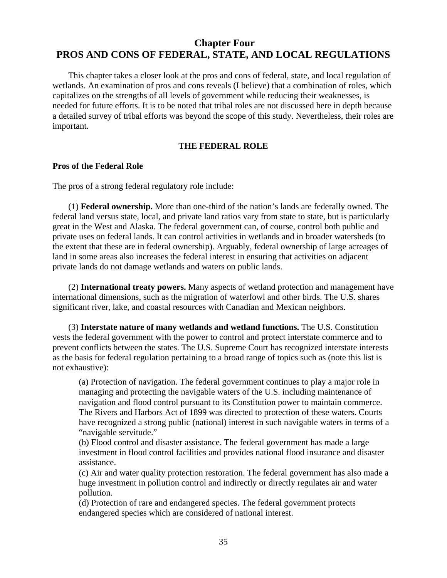# **Chapter Four PROS AND CONS OF FEDERAL, STATE, AND LOCAL REGULATIONS**

This chapter takes a closer look at the pros and cons of federal, state, and local regulation of wetlands. An examination of pros and cons reveals (I believe) that a combination of roles, which capitalizes on the strengths of all levels of government while reducing their weaknesses, is needed for future efforts. It is to be noted that tribal roles are not discussed here in depth because a detailed survey of tribal efforts was beyond the scope of this study. Nevertheless, their roles are important.

## **THE FEDERAL ROLE**

### **Pros of the Federal Role**

The pros of a strong federal regulatory role include:

(1) **Federal ownership.** More than one-third of the nation's lands are federally owned. The federal land versus state, local, and private land ratios vary from state to state, but is particularly great in the West and Alaska. The federal government can, of course, control both public and private uses on federal lands. It can control activities in wetlands and in broader watersheds (to the extent that these are in federal ownership). Arguably, federal ownership of large acreages of land in some areas also increases the federal interest in ensuring that activities on adjacent private lands do not damage wetlands and waters on public lands.

(2) **International treaty powers.** Many aspects of wetland protection and management have international dimensions, such as the migration of waterfowl and other birds. The U.S. shares significant river, lake, and coastal resources with Canadian and Mexican neighbors.

(3) **Interstate nature of many wetlands and wetland functions.** The U.S. Constitution vests the federal government with the power to control and protect interstate commerce and to prevent conflicts between the states. The U.S. Supreme Court has recognized interstate interests as the basis for federal regulation pertaining to a broad range of topics such as (note this list is not exhaustive):

(a) Protection of navigation. The federal government continues to play a major role in managing and protecting the navigable waters of the U.S. including maintenance of navigation and flood control pursuant to its Constitution power to maintain commerce. The Rivers and Harbors Act of 1899 was directed to protection of these waters. Courts have recognized a strong public (national) interest in such navigable waters in terms of a "navigable servitude."

(b) Flood control and disaster assistance. The federal government has made a large investment in flood control facilities and provides national flood insurance and disaster assistance.

(c) Air and water quality protection restoration. The federal government has also made a huge investment in pollution control and indirectly or directly regulates air and water pollution.

(d) Protection of rare and endangered species. The federal government protects endangered species which are considered of national interest.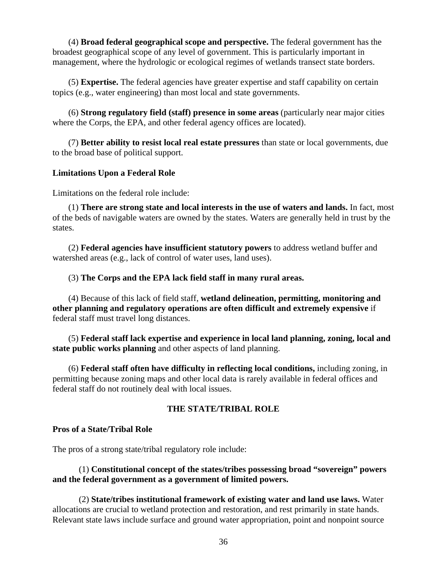(4) **Broad federal geographical scope and perspective.** The federal government has the broadest geographical scope of any level of government. This is particularly important in management, where the hydrologic or ecological regimes of wetlands transect state borders.

(5) **Expertise.** The federal agencies have greater expertise and staff capability on certain topics (e.g., water engineering) than most local and state governments.

(6) **Strong regulatory field (staff) presence in some areas** (particularly near major cities where the Corps, the EPA, and other federal agency offices are located).

(7) **Better ability to resist local real estate pressures** than state or local governments, due to the broad base of political support.

## **Limitations Upon a Federal Role**

Limitations on the federal role include:

(1) **There are strong state and local interests in the use of waters and lands.** In fact, most of the beds of navigable waters are owned by the states. Waters are generally held in trust by the states.

(2) **Federal agencies have insufficient statutory powers** to address wetland buffer and watershed areas (e.g., lack of control of water uses, land uses).

## (3) **The Corps and the EPA lack field staff in many rural areas.**

(4) Because of this lack of field staff, **wetland delineation, permitting, monitoring and other planning and regulatory operations are often difficult and extremely expensive** if federal staff must travel long distances.

(5) **Federal staff lack expertise and experience in local land planning, zoning, local and state public works planning** and other aspects of land planning.

(6) **Federal staff often have difficulty in reflecting local conditions,** including zoning, in permitting because zoning maps and other local data is rarely available in federal offices and federal staff do not routinely deal with local issues.

# **THE STATE/TRIBAL ROLE**

## **Pros of a State/Tribal Role**

The pros of a strong state/tribal regulatory role include:

## (1) **Constitutional concept of the states/tribes possessing broad "sovereign" powers and the federal government as a government of limited powers.**

(2) **State/tribes institutional framework of existing water and land use laws.** Water allocations are crucial to wetland protection and restoration, and rest primarily in state hands. Relevant state laws include surface and ground water appropriation, point and nonpoint source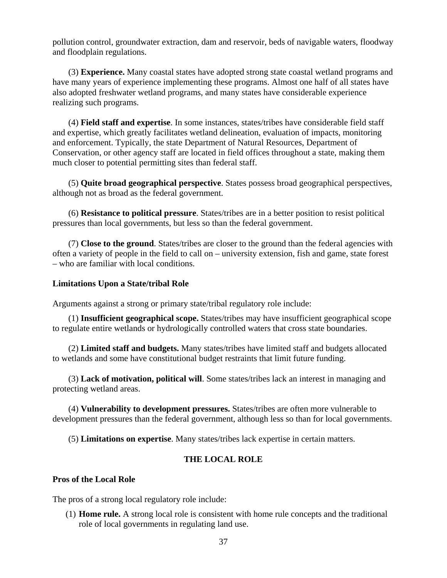pollution control, groundwater extraction, dam and reservoir, beds of navigable waters, floodway and floodplain regulations.

(3) **Experience.** Many coastal states have adopted strong state coastal wetland programs and have many years of experience implementing these programs. Almost one half of all states have also adopted freshwater wetland programs, and many states have considerable experience realizing such programs.

(4) **Field staff and expertise**. In some instances, states/tribes have considerable field staff and expertise, which greatly facilitates wetland delineation, evaluation of impacts, monitoring and enforcement. Typically, the state Department of Natural Resources, Department of Conservation, or other agency staff are located in field offices throughout a state, making them much closer to potential permitting sites than federal staff.

(5) **Quite broad geographical perspective**. States possess broad geographical perspectives, although not as broad as the federal government.

(6) **Resistance to political pressure**. States/tribes are in a better position to resist political pressures than local governments, but less so than the federal government.

(7) **Close to the ground**. States/tribes are closer to the ground than the federal agencies with often a variety of people in the field to call on – university extension, fish and game, state forest – who are familiar with local conditions.

## **Limitations Upon a State/tribal Role**

Arguments against a strong or primary state/tribal regulatory role include:

(1) **Insufficient geographical scope.** States/tribes may have insufficient geographical scope to regulate entire wetlands or hydrologically controlled waters that cross state boundaries.

(2) **Limited staff and budgets.** Many states/tribes have limited staff and budgets allocated to wetlands and some have constitutional budget restraints that limit future funding.

(3) **Lack of motivation, political will**. Some states/tribes lack an interest in managing and protecting wetland areas.

(4) **Vulnerability to development pressures.** States/tribes are often more vulnerable to development pressures than the federal government, although less so than for local governments.

(5) **Limitations on expertise**. Many states/tribes lack expertise in certain matters.

## **THE LOCAL ROLE**

### **Pros of the Local Role**

The pros of a strong local regulatory role include:

(1) **Home rule.** A strong local role is consistent with home rule concepts and the traditional role of local governments in regulating land use.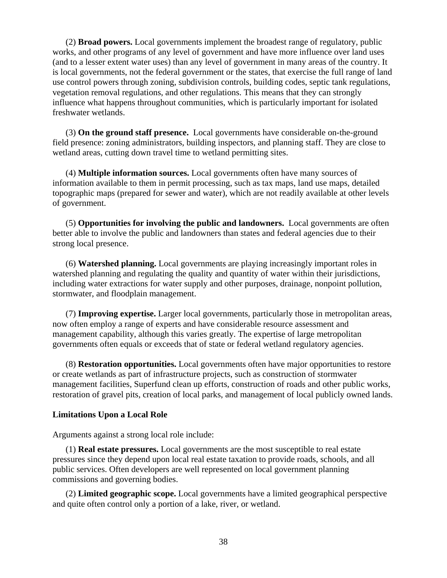(2) **Broad powers.** Local governments implement the broadest range of regulatory, public works, and other programs of any level of government and have more influence over land uses (and to a lesser extent water uses) than any level of government in many areas of the country. It is local governments, not the federal government or the states, that exercise the full range of land use control powers through zoning, subdivision controls, building codes, septic tank regulations, vegetation removal regulations, and other regulations. This means that they can strongly influence what happens throughout communities, which is particularly important for isolated freshwater wetlands.

(3) **On the ground staff presence.** Local governments have considerable on-the-ground field presence: zoning administrators, building inspectors, and planning staff. They are close to wetland areas, cutting down travel time to wetland permitting sites.

(4) **Multiple information sources.** Local governments often have many sources of information available to them in permit processing, such as tax maps, land use maps, detailed topographic maps (prepared for sewer and water), which are not readily available at other levels of government.

(5) **Opportunities for involving the public and landowners.** Local governments are often better able to involve the public and landowners than states and federal agencies due to their strong local presence.

(6) **Watershed planning.** Local governments are playing increasingly important roles in watershed planning and regulating the quality and quantity of water within their jurisdictions, including water extractions for water supply and other purposes, drainage, nonpoint pollution, stormwater, and floodplain management.

(7) **Improving expertise.** Larger local governments, particularly those in metropolitan areas, now often employ a range of experts and have considerable resource assessment and management capability, although this varies greatly. The expertise of large metropolitan governments often equals or exceeds that of state or federal wetland regulatory agencies.

(8) **Restoration opportunities.** Local governments often have major opportunities to restore or create wetlands as part of infrastructure projects, such as construction of stormwater management facilities, Superfund clean up efforts, construction of roads and other public works, restoration of gravel pits, creation of local parks, and management of local publicly owned lands.

## **Limitations Upon a Local Role**

Arguments against a strong local role include:

(1) **Real estate pressures.** Local governments are the most susceptible to real estate pressures since they depend upon local real estate taxation to provide roads, schools, and all public services. Often developers are well represented on local government planning commissions and governing bodies.

(2) **Limited geographic scope.** Local governments have a limited geographical perspective and quite often control only a portion of a lake, river, or wetland.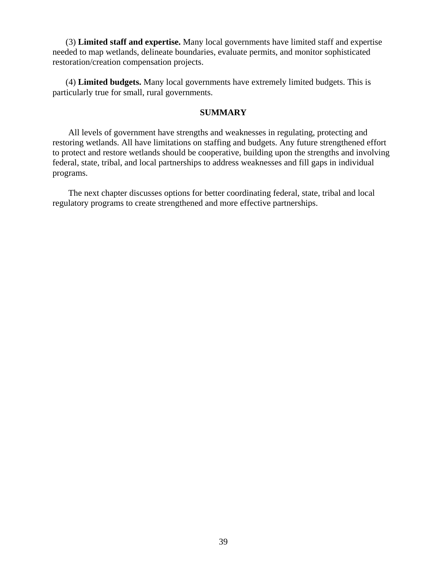(3) **Limited staff and expertise.** Many local governments have limited staff and expertise needed to map wetlands, delineate boundaries, evaluate permits, and monitor sophisticated restoration/creation compensation projects.

(4) **Limited budgets.** Many local governments have extremely limited budgets. This is particularly true for small, rural governments.

### **SUMMARY**

 All levels of government have strengths and weaknesses in regulating, protecting and restoring wetlands. All have limitations on staffing and budgets. Any future strengthened effort to protect and restore wetlands should be cooperative, building upon the strengths and involving federal, state, tribal, and local partnerships to address weaknesses and fill gaps in individual programs.

The next chapter discusses options for better coordinating federal, state, tribal and local regulatory programs to create strengthened and more effective partnerships.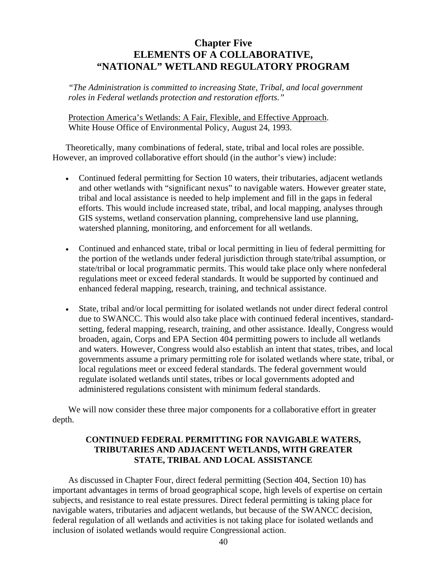# **Chapter Five ELEMENTS OF A COLLABORATIVE, "NATIONAL" WETLAND REGULATORY PROGRAM**

*"The Administration is committed to increasing State, Tribal, and local government roles in Federal wetlands protection and restoration efforts."* 

Protection America's Wetlands: A Fair, Flexible, and Effective Approach. White House Office of Environmental Policy, August 24, 1993.

Theoretically, many combinations of federal, state, tribal and local roles are possible. However, an improved collaborative effort should (in the author's view) include:

- Continued federal permitting for Section 10 waters, their tributaries, adjacent wetlands and other wetlands with "significant nexus" to navigable waters. However greater state, tribal and local assistance is needed to help implement and fill in the gaps in federal efforts. This would include increased state, tribal, and local mapping, analyses through GIS systems, wetland conservation planning, comprehensive land use planning, watershed planning, monitoring, and enforcement for all wetlands.
- Continued and enhanced state, tribal or local permitting in lieu of federal permitting for the portion of the wetlands under federal jurisdiction through state/tribal assumption, or state/tribal or local programmatic permits. This would take place only where nonfederal regulations meet or exceed federal standards. It would be supported by continued and enhanced federal mapping, research, training, and technical assistance.
- State, tribal and/or local permitting for isolated wetlands not under direct federal control due to SWANCC. This would also take place with continued federal incentives, standardsetting, federal mapping, research, training, and other assistance. Ideally, Congress would broaden, again, Corps and EPA Section 404 permitting powers to include all wetlands and waters. However, Congress would also establish an intent that states, tribes, and local governments assume a primary permitting role for isolated wetlands where state, tribal, or local regulations meet or exceed federal standards. The federal government would regulate isolated wetlands until states, tribes or local governments adopted and administered regulations consistent with minimum federal standards.

We will now consider these three major components for a collaborative effort in greater depth.

# **CONTINUED FEDERAL PERMITTING FOR NAVIGABLE WATERS, TRIBUTARIES AND ADJACENT WETLANDS, WITH GREATER STATE, TRIBAL AND LOCAL ASSISTANCE**

As discussed in Chapter Four, direct federal permitting (Section 404, Section 10) has important advantages in terms of broad geographical scope, high levels of expertise on certain subjects, and resistance to real estate pressures. Direct federal permitting is taking place for navigable waters, tributaries and adjacent wetlands, but because of the SWANCC decision, federal regulation of all wetlands and activities is not taking place for isolated wetlands and inclusion of isolated wetlands would require Congressional action.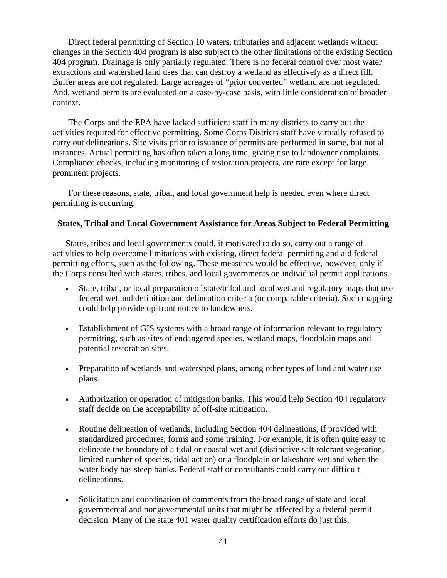Direct federal permitting of Section 10 waters, tributaries and adjacent wetlands without changes in the Section 404 program is also subject to the other limitations of the existing Section 404 program. Drainage is only partially regulated. There is no federal control over most water extractions and watershed land uses that can destroy a wetland as effectively as a direct fill. Buffer areas are not regulated. Large acreages of "prior converted" wetland are not regulated. And, wetland permits are evaluated on a case-by-case basis, with little consideration of broader context.

The Corps and the EPA have lacked sufficient staff in many districts to carry out the activities required for effective permitting. Some Corps Districts staff have virtually refused to carry out delineations. Site visits prior to issuance of permits are performed in some, but not all instances. Actual permitting has often taken a long time, giving rise to landowner complaints. Compliance checks, including monitoring of restoration projects, are rare except for large, prominent projects.

For these reasons, state, tribal, and local government help is needed even where direct permitting is occurring.

### **States, Tribal and Local Government Assistance for Areas Subject to Federal Permitting**

States, tribes and local governments could, if motivated to do so, carry out a range of activities to help overcome limitations with existing, direct federal permitting and aid federal permitting efforts, such as the following. These measures would be effective, however, only if the Corps consulted with states, tribes, and local governments on individual permit applications.

- State, tribal, or local preparation of state/tribal and local wetland regulatory maps that use federal wetland definition and delineation criteria (or comparable criteria). Such mapping could help provide up-front notice to landowners.
- Establishment of GIS systems with a broad range of information relevant to regulatory permitting, such as sites of endangered species, wetland maps, floodplain maps and potential restoration sites.
- Preparation of wetlands and watershed plans, among other types of land and water use plans.
- Authorization or operation of mitigation banks. This would help Section 404 regulatory staff decide on the acceptability of off-site mitigation.
- Routine delineation of wetlands, including Section 404 delineations, if provided with standardized procedures, forms and some training. For example, it is often quite easy to delineate the boundary of a tidal or coastal wetland (distinctive salt-tolerant vegetation, limited number of species, tidal action) or a floodplain or lakeshore wetland when the water body has steep banks. Federal staff or consultants could carry out difficult delineations.
- Solicitation and coordination of comments from the broad range of state and local governmental and nongovernmental units that might be affected by a federal permit decision. Many of the state 401 water quality certification efforts do just this.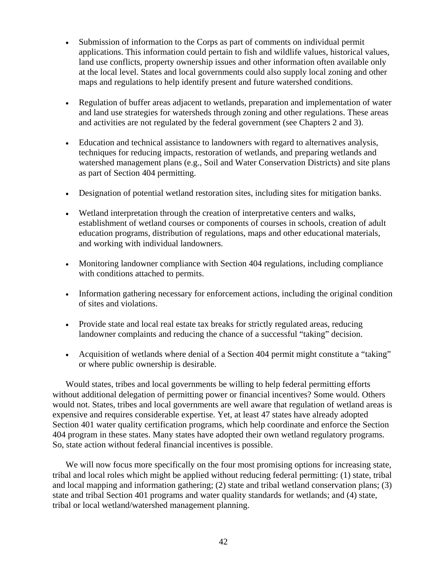- Submission of information to the Corps as part of comments on individual permit applications. This information could pertain to fish and wildlife values, historical values, land use conflicts, property ownership issues and other information often available only at the local level. States and local governments could also supply local zoning and other maps and regulations to help identify present and future watershed conditions.
- Regulation of buffer areas adjacent to wetlands, preparation and implementation of water and land use strategies for watersheds through zoning and other regulations. These areas and activities are not regulated by the federal government (see Chapters 2 and 3).
- Education and technical assistance to landowners with regard to alternatives analysis, techniques for reducing impacts, restoration of wetlands, and preparing wetlands and watershed management plans (e.g., Soil and Water Conservation Districts) and site plans as part of Section 404 permitting.
- Designation of potential wetland restoration sites, including sites for mitigation banks.
- Wetland interpretation through the creation of interpretative centers and walks, establishment of wetland courses or components of courses in schools, creation of adult education programs, distribution of regulations, maps and other educational materials, and working with individual landowners.
- Monitoring landowner compliance with Section 404 regulations, including compliance with conditions attached to permits.
- Information gathering necessary for enforcement actions, including the original condition of sites and violations.
- Provide state and local real estate tax breaks for strictly regulated areas, reducing landowner complaints and reducing the chance of a successful "taking" decision.
- Acquisition of wetlands where denial of a Section 404 permit might constitute a "taking" or where public ownership is desirable.

Would states, tribes and local governments be willing to help federal permitting efforts without additional delegation of permitting power or financial incentives? Some would. Others would not. States, tribes and local governments are well aware that regulation of wetland areas is expensive and requires considerable expertise. Yet, at least 47 states have already adopted Section 401 water quality certification programs, which help coordinate and enforce the Section 404 program in these states. Many states have adopted their own wetland regulatory programs. So, state action without federal financial incentives is possible.

We will now focus more specifically on the four most promising options for increasing state, tribal and local roles which might be applied without reducing federal permitting: (1) state, tribal and local mapping and information gathering; (2) state and tribal wetland conservation plans; (3) state and tribal Section 401 programs and water quality standards for wetlands; and (4) state, tribal or local wetland/watershed management planning.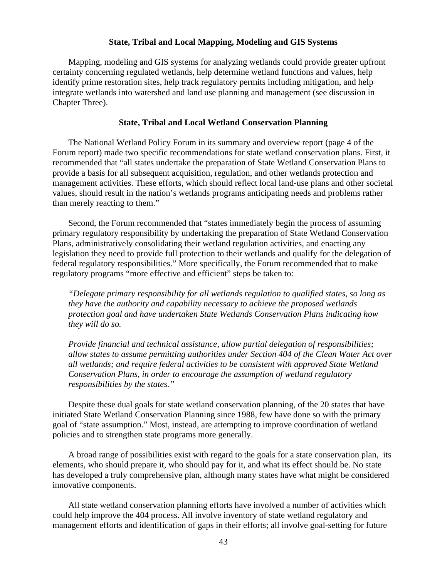### **State, Tribal and Local Mapping, Modeling and GIS Systems**

Mapping, modeling and GIS systems for analyzing wetlands could provide greater upfront certainty concerning regulated wetlands, help determine wetland functions and values, help identify prime restoration sites, help track regulatory permits including mitigation, and help integrate wetlands into watershed and land use planning and management (see discussion in Chapter Three).

#### **State, Tribal and Local Wetland Conservation Planning**

The National Wetland Policy Forum in its summary and overview report (page 4 of the Forum report) made two specific recommendations for state wetland conservation plans. First, it recommended that "all states undertake the preparation of State Wetland Conservation Plans to provide a basis for all subsequent acquisition, regulation, and other wetlands protection and management activities. These efforts, which should reflect local land-use plans and other societal values, should result in the nation's wetlands programs anticipating needs and problems rather than merely reacting to them."

Second, the Forum recommended that "states immediately begin the process of assuming primary regulatory responsibility by undertaking the preparation of State Wetland Conservation Plans, administratively consolidating their wetland regulation activities, and enacting any legislation they need to provide full protection to their wetlands and qualify for the delegation of federal regulatory responsibilities." More specifically, the Forum recommended that to make regulatory programs "more effective and efficient" steps be taken to:

*"Delegate primary responsibility for all wetlands regulation to qualified states, so long as they have the authority and capability necessary to achieve the proposed wetlands protection goal and have undertaken State Wetlands Conservation Plans indicating how they will do so.* 

*Provide financial and technical assistance, allow partial delegation of responsibilities; allow states to assume permitting authorities under Section 404 of the Clean Water Act over all wetlands; and require federal activities to be consistent with approved State Wetland Conservation Plans, in order to encourage the assumption of wetland regulatory responsibilities by the states."* 

Despite these dual goals for state wetland conservation planning, of the 20 states that have initiated State Wetland Conservation Planning since 1988, few have done so with the primary goal of "state assumption." Most, instead, are attempting to improve coordination of wetland policies and to strengthen state programs more generally.

A broad range of possibilities exist with regard to the goals for a state conservation plan, its elements, who should prepare it, who should pay for it, and what its effect should be. No state has developed a truly comprehensive plan, although many states have what might be considered innovative components.

All state wetland conservation planning efforts have involved a number of activities which could help improve the 404 process. All involve inventory of state wetland regulatory and management efforts and identification of gaps in their efforts; all involve goal-setting for future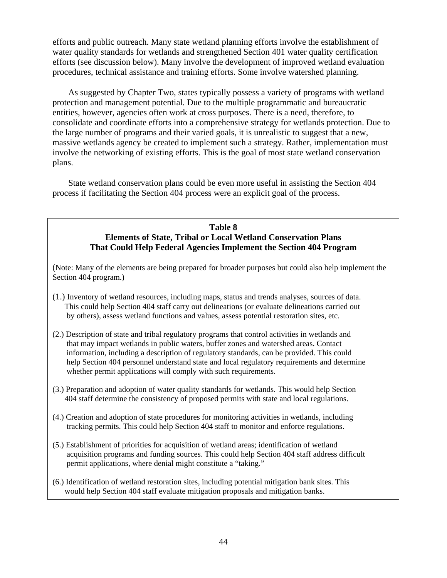efforts and public outreach. Many state wetland planning efforts involve the establishment of water quality standards for wetlands and strengthened Section 401 water quality certification efforts (see discussion below). Many involve the development of improved wetland evaluation procedures, technical assistance and training efforts. Some involve watershed planning.

As suggested by Chapter Two, states typically possess a variety of programs with wetland protection and management potential. Due to the multiple programmatic and bureaucratic entities, however, agencies often work at cross purposes. There is a need, therefore, to consolidate and coordinate efforts into a comprehensive strategy for wetlands protection. Due to the large number of programs and their varied goals, it is unrealistic to suggest that a new, massive wetlands agency be created to implement such a strategy. Rather, implementation must involve the networking of existing efforts. This is the goal of most state wetland conservation plans.

State wetland conservation plans could be even more useful in assisting the Section 404 process if facilitating the Section 404 process were an explicit goal of the process.

# **Table 8 Elements of State, Tribal or Local Wetland Conservation Plans That Could Help Federal Agencies Implement the Section 404 Program**

(Note: Many of the elements are being prepared for broader purposes but could also help implement the Section 404 program.)

- (1.) Inventory of wetland resources, including maps, status and trends analyses, sources of data. This could help Section 404 staff carry out delineations (or evaluate delineations carried out by others), assess wetland functions and values, assess potential restoration sites, etc.
- (2.) Description of state and tribal regulatory programs that control activities in wetlands and that may impact wetlands in public waters, buffer zones and watershed areas. Contact information, including a description of regulatory standards, can be provided. This could help Section 404 personnel understand state and local regulatory requirements and determine whether permit applications will comply with such requirements.
- (3.) Preparation and adoption of water quality standards for wetlands. This would help Section 404 staff determine the consistency of proposed permits with state and local regulations.
- (4.) Creation and adoption of state procedures for monitoring activities in wetlands, including tracking permits. This could help Section 404 staff to monitor and enforce regulations.
- (5.) Establishment of priorities for acquisition of wetland areas; identification of wetland acquisition programs and funding sources. This could help Section 404 staff address difficult permit applications, where denial might constitute a "taking."
- (6.) Identification of wetland restoration sites, including potential mitigation bank sites. This would help Section 404 staff evaluate mitigation proposals and mitigation banks.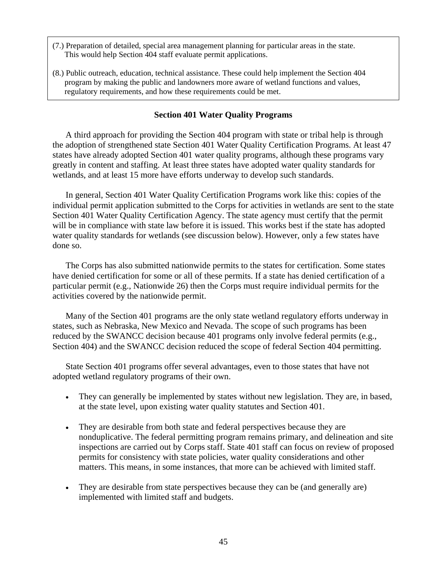- (7.) Preparation of detailed, special area management planning for particular areas in the state. This would help Section 404 staff evaluate permit applications.
- (8.) Public outreach, education, technical assistance. These could help implement the Section 404 program by making the public and landowners more aware of wetland functions and values, regulatory requirements, and how these requirements could be met.

### **Section 401 Water Quality Programs**

A third approach for providing the Section 404 program with state or tribal help is through the adoption of strengthened state Section 401 Water Quality Certification Programs. At least 47 states have already adopted Section 401 water quality programs, although these programs vary greatly in content and staffing. At least three states have adopted water quality standards for wetlands, and at least 15 more have efforts underway to develop such standards.

In general, Section 401 Water Quality Certification Programs work like this: copies of the individual permit application submitted to the Corps for activities in wetlands are sent to the state Section 401 Water Quality Certification Agency. The state agency must certify that the permit will be in compliance with state law before it is issued. This works best if the state has adopted water quality standards for wetlands (see discussion below). However, only a few states have done so.

The Corps has also submitted nationwide permits to the states for certification. Some states have denied certification for some or all of these permits. If a state has denied certification of a particular permit (e.g., Nationwide 26) then the Corps must require individual permits for the activities covered by the nationwide permit.

Many of the Section 401 programs are the only state wetland regulatory efforts underway in states, such as Nebraska, New Mexico and Nevada. The scope of such programs has been reduced by the SWANCC decision because 401 programs only involve federal permits (e.g., Section 404) and the SWANCC decision reduced the scope of federal Section 404 permitting.

State Section 401 programs offer several advantages, even to those states that have not adopted wetland regulatory programs of their own.

- They can generally be implemented by states without new legislation. They are, in based, at the state level, upon existing water quality statutes and Section 401.
- They are desirable from both state and federal perspectives because they are nonduplicative. The federal permitting program remains primary, and delineation and site inspections are carried out by Corps staff. State 401 staff can focus on review of proposed permits for consistency with state policies, water quality considerations and other matters. This means, in some instances, that more can be achieved with limited staff.
- They are desirable from state perspectives because they can be (and generally are) implemented with limited staff and budgets.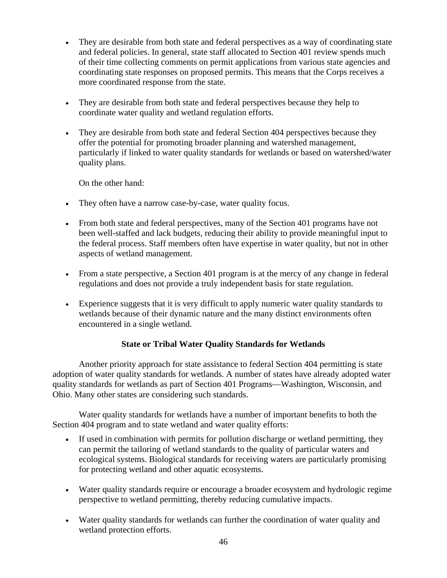- They are desirable from both state and federal perspectives as a way of coordinating state and federal policies. In general, state staff allocated to Section 401 review spends much of their time collecting comments on permit applications from various state agencies and coordinating state responses on proposed permits. This means that the Corps receives a more coordinated response from the state.
- They are desirable from both state and federal perspectives because they help to coordinate water quality and wetland regulation efforts.
- They are desirable from both state and federal Section 404 perspectives because they offer the potential for promoting broader planning and watershed management, particularly if linked to water quality standards for wetlands or based on watershed/water quality plans.

On the other hand:

- They often have a narrow case-by-case, water quality focus.
- From both state and federal perspectives, many of the Section 401 programs have not been well-staffed and lack budgets, reducing their ability to provide meaningful input to the federal process. Staff members often have expertise in water quality, but not in other aspects of wetland management.
- From a state perspective, a Section 401 program is at the mercy of any change in federal regulations and does not provide a truly independent basis for state regulation.
- Experience suggests that it is very difficult to apply numeric water quality standards to wetlands because of their dynamic nature and the many distinct environments often encountered in a single wetland.

# **State or Tribal Water Quality Standards for Wetlands**

Another priority approach for state assistance to federal Section 404 permitting is state adoption of water quality standards for wetlands. A number of states have already adopted water quality standards for wetlands as part of Section 401 Programs—Washington, Wisconsin, and Ohio. Many other states are considering such standards.

Water quality standards for wetlands have a number of important benefits to both the Section 404 program and to state wetland and water quality efforts:

- If used in combination with permits for pollution discharge or wetland permitting, they can permit the tailoring of wetland standards to the quality of particular waters and ecological systems. Biological standards for receiving waters are particularly promising for protecting wetland and other aquatic ecosystems.
- Water quality standards require or encourage a broader ecosystem and hydrologic regime perspective to wetland permitting, thereby reducing cumulative impacts.
- Water quality standards for wetlands can further the coordination of water quality and wetland protection efforts.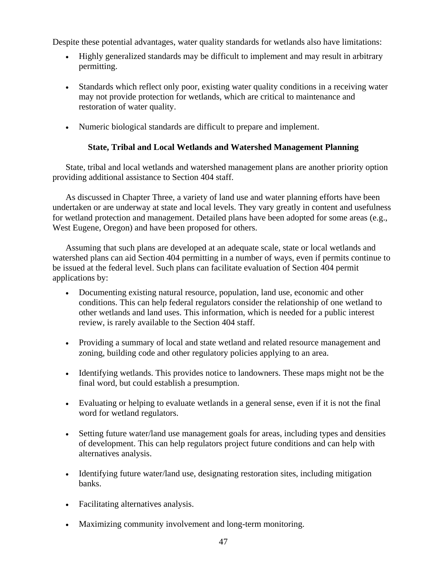Despite these potential advantages, water quality standards for wetlands also have limitations:

- Highly generalized standards may be difficult to implement and may result in arbitrary permitting.
- Standards which reflect only poor, existing water quality conditions in a receiving water may not provide protection for wetlands, which are critical to maintenance and restoration of water quality.
- Numeric biological standards are difficult to prepare and implement.

# **State, Tribal and Local Wetlands and Watershed Management Planning**

State, tribal and local wetlands and watershed management plans are another priority option providing additional assistance to Section 404 staff.

As discussed in Chapter Three, a variety of land use and water planning efforts have been undertaken or are underway at state and local levels. They vary greatly in content and usefulness for wetland protection and management. Detailed plans have been adopted for some areas (e.g., West Eugene, Oregon) and have been proposed for others.

Assuming that such plans are developed at an adequate scale, state or local wetlands and watershed plans can aid Section 404 permitting in a number of ways, even if permits continue to be issued at the federal level. Such plans can facilitate evaluation of Section 404 permit applications by:

- Documenting existing natural resource, population, land use, economic and other conditions. This can help federal regulators consider the relationship of one wetland to other wetlands and land uses. This information, which is needed for a public interest review, is rarely available to the Section 404 staff.
- Providing a summary of local and state wetland and related resource management and zoning, building code and other regulatory policies applying to an area.
- Identifying wetlands. This provides notice to landowners. These maps might not be the final word, but could establish a presumption.
- Evaluating or helping to evaluate wetlands in a general sense, even if it is not the final word for wetland regulators.
- Setting future water/land use management goals for areas, including types and densities of development. This can help regulators project future conditions and can help with alternatives analysis.
- Identifying future water/land use, designating restoration sites, including mitigation banks.
- Facilitating alternatives analysis.
- Maximizing community involvement and long-term monitoring.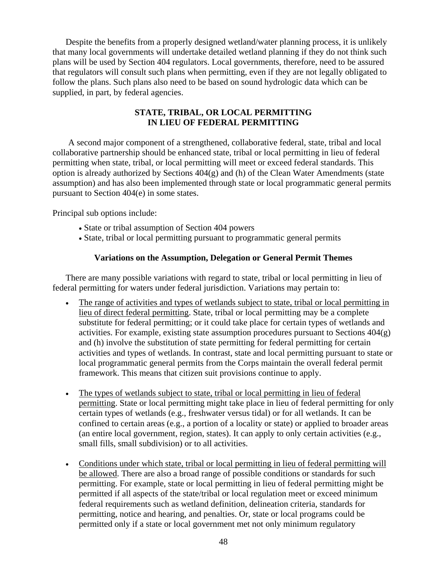Despite the benefits from a properly designed wetland/water planning process, it is unlikely that many local governments will undertake detailed wetland planning if they do not think such plans will be used by Section 404 regulators. Local governments, therefore, need to be assured that regulators will consult such plans when permitting, even if they are not legally obligated to follow the plans. Such plans also need to be based on sound hydrologic data which can be supplied, in part, by federal agencies.

## **STATE, TRIBAL, OR LOCAL PERMITTING IN LIEU OF FEDERAL PERMITTING**

A second major component of a strengthened, collaborative federal, state, tribal and local collaborative partnership should be enhanced state, tribal or local permitting in lieu of federal permitting when state, tribal, or local permitting will meet or exceed federal standards. This option is already authorized by Sections 404(g) and (h) of the Clean Water Amendments (state assumption) and has also been implemented through state or local programmatic general permits pursuant to Section 404(e) in some states.

Principal sub options include:

- State or tribal assumption of Section 404 powers
- State, tribal or local permitting pursuant to programmatic general permits

## **Variations on the Assumption, Delegation or General Permit Themes**

There are many possible variations with regard to state, tribal or local permitting in lieu of federal permitting for waters under federal jurisdiction. Variations may pertain to:

- The range of activities and types of wetlands subject to state, tribal or local permitting in lieu of direct federal permitting. State, tribal or local permitting may be a complete substitute for federal permitting; or it could take place for certain types of wetlands and activities. For example, existing state assumption procedures pursuant to Sections  $404(g)$ and (h) involve the substitution of state permitting for federal permitting for certain activities and types of wetlands. In contrast, state and local permitting pursuant to state or local programmatic general permits from the Corps maintain the overall federal permit framework. This means that citizen suit provisions continue to apply.
- The types of wetlands subject to state, tribal or local permitting in lieu of federal permitting. State or local permitting might take place in lieu of federal permitting for only certain types of wetlands (e.g., freshwater versus tidal) or for all wetlands. It can be confined to certain areas (e.g., a portion of a locality or state) or applied to broader areas (an entire local government, region, states). It can apply to only certain activities (e.g., small fills, small subdivision) or to all activities.
- Conditions under which state, tribal or local permitting in lieu of federal permitting will be allowed. There are also a broad range of possible conditions or standards for such permitting. For example, state or local permitting in lieu of federal permitting might be permitted if all aspects of the state/tribal or local regulation meet or exceed minimum federal requirements such as wetland definition, delineation criteria, standards for permitting, notice and hearing, and penalties. Or, state or local programs could be permitted only if a state or local government met not only minimum regulatory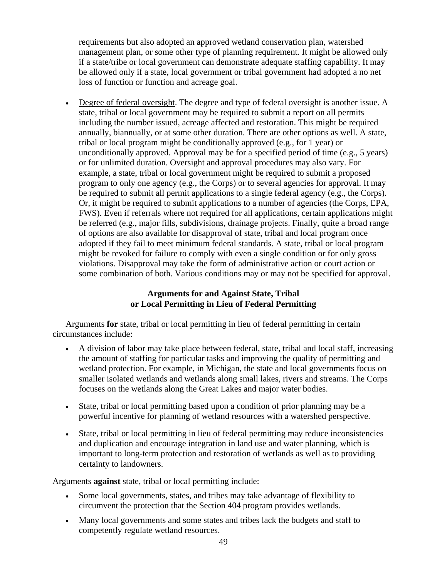requirements but also adopted an approved wetland conservation plan, watershed management plan, or some other type of planning requirement. It might be allowed only if a state/tribe or local government can demonstrate adequate staffing capability. It may be allowed only if a state, local government or tribal government had adopted a no net loss of function or function and acreage goal.

• Degree of federal oversight. The degree and type of federal oversight is another issue. A state, tribal or local government may be required to submit a report on all permits including the number issued, acreage affected and restoration. This might be required annually, biannually, or at some other duration. There are other options as well. A state, tribal or local program might be conditionally approved (e.g., for 1 year) or unconditionally approved. Approval may be for a specified period of time (e.g., 5 years) or for unlimited duration. Oversight and approval procedures may also vary. For example, a state, tribal or local government might be required to submit a proposed program to only one agency (e.g., the Corps) or to several agencies for approval. It may be required to submit all permit applications to a single federal agency (e.g., the Corps). Or, it might be required to submit applications to a number of agencies (the Corps, EPA, FWS). Even if referrals where not required for all applications, certain applications might be referred (e.g., major fills, subdivisions, drainage projects. Finally, quite a broad range of options are also available for disapproval of state, tribal and local program once adopted if they fail to meet minimum federal standards. A state, tribal or local program might be revoked for failure to comply with even a single condition or for only gross violations. Disapproval may take the form of administrative action or court action or some combination of both. Various conditions may or may not be specified for approval.

## **Arguments for and Against State, Tribal or Local Permitting in Lieu of Federal Permitting**

Arguments **for** state, tribal or local permitting in lieu of federal permitting in certain circumstances include:

- A division of labor may take place between federal, state, tribal and local staff, increasing the amount of staffing for particular tasks and improving the quality of permitting and wetland protection. For example, in Michigan, the state and local governments focus on smaller isolated wetlands and wetlands along small lakes, rivers and streams. The Corps focuses on the wetlands along the Great Lakes and major water bodies.
- State, tribal or local permitting based upon a condition of prior planning may be a powerful incentive for planning of wetland resources with a watershed perspective.
- State, tribal or local permitting in lieu of federal permitting may reduce inconsistencies and duplication and encourage integration in land use and water planning, which is important to long-term protection and restoration of wetlands as well as to providing certainty to landowners.

Arguments **against** state, tribal or local permitting include:

- Some local governments, states, and tribes may take advantage of flexibility to circumvent the protection that the Section 404 program provides wetlands.
- Many local governments and some states and tribes lack the budgets and staff to competently regulate wetland resources.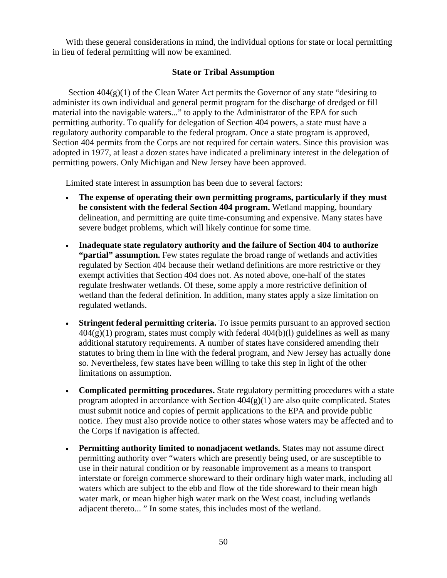With these general considerations in mind, the individual options for state or local permitting in lieu of federal permitting will now be examined.

## **State or Tribal Assumption**

Section  $404(g)(1)$  of the Clean Water Act permits the Governor of any state "desiring to administer its own individual and general permit program for the discharge of dredged or fill material into the navigable waters..." to apply to the Administrator of the EPA for such permitting authority. To qualify for delegation of Section 404 powers, a state must have a regulatory authority comparable to the federal program. Once a state program is approved, Section 404 permits from the Corps are not required for certain waters. Since this provision was adopted in 1977, at least a dozen states have indicated a preliminary interest in the delegation of permitting powers. Only Michigan and New Jersey have been approved.

Limited state interest in assumption has been due to several factors:

- **The expense of operating their own permitting programs, particularly if they must be consistent with the federal Section 404 program.** Wetland mapping, boundary delineation, and permitting are quite time-consuming and expensive. Many states have severe budget problems, which will likely continue for some time.
- **Inadequate state regulatory authority and the failure of Section 404 to authorize**  "**partial" assumption.** Few states regulate the broad range of wetlands and activities regulated by Section 404 because their wetland definitions are more restrictive or they exempt activities that Section 404 does not. As noted above, one-half of the states regulate freshwater wetlands. Of these, some apply a more restrictive definition of wetland than the federal definition. In addition, many states apply a size limitation on regulated wetlands.
- **Stringent federal permitting criteria.** To issue permits pursuant to an approved section  $404(g)(1)$  program, states must comply with federal  $404(b)(1)$  guidelines as well as many additional statutory requirements. A number of states have considered amending their statutes to bring them in line with the federal program, and New Jersey has actually done so. Nevertheless, few states have been willing to take this step in light of the other limitations on assumption.
- **Complicated permitting procedures.** State regulatory permitting procedures with a state program adopted in accordance with Section  $404(g)(1)$  are also quite complicated. States must submit notice and copies of permit applications to the EPA and provide public notice. They must also provide notice to other states whose waters may be affected and to the Corps if navigation is affected.
- **Permitting authority limited to nonadjacent wetlands.** States may not assume direct permitting authority over "waters which are presently being used, or are susceptible to use in their natural condition or by reasonable improvement as a means to transport interstate or foreign commerce shoreward to their ordinary high water mark, including all waters which are subject to the ebb and flow of the tide shoreward to their mean high water mark, or mean higher high water mark on the West coast, including wetlands adjacent thereto... " In some states, this includes most of the wetland.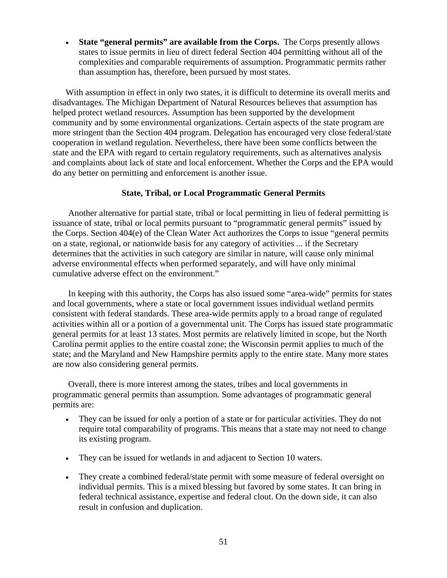• **State "general permits" are available from the Corps.** The Corps presently allows states to issue permits in lieu of direct federal Section 404 permitting without all of the complexities and comparable requirements of assumption. Programmatic permits rather than assumption has, therefore, been pursued by most states.

With assumption in effect in only two states, it is difficult to determine its overall merits and disadvantages. The Michigan Department of Natural Resources believes that assumption has helped protect wetland resources. Assumption has been supported by the development community and by some environmental organizations. Certain aspects of the state program are more stringent than the Section 404 program. Delegation has encouraged very close federal/state cooperation in wetland regulation. Nevertheless, there have been some conflicts between the state and the EPA with regard to certain regulatory requirements, such as alternatives analysis and complaints about lack of state and local enforcement. Whether the Corps and the EPA would do any better on permitting and enforcement is another issue.

### **State, Tribal, or Local Programmatic General Permits**

Another alternative for partial state, tribal or local permitting in lieu of federal permitting is issuance of state, tribal or local permits pursuant to "programmatic general permits" issued by the Corps. Section 404(e) of the Clean Water Act authorizes the Corps to issue "general permits on a state, regional, or nationwide basis for any category of activities ... if the Secretary determines that the activities in such category are similar in nature, will cause only minimal adverse environmental effects when performed separately, and will have only minimal cumulative adverse effect on the environment."

 In keeping with this authority, the Corps has also issued some "area-wide" permits for states and local governments, where a state or local government issues individual wetland permits consistent with federal standards. These area-wide permits apply to a broad range of regulated activities within all or a portion of a governmental unit. The Corps has issued state programmatic general permits for at least 13 states. Most permits are relatively limited in scope, but the North Carolina permit applies to the entire coastal zone; the Wisconsin permit applies to much of the state; and the Maryland and New Hampshire permits apply to the entire state. Many more states are now also considering general permits.

 Overall, there is more interest among the states, tribes and local governments in programmatic general permits than assumption. Some advantages of programmatic general permits are:

- They can be issued for only a portion of a state or for particular activities. They do not require total comparability of programs. This means that a state may not need to change its existing program.
- They can be issued for wetlands in and adjacent to Section 10 waters.
- They create a combined federal/state permit with some measure of federal oversight on individual permits. This is a mixed blessing but favored by some states. It can bring in federal technical assistance, expertise and federal clout. On the down side, it can also result in confusion and duplication.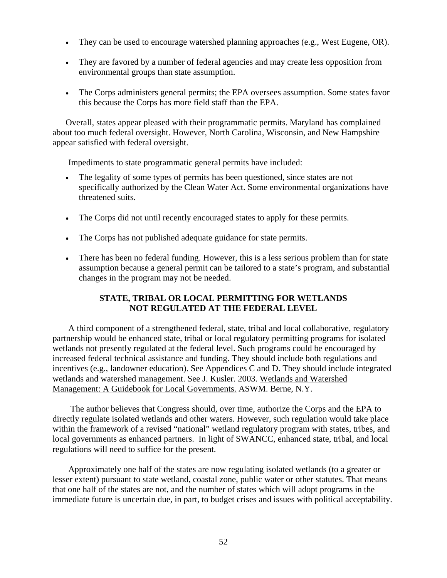- They can be used to encourage watershed planning approaches (e.g., West Eugene, OR).
- They are favored by a number of federal agencies and may create less opposition from environmental groups than state assumption.
- The Corps administers general permits; the EPA oversees assumption. Some states favor this because the Corps has more field staff than the EPA.

Overall, states appear pleased with their programmatic permits. Maryland has complained about too much federal oversight. However, North Carolina, Wisconsin, and New Hampshire appear satisfied with federal oversight.

Impediments to state programmatic general permits have included:

- The legality of some types of permits has been questioned, since states are not specifically authorized by the Clean Water Act. Some environmental organizations have threatened suits.
- The Corps did not until recently encouraged states to apply for these permits.
- The Corps has not published adequate guidance for state permits.
- There has been no federal funding. However, this is a less serious problem than for state assumption because a general permit can be tailored to a state's program, and substantial changes in the program may not be needed.

## **STATE, TRIBAL OR LOCAL PERMITTING FOR WETLANDS NOT REGULATED AT THE FEDERAL LEVEL**

A third component of a strengthened federal, state, tribal and local collaborative, regulatory partnership would be enhanced state, tribal or local regulatory permitting programs for isolated wetlands not presently regulated at the federal level. Such programs could be encouraged by increased federal technical assistance and funding. They should include both regulations and incentives (e.g., landowner education). See Appendices C and D. They should include integrated wetlands and watershed management. See J. Kusler. 2003. Wetlands and Watershed Management: A Guidebook for Local Governments. ASWM. Berne, N.Y.

 The author believes that Congress should, over time, authorize the Corps and the EPA to directly regulate isolated wetlands and other waters. However, such regulation would take place within the framework of a revised "national" wetland regulatory program with states, tribes, and local governments as enhanced partners. In light of SWANCC, enhanced state, tribal, and local regulations will need to suffice for the present.

Approximately one half of the states are now regulating isolated wetlands (to a greater or lesser extent) pursuant to state wetland, coastal zone, public water or other statutes. That means that one half of the states are not, and the number of states which will adopt programs in the immediate future is uncertain due, in part, to budget crises and issues with political acceptability.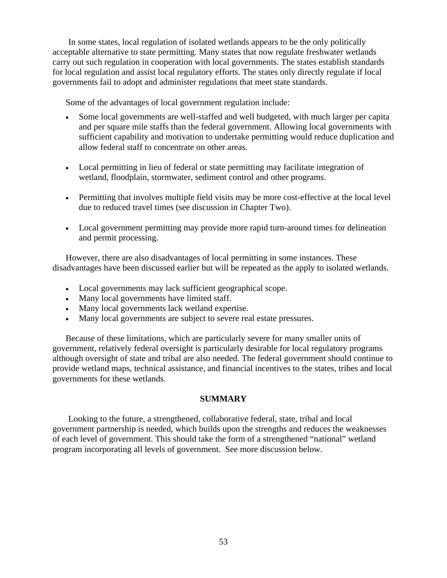In some states, local regulation of isolated wetlands appears to be the only politically acceptable alternative to state permitting. Many states that now regulate freshwater wetlands carry out such regulation in cooperation with local governments. The states establish standards for local regulation and assist local regulatory efforts. The states only directly regulate if local governments fail to adopt and administer regulations that meet state standards.

Some of the advantages of local government regulation include:

- Some local governments are well-staffed and well budgeted, with much larger per capita and per square mile staffs than the federal government. Allowing local governments with sufficient capability and motivation to undertake permitting would reduce duplication and allow federal staff to concentrate on other areas.
- Local permitting in lieu of federal or state permitting may facilitate integration of wetland, floodplain, stormwater, sediment control and other programs.
- Permitting that involves multiple field visits may be more cost-effective at the local level due to reduced travel times (see discussion in Chapter Two).
- Local government permitting may provide more rapid turn-around times for delineation and permit processing.

However, there are also disadvantages of local permitting in some instances. These disadvantages have been discussed earlier but will be repeated as the apply to isolated wetlands.

- Local governments may lack sufficient geographical scope.
- Many local governments have limited staff.
- Many local governments lack wetland expertise.
- Many local governments are subject to severe real estate pressures.

Because of these limitations, which are particularly severe for many smaller units of government, relatively federal oversight is particularly desirable for local regulatory programs although oversight of state and tribal are also needed. The federal government should continue to provide wetland maps, technical assistance, and financial incentives to the states, tribes and local governments for these wetlands.

## **SUMMARY**

Looking to the future, a strengthened, collaborative federal, state, tribal and local government partnership is needed, which builds upon the strengths and reduces the weaknesses of each level of government. This should take the form of a strengthened "national" wetland program incorporating all levels of government. See more discussion below.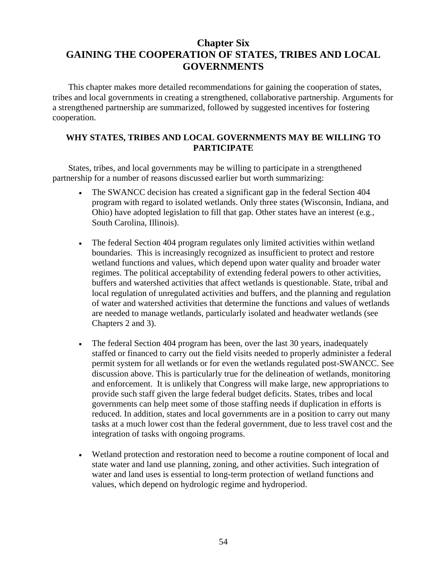# **Chapter Six GAINING THE COOPERATION OF STATES, TRIBES AND LOCAL GOVERNMENTS**

This chapter makes more detailed recommendations for gaining the cooperation of states, tribes and local governments in creating a strengthened, collaborative partnership. Arguments for a strengthened partnership are summarized, followed by suggested incentives for fostering cooperation.

## **WHY STATES, TRIBES AND LOCAL GOVERNMENTS MAY BE WILLING TO PARTICIPATE**

States, tribes, and local governments may be willing to participate in a strengthened partnership for a number of reasons discussed earlier but worth summarizing:

- The SWANCC decision has created a significant gap in the federal Section 404 program with regard to isolated wetlands. Only three states (Wisconsin, Indiana, and Ohio) have adopted legislation to fill that gap. Other states have an interest (e.g., South Carolina, Illinois).
- The federal Section 404 program regulates only limited activities within wetland boundaries. This is increasingly recognized as insufficient to protect and restore wetland functions and values, which depend upon water quality and broader water regimes. The political acceptability of extending federal powers to other activities, buffers and watershed activities that affect wetlands is questionable. State, tribal and local regulation of unregulated activities and buffers, and the planning and regulation of water and watershed activities that determine the functions and values of wetlands are needed to manage wetlands, particularly isolated and headwater wetlands (see Chapters 2 and 3).
- The federal Section 404 program has been, over the last 30 years, inadequately staffed or financed to carry out the field visits needed to properly administer a federal permit system for all wetlands or for even the wetlands regulated post-SWANCC. See discussion above. This is particularly true for the delineation of wetlands, monitoring and enforcement. It is unlikely that Congress will make large, new appropriations to provide such staff given the large federal budget deficits. States, tribes and local governments can help meet some of those staffing needs if duplication in efforts is reduced. In addition, states and local governments are in a position to carry out many tasks at a much lower cost than the federal government, due to less travel cost and the integration of tasks with ongoing programs.
- Wetland protection and restoration need to become a routine component of local and state water and land use planning, zoning, and other activities. Such integration of water and land uses is essential to long-term protection of wetland functions and values, which depend on hydrologic regime and hydroperiod.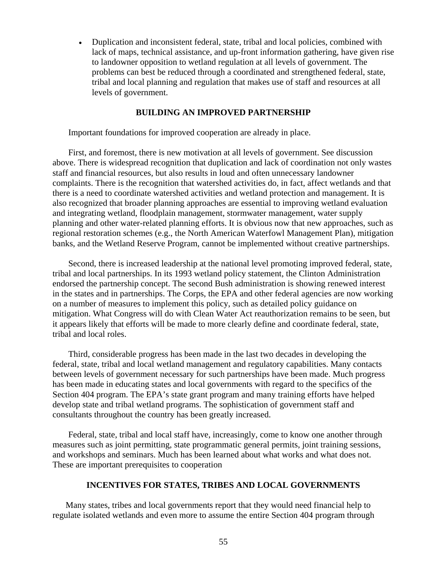• Duplication and inconsistent federal, state, tribal and local policies, combined with lack of maps, technical assistance, and up-front information gathering, have given rise to landowner opposition to wetland regulation at all levels of government. The problems can best be reduced through a coordinated and strengthened federal, state, tribal and local planning and regulation that makes use of staff and resources at all levels of government.

### **BUILDING AN IMPROVED PARTNERSHIP**

Important foundations for improved cooperation are already in place.

First, and foremost, there is new motivation at all levels of government. See discussion above. There is widespread recognition that duplication and lack of coordination not only wastes staff and financial resources, but also results in loud and often unnecessary landowner complaints. There is the recognition that watershed activities do, in fact, affect wetlands and that there is a need to coordinate watershed activities and wetland protection and management. It is also recognized that broader planning approaches are essential to improving wetland evaluation and integrating wetland, floodplain management, stormwater management, water supply planning and other water-related planning efforts. It is obvious now that new approaches, such as regional restoration schemes (e.g., the North American Waterfowl Management Plan), mitigation banks, and the Wetland Reserve Program, cannot be implemented without creative partnerships.

Second, there is increased leadership at the national level promoting improved federal, state, tribal and local partnerships. In its 1993 wetland policy statement, the Clinton Administration endorsed the partnership concept. The second Bush administration is showing renewed interest in the states and in partnerships. The Corps, the EPA and other federal agencies are now working on a number of measures to implement this policy, such as detailed policy guidance on mitigation. What Congress will do with Clean Water Act reauthorization remains to be seen, but it appears likely that efforts will be made to more clearly define and coordinate federal, state, tribal and local roles.

Third, considerable progress has been made in the last two decades in developing the federal, state, tribal and local wetland management and regulatory capabilities. Many contacts between levels of government necessary for such partnerships have been made. Much progress has been made in educating states and local governments with regard to the specifics of the Section 404 program. The EPA's state grant program and many training efforts have helped develop state and tribal wetland programs. The sophistication of government staff and consultants throughout the country has been greatly increased.

Federal, state, tribal and local staff have, increasingly, come to know one another through measures such as joint permitting, state programmatic general permits, joint training sessions, and workshops and seminars. Much has been learned about what works and what does not. These are important prerequisites to cooperation

### **INCENTIVES FOR STATES, TRIBES AND LOCAL GOVERNMENTS**

Many states, tribes and local governments report that they would need financial help to regulate isolated wetlands and even more to assume the entire Section 404 program through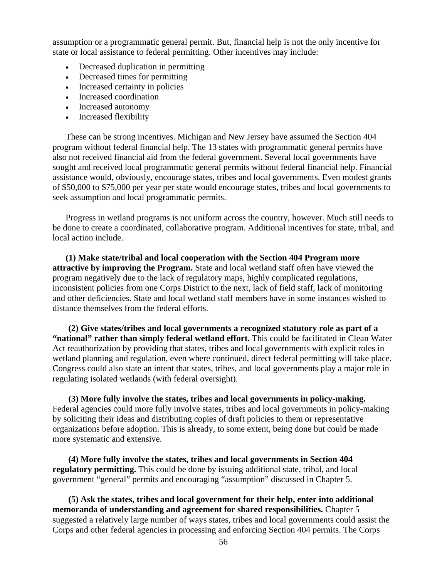assumption or a programmatic general permit. But, financial help is not the only incentive for state or local assistance to federal permitting. Other incentives may include:

- Decreased duplication in permitting
- Decreased times for permitting
- Increased certainty in policies
- Increased coordination
- Increased autonomy
- Increased flexibility

These can be strong incentives. Michigan and New Jersey have assumed the Section 404 program without federal financial help. The 13 states with programmatic general permits have also not received financial aid from the federal government. Several local governments have sought and received local programmatic general permits without federal financial help. Financial assistance would, obviously, encourage states, tribes and local governments. Even modest grants of \$50,000 to \$75,000 per year per state would encourage states, tribes and local governments to seek assumption and local programmatic permits.

Progress in wetland programs is not uniform across the country, however. Much still needs to be done to create a coordinated, collaborative program. Additional incentives for state, tribal, and local action include.

**(1) Make state/tribal and local cooperation with the Section 404 Program more attractive by improving the Program.** State and local wetland staff often have viewed the program negatively due to the lack of regulatory maps, highly complicated regulations, inconsistent policies from one Corps District to the next, lack of field staff, lack of monitoring and other deficiencies. State and local wetland staff members have in some instances wished to distance themselves from the federal efforts.

**(2) Give states/tribes and local governments a recognized statutory role as part of a "national" rather than simply federal wetland effort.** This could be facilitated in Clean Water Act reauthorization by providing that states, tribes and local governments with explicit roles in wetland planning and regulation, even where continued, direct federal permitting will take place. Congress could also state an intent that states, tribes, and local governments play a major role in regulating isolated wetlands (with federal oversight).

**(3) More fully involve the states, tribes and local governments in policy-making.** Federal agencies could more fully involve states, tribes and local governments in policy-making by soliciting their ideas and distributing copies of draft policies to them or representative organizations before adoption. This is already, to some extent, being done but could be made more systematic and extensive.

**(4) More fully involve the states, tribes and local governments in Section 404 regulatory permitting.** This could be done by issuing additional state, tribal, and local government "general" permits and encouraging "assumption" discussed in Chapter 5.

**(5) Ask the states, tribes and local government for their help, enter into additional memoranda of understanding and agreement for shared responsibilities.** Chapter 5 suggested a relatively large number of ways states, tribes and local governments could assist the Corps and other federal agencies in processing and enforcing Section 404 permits. The Corps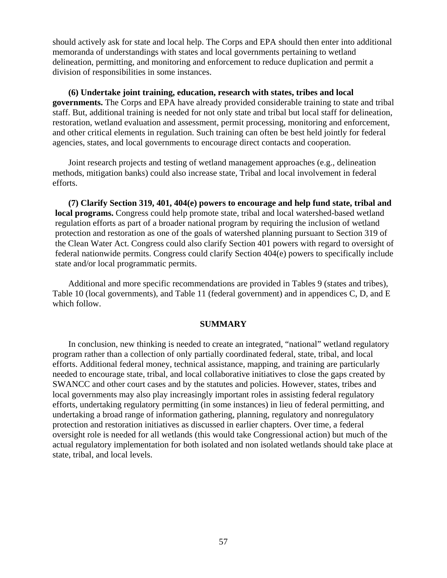should actively ask for state and local help. The Corps and EPA should then enter into additional memoranda of understandings with states and local governments pertaining to wetland delineation, permitting, and monitoring and enforcement to reduce duplication and permit a division of responsibilities in some instances.

**(6) Undertake joint training, education, research with states, tribes and local governments.** The Corps and EPA have already provided considerable training to state and tribal staff. But, additional training is needed for not only state and tribal but local staff for delineation, restoration, wetland evaluation and assessment, permit processing, monitoring and enforcement, and other critical elements in regulation. Such training can often be best held jointly for federal agencies, states, and local governments to encourage direct contacts and cooperation.

Joint research projects and testing of wetland management approaches (e.g., delineation methods, mitigation banks) could also increase state, Tribal and local involvement in federal efforts.

**(7) Clarify Section 319, 401, 404(e) powers to encourage and help fund state, tribal and local programs.** Congress could help promote state, tribal and local watershed-based wetland regulation efforts as part of a broader national program by requiring the inclusion of wetland protection and restoration as one of the goals of watershed planning pursuant to Section 319 of the Clean Water Act. Congress could also clarify Section 401 powers with regard to oversight of federal nationwide permits. Congress could clarify Section 404(e) powers to specifically include state and/or local programmatic permits.

Additional and more specific recommendations are provided in Tables 9 (states and tribes), Table 10 (local governments), and Table 11 (federal government) and in appendices C, D, and E which follow.

#### **SUMMARY**

In conclusion, new thinking is needed to create an integrated, "national" wetland regulatory program rather than a collection of only partially coordinated federal, state, tribal, and local efforts. Additional federal money, technical assistance, mapping, and training are particularly needed to encourage state, tribal, and local collaborative initiatives to close the gaps created by SWANCC and other court cases and by the statutes and policies. However, states, tribes and local governments may also play increasingly important roles in assisting federal regulatory efforts, undertaking regulatory permitting (in some instances) in lieu of federal permitting, and undertaking a broad range of information gathering, planning, regulatory and nonregulatory protection and restoration initiatives as discussed in earlier chapters. Over time, a federal oversight role is needed for all wetlands (this would take Congressional action) but much of the actual regulatory implementation for both isolated and non isolated wetlands should take place at state, tribal, and local levels.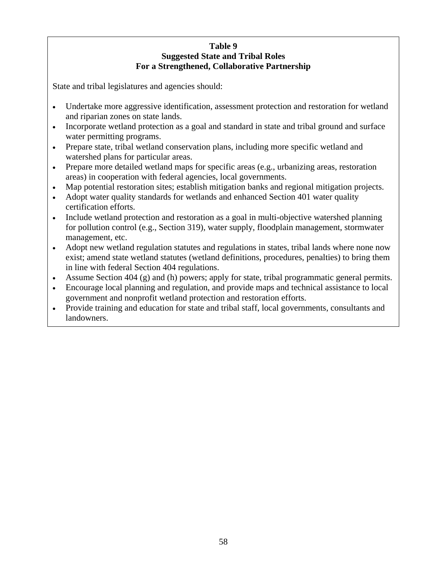## **Table 9 Suggested State and Tribal Roles For a Strengthened, Collaborative Partnership**

State and tribal legislatures and agencies should:

- Undertake more aggressive identification, assessment protection and restoration for wetland and riparian zones on state lands.
- Incorporate wetland protection as a goal and standard in state and tribal ground and surface water permitting programs.
- Prepare state, tribal wetland conservation plans, including more specific wetland and watershed plans for particular areas.
- Prepare more detailed wetland maps for specific areas (e.g., urbanizing areas, restoration areas) in cooperation with federal agencies, local governments.
- Map potential restoration sites; establish mitigation banks and regional mitigation projects.
- Adopt water quality standards for wetlands and enhanced Section 401 water quality certification efforts.
- Include wetland protection and restoration as a goal in multi-objective watershed planning for pollution control (e.g., Section 319), water supply, floodplain management, stormwater management, etc.
- Adopt new wetland regulation statutes and regulations in states, tribal lands where none now exist; amend state wetland statutes (wetland definitions, procedures, penalties) to bring them in line with federal Section 404 regulations.
- Assume Section 404 (g) and (h) powers; apply for state, tribal programmatic general permits.
- Encourage local planning and regulation, and provide maps and technical assistance to local government and nonprofit wetland protection and restoration efforts.
- Provide training and education for state and tribal staff, local governments, consultants and landowners.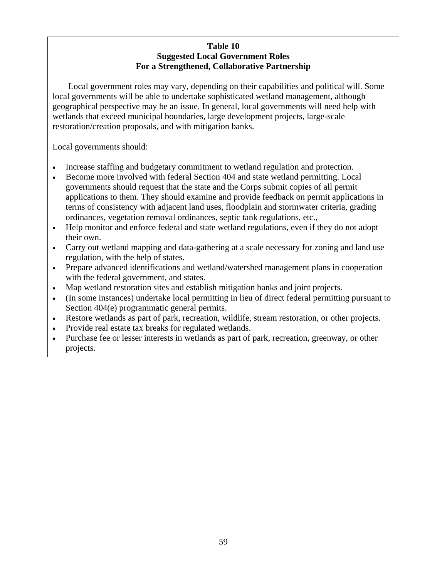## **Table 10 Suggested Local Government Roles For a Strengthened, Collaborative Partnership**

Local government roles may vary, depending on their capabilities and political will. Some local governments will be able to undertake sophisticated wetland management, although geographical perspective may be an issue. In general, local governments will need help with wetlands that exceed municipal boundaries, large development projects, large-scale restoration/creation proposals, and with mitigation banks.

Local governments should:

- Increase staffing and budgetary commitment to wetland regulation and protection.
- Become more involved with federal Section 404 and state wetland permitting. Local governments should request that the state and the Corps submit copies of all permit applications to them. They should examine and provide feedback on permit applications in terms of consistency with adjacent land uses, floodplain and stormwater criteria, grading ordinances, vegetation removal ordinances, septic tank regulations, etc.,
- Help monitor and enforce federal and state wetland regulations, even if they do not adopt their own.
- Carry out wetland mapping and data-gathering at a scale necessary for zoning and land use regulation, with the help of states.
- Prepare advanced identifications and wetland/watershed management plans in cooperation with the federal government, and states.
- Map wetland restoration sites and establish mitigation banks and joint projects.
- (In some instances) undertake local permitting in lieu of direct federal permitting pursuant to Section 404(e) programmatic general permits.
- Restore wetlands as part of park, recreation, wildlife, stream restoration, or other projects.
- Provide real estate tax breaks for regulated wetlands.
- Purchase fee or lesser interests in wetlands as part of park, recreation, greenway, or other projects.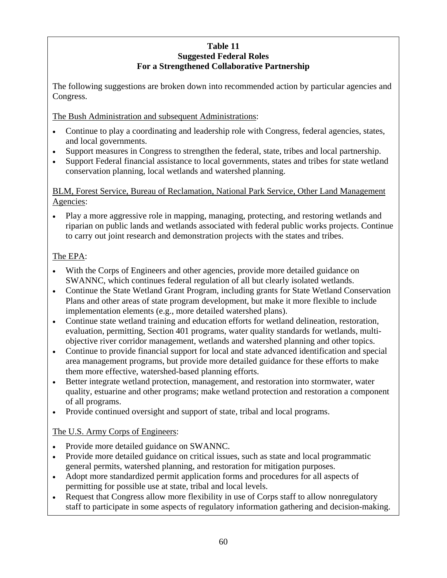# **Table 11 Suggested Federal Roles For a Strengthened Collaborative Partnership**

The following suggestions are broken down into recommended action by particular agencies and Congress.

The Bush Administration and subsequent Administrations:

- Continue to play a coordinating and leadership role with Congress, federal agencies, states, and local governments.
- Support measures in Congress to strengthen the federal, state, tribes and local partnership.
- Support Federal financial assistance to local governments, states and tribes for state wetland conservation planning, local wetlands and watershed planning.

# BLM, Forest Service, Bureau of Reclamation, National Park Service, Other Land Management Agencies:

• Play a more aggressive role in mapping, managing, protecting, and restoring wetlands and riparian on public lands and wetlands associated with federal public works projects. Continue to carry out joint research and demonstration projects with the states and tribes.

# The EPA:

- With the Corps of Engineers and other agencies, provide more detailed guidance on SWANNC, which continues federal regulation of all but clearly isolated wetlands.
- Continue the State Wetland Grant Program, including grants for State Wetland Conservation Plans and other areas of state program development, but make it more flexible to include implementation elements (e.g., more detailed watershed plans).
- Continue state wetland training and education efforts for wetland delineation, restoration, evaluation, permitting, Section 401 programs, water quality standards for wetlands, multiobjective river corridor management, wetlands and watershed planning and other topics.
- Continue to provide financial support for local and state advanced identification and special area management programs, but provide more detailed guidance for these efforts to make them more effective, watershed-based planning efforts.
- Better integrate wetland protection, management, and restoration into stormwater, water quality, estuarine and other programs; make wetland protection and restoration a component of all programs.
- Provide continued oversight and support of state, tribal and local programs.

# The U.S. Army Corps of Engineers:

- Provide more detailed guidance on SWANNC.
- Provide more detailed guidance on critical issues, such as state and local programmatic general permits, watershed planning, and restoration for mitigation purposes.
- Adopt more standardized permit application forms and procedures for all aspects of permitting for possible use at state, tribal and local levels.
- Request that Congress allow more flexibility in use of Corps staff to allow nonregulatory staff to participate in some aspects of regulatory information gathering and decision-making.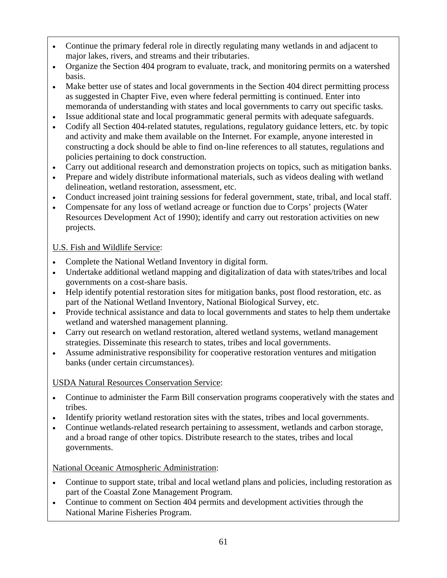- Continue the primary federal role in directly regulating many wetlands in and adjacent to major lakes, rivers, and streams and their tributaries.
- Organize the Section 404 program to evaluate, track, and monitoring permits on a watershed basis.
- Make better use of states and local governments in the Section 404 direct permitting process as suggested in Chapter Five, even where federal permitting is continued. Enter into memoranda of understanding with states and local governments to carry out specific tasks.
- Issue additional state and local programmatic general permits with adequate safeguards.
- Codify all Section 404-related statutes, regulations, regulatory guidance letters, etc. by topic and activity and make them available on the Internet. For example, anyone interested in constructing a dock should be able to find on-line references to all statutes, regulations and policies pertaining to dock construction.
- Carry out additional research and demonstration projects on topics, such as mitigation banks.
- Prepare and widely distribute informational materials, such as videos dealing with wetland delineation, wetland restoration, assessment, etc.
- Conduct increased joint training sessions for federal government, state, tribal, and local staff.
- Compensate for any loss of wetland acreage or function due to Corps' projects (Water Resources Development Act of 1990); identify and carry out restoration activities on new projects.

# U.S. Fish and Wildlife Service:

- Complete the National Wetland Inventory in digital form.
- Undertake additional wetland mapping and digitalization of data with states/tribes and local governments on a cost-share basis.
- Help identify potential restoration sites for mitigation banks, post flood restoration, etc. as part of the National Wetland Inventory, National Biological Survey, etc.
- Provide technical assistance and data to local governments and states to help them undertake wetland and watershed management planning.
- Carry out research on wetland restoration, altered wetland systems, wetland management strategies. Disseminate this research to states, tribes and local governments.
- Assume administrative responsibility for cooperative restoration ventures and mitigation banks (under certain circumstances).

# USDA Natural Resources Conservation Service:

- Continue to administer the Farm Bill conservation programs cooperatively with the states and tribes.
- Identify priority wetland restoration sites with the states, tribes and local governments.
- Continue wetlands-related research pertaining to assessment, wetlands and carbon storage, and a broad range of other topics. Distribute research to the states, tribes and local governments.

# National Oceanic Atmospheric Administration:

- Continue to support state, tribal and local wetland plans and policies, including restoration as part of the Coastal Zone Management Program.
- Continue to comment on Section 404 permits and development activities through the National Marine Fisheries Program.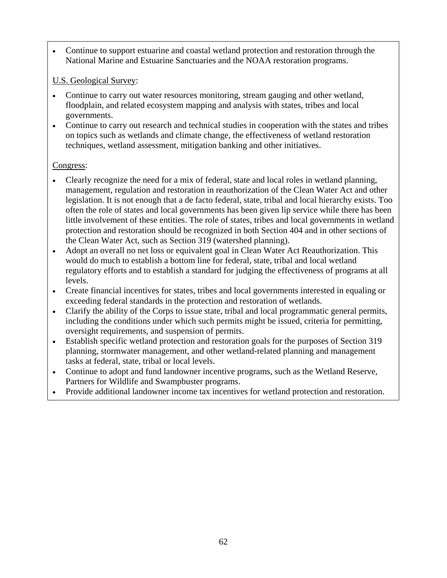• Continue to support estuarine and coastal wetland protection and restoration through the National Marine and Estuarine Sanctuaries and the NOAA restoration programs.

# U.S. Geological Survey:

- Continue to carry out water resources monitoring, stream gauging and other wetland, floodplain, and related ecosystem mapping and analysis with states, tribes and local governments.
- Continue to carry out research and technical studies in cooperation with the states and tribes on topics such as wetlands and climate change, the effectiveness of wetland restoration techniques, wetland assessment, mitigation banking and other initiatives.

# Congress:

- Clearly recognize the need for a mix of federal, state and local roles in wetland planning, management, regulation and restoration in reauthorization of the Clean Water Act and other legislation. It is not enough that a de facto federal, state, tribal and local hierarchy exists. Too often the role of states and local governments has been given lip service while there has been little involvement of these entities. The role of states, tribes and local governments in wetland protection and restoration should be recognized in both Section 404 and in other sections of the Clean Water Act, such as Section 319 (watershed planning).
- Adopt an overall no net loss or equivalent goal in Clean Water Act Reauthorization. This would do much to establish a bottom line for federal, state, tribal and local wetland regulatory efforts and to establish a standard for judging the effectiveness of programs at all levels.
- Create financial incentives for states, tribes and local governments interested in equaling or exceeding federal standards in the protection and restoration of wetlands.
- Clarify the ability of the Corps to issue state, tribal and local programmatic general permits, including the conditions under which such permits might be issued, criteria for permitting, oversight requirements, and suspension of permits.
- Establish specific wetland protection and restoration goals for the purposes of Section 319 planning, stormwater management, and other wetland-related planning and management tasks at federal, state, tribal or local levels.
- Continue to adopt and fund landowner incentive programs, such as the Wetland Reserve, Partners for Wildlife and Swampbuster programs.
- Provide additional landowner income tax incentives for wetland protection and restoration.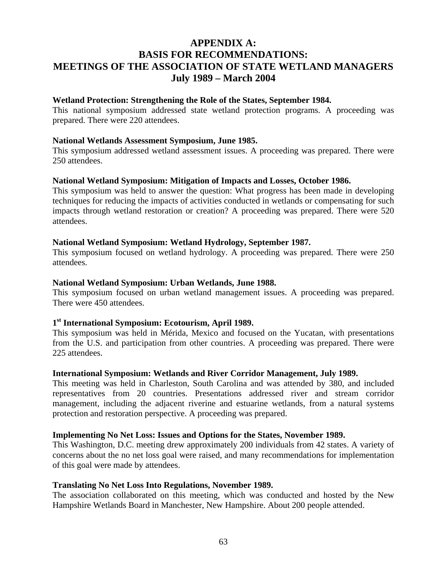# **APPENDIX A: BASIS FOR RECOMMENDATIONS: MEETINGS OF THE ASSOCIATION OF STATE WETLAND MANAGERS July 1989 – March 2004**

#### **Wetland Protection: Strengthening the Role of the States, September 1984.**

This national symposium addressed state wetland protection programs. A proceeding was prepared. There were 220 attendees.

#### **National Wetlands Assessment Symposium, June 1985.**

This symposium addressed wetland assessment issues. A proceeding was prepared. There were 250 attendees.

#### **National Wetland Symposium: Mitigation of Impacts and Losses, October 1986.**

This symposium was held to answer the question: What progress has been made in developing techniques for reducing the impacts of activities conducted in wetlands or compensating for such impacts through wetland restoration or creation? A proceeding was prepared. There were 520 attendees.

#### **National Wetland Symposium: Wetland Hydrology, September 1987.**

This symposium focused on wetland hydrology. A proceeding was prepared. There were 250 attendees.

#### **National Wetland Symposium: Urban Wetlands, June 1988.**

This symposium focused on urban wetland management issues. A proceeding was prepared. There were 450 attendees.

#### **1st International Symposium: Ecotourism, April 1989.**

This symposium was held in Mérida, Mexico and focused on the Yucatan, with presentations from the U.S. and participation from other countries. A proceeding was prepared. There were 225 attendees.

#### **International Symposium: Wetlands and River Corridor Management, July 1989.**

This meeting was held in Charleston, South Carolina and was attended by 380, and included representatives from 20 countries. Presentations addressed river and stream corridor management, including the adjacent riverine and estuarine wetlands, from a natural systems protection and restoration perspective. A proceeding was prepared.

#### **Implementing No Net Loss: Issues and Options for the States, November 1989.**

This Washington, D.C. meeting drew approximately 200 individuals from 42 states. A variety of concerns about the no net loss goal were raised, and many recommendations for implementation of this goal were made by attendees.

#### **Translating No Net Loss Into Regulations, November 1989.**

The association collaborated on this meeting, which was conducted and hosted by the New Hampshire Wetlands Board in Manchester, New Hampshire. About 200 people attended.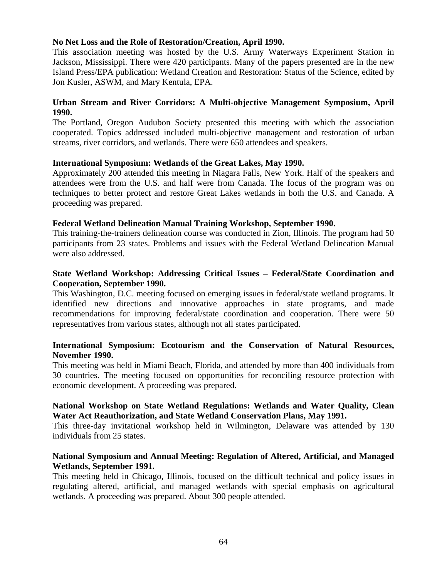## **No Net Loss and the Role of Restoration/Creation, April 1990.**

This association meeting was hosted by the U.S. Army Waterways Experiment Station in Jackson, Mississippi. There were 420 participants. Many of the papers presented are in the new Island Press/EPA publication: Wetland Creation and Restoration: Status of the Science, edited by Jon Kusler, ASWM, and Mary Kentula, EPA.

## **Urban Stream and River Corridors: A Multi-objective Management Symposium, April 1990.**

The Portland, Oregon Audubon Society presented this meeting with which the association cooperated. Topics addressed included multi-objective management and restoration of urban streams, river corridors, and wetlands. There were 650 attendees and speakers.

## **International Symposium: Wetlands of the Great Lakes, May 1990.**

Approximately 200 attended this meeting in Niagara Falls, New York. Half of the speakers and attendees were from the U.S. and half were from Canada. The focus of the program was on techniques to better protect and restore Great Lakes wetlands in both the U.S. and Canada. A proceeding was prepared.

## **Federal Wetland Delineation Manual Training Workshop, September 1990.**

This training-the-trainers delineation course was conducted in Zion, Illinois. The program had 50 participants from 23 states. Problems and issues with the Federal Wetland Delineation Manual were also addressed.

## **State Wetland Workshop: Addressing Critical Issues – Federal/State Coordination and Cooperation, September 1990.**

This Washington, D.C. meeting focused on emerging issues in federal/state wetland programs. It identified new directions and innovative approaches in state programs, and made recommendations for improving federal/state coordination and cooperation. There were 50 representatives from various states, although not all states participated.

## **International Symposium: Ecotourism and the Conservation of Natural Resources, November 1990.**

This meeting was held in Miami Beach, Florida, and attended by more than 400 individuals from 30 countries. The meeting focused on opportunities for reconciling resource protection with economic development. A proceeding was prepared.

## **National Workshop on State Wetland Regulations: Wetlands and Water Quality, Clean Water Act Reauthorization, and State Wetland Conservation Plans, May 1991.**

This three-day invitational workshop held in Wilmington, Delaware was attended by 130 individuals from 25 states.

## **National Symposium and Annual Meeting: Regulation of Altered, Artificial, and Managed Wetlands, September 1991.**

This meeting held in Chicago, Illinois, focused on the difficult technical and policy issues in regulating altered, artificial, and managed wetlands with special emphasis on agricultural wetlands. A proceeding was prepared. About 300 people attended.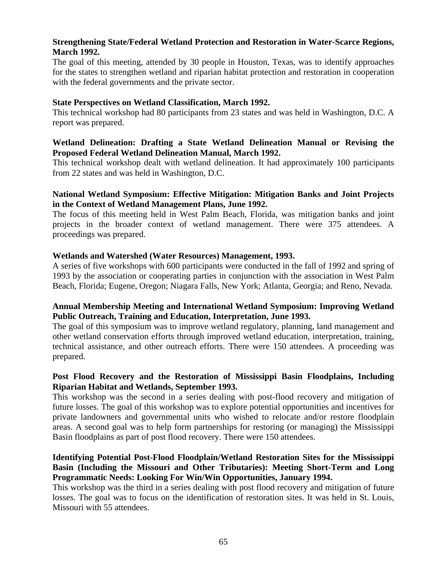## **Strengthening State/Federal Wetland Protection and Restoration in Water-Scarce Regions, March 1992.**

The goal of this meeting, attended by 30 people in Houston, Texas, was to identify approaches for the states to strengthen wetland and riparian habitat protection and restoration in cooperation with the federal governments and the private sector.

## **State Perspectives on Wetland Classification, March 1992.**

This technical workshop had 80 participants from 23 states and was held in Washington, D.C. A report was prepared.

## **Wetland Delineation: Drafting a State Wetland Delineation Manual or Revising the Proposed Federal Wetland Delineation Manual, March 1992.**

This technical workshop dealt with wetland delineation. It had approximately 100 participants from 22 states and was held in Washington, D.C.

## **National Wetland Symposium: Effective Mitigation: Mitigation Banks and Joint Projects in the Context of Wetland Management Plans, June 1992.**

The focus of this meeting held in West Palm Beach, Florida, was mitigation banks and joint projects in the broader context of wetland management. There were 375 attendees. A proceedings was prepared.

## **Wetlands and Watershed (Water Resources) Management, 1993.**

A series of five workshops with 600 participants were conducted in the fall of 1992 and spring of 1993 by the association or cooperating parties in conjunction with the association in West Palm Beach, Florida; Eugene, Oregon; Niagara Falls, New York; Atlanta, Georgia; and Reno, Nevada.

## **Annual Membership Meeting and International Wetland Symposium: Improving Wetland Public Outreach, Training and Education, Interpretation, June 1993.**

The goal of this symposium was to improve wetland regulatory, planning, land management and other wetland conservation efforts through improved wetland education, interpretation, training, technical assistance, and other outreach efforts. There were 150 attendees. A proceeding was prepared.

# **Post Flood Recovery and the Restoration of Mississippi Basin Floodplains, Including Riparian Habitat and Wetlands, September 1993.**

This workshop was the second in a series dealing with post-flood recovery and mitigation of future losses. The goal of this workshop was to explore potential opportunities and incentives for private landowners and governmental units who wished to relocate and/or restore floodplain areas. A second goal was to help form partnerships for restoring (or managing) the Mississippi Basin floodplains as part of post flood recovery. There were 150 attendees.

## **Identifying Potential Post-Flood Floodplain/Wetland Restoration Sites for the Mississippi Basin (Including the Missouri and Other Tributaries): Meeting Short-Term and Long Programmatic Needs: Looking For Win/Win Opportunities, January 1994.**

This workshop was the third in a series dealing with post flood recovery and mitigation of future losses. The goal was to focus on the identification of restoration sites. It was held in St. Louis, Missouri with 55 attendees.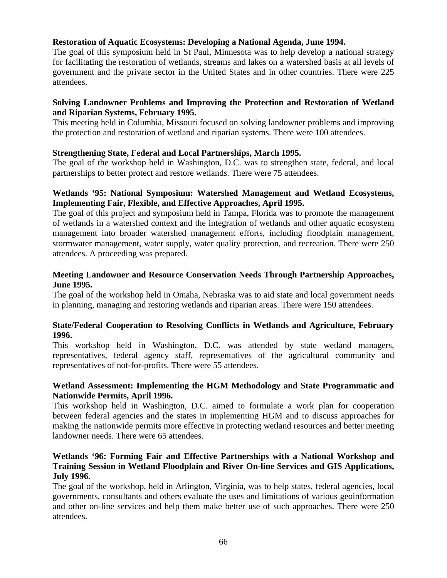## **Restoration of Aquatic Ecosystems: Developing a National Agenda, June 1994.**

The goal of this symposium held in St Paul, Minnesota was to help develop a national strategy for facilitating the restoration of wetlands, streams and lakes on a watershed basis at all levels of government and the private sector in the United States and in other countries. There were 225 attendees.

## **Solving Landowner Problems and Improving the Protection and Restoration of Wetland and Riparian Systems, February 1995.**

This meeting held in Columbia, Missouri focused on solving landowner problems and improving the protection and restoration of wetland and riparian systems. There were 100 attendees.

## **Strengthening State, Federal and Local Partnerships, March 1995.**

The goal of the workshop held in Washington, D.C. was to strengthen state, federal, and local partnerships to better protect and restore wetlands. There were 75 attendees.

## **Wetlands '95: National Symposium: Watershed Management and Wetland Ecosystems, Implementing Fair, Flexible, and Effective Approaches, April 1995.**

The goal of this project and symposium held in Tampa, Florida was to promote the management of wetlands in a watershed context and the integration of wetlands and other aquatic ecosystem management into broader watershed management efforts, including floodplain management, stormwater management, water supply, water quality protection, and recreation. There were 250 attendees. A proceeding was prepared.

## **Meeting Landowner and Resource Conservation Needs Through Partnership Approaches, June 1995.**

The goal of the workshop held in Omaha, Nebraska was to aid state and local government needs in planning, managing and restoring wetlands and riparian areas. There were 150 attendees.

## **State/Federal Cooperation to Resolving Conflicts in Wetlands and Agriculture, February 1996.**

This workshop held in Washington, D.C. was attended by state wetland managers, representatives, federal agency staff, representatives of the agricultural community and representatives of not-for-profits. There were 55 attendees.

## **Wetland Assessment: Implementing the HGM Methodology and State Programmatic and Nationwide Permits, April 1996.**

This workshop held in Washington, D.C. aimed to formulate a work plan for cooperation between federal agencies and the states in implementing HGM and to discuss approaches for making the nationwide permits more effective in protecting wetland resources and better meeting landowner needs. There were 65 attendees.

## **Wetlands '96: Forming Fair and Effective Partnerships with a National Workshop and Training Session in Wetland Floodplain and River On-line Services and GIS Applications, July 1996.**

The goal of the workshop, held in Arlington, Virginia, was to help states, federal agencies, local governments, consultants and others evaluate the uses and limitations of various geoinformation and other on-line services and help them make better use of such approaches. There were 250 attendees.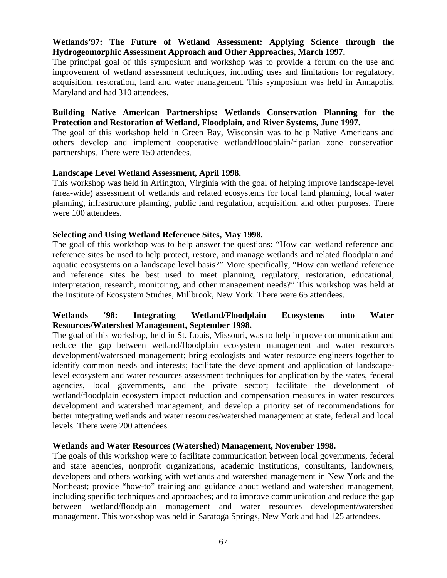# **Wetlands'97: The Future of Wetland Assessment: Applying Science through the Hydrogeomorphic Assessment Approach and Other Approaches, March 1997.**

The principal goal of this symposium and workshop was to provide a forum on the use and improvement of wetland assessment techniques, including uses and limitations for regulatory, acquisition, restoration, land and water management. This symposium was held in Annapolis, Maryland and had 310 attendees.

## **Building Native American Partnerships: Wetlands Conservation Planning for the Protection and Restoration of Wetland, Floodplain, and River Systems, June 1997.**

The goal of this workshop held in Green Bay, Wisconsin was to help Native Americans and others develop and implement cooperative wetland/floodplain/riparian zone conservation partnerships. There were 150 attendees.

## **Landscape Level Wetland Assessment, April 1998.**

This workshop was held in Arlington, Virginia with the goal of helping improve landscape-level (area-wide) assessment of wetlands and related ecosystems for local land planning, local water planning, infrastructure planning, public land regulation, acquisition, and other purposes. There were 100 attendees.

## **Selecting and Using Wetland Reference Sites, May 1998.**

The goal of this workshop was to help answer the questions: "How can wetland reference and reference sites be used to help protect, restore, and manage wetlands and related floodplain and aquatic ecosystems on a landscape level basis?" More specifically, "How can wetland reference and reference sites be best used to meet planning, regulatory, restoration, educational, interpretation, research, monitoring, and other management needs?" This workshop was held at the Institute of Ecosystem Studies, Millbrook, New York. There were 65 attendees.

## **Wetlands '98: Integrating Wetland/Floodplain Ecosystems into Water Resources/Watershed Management, September 1998.**

The goal of this workshop, held in St. Louis, Missouri, was to help improve communication and reduce the gap between wetland/floodplain ecosystem management and water resources development/watershed management; bring ecologists and water resource engineers together to identify common needs and interests; facilitate the development and application of landscapelevel ecosystem and water resources assessment techniques for application by the states, federal agencies, local governments, and the private sector; facilitate the development of wetland/floodplain ecosystem impact reduction and compensation measures in water resources development and watershed management; and develop a priority set of recommendations for better integrating wetlands and water resources/watershed management at state, federal and local levels. There were 200 attendees.

## **Wetlands and Water Resources (Watershed) Management, November 1998.**

The goals of this workshop were to facilitate communication between local governments, federal and state agencies, nonprofit organizations, academic institutions, consultants, landowners, developers and others working with wetlands and watershed management in New York and the Northeast; provide "how-to" training and guidance about wetland and watershed management, including specific techniques and approaches; and to improve communication and reduce the gap between wetland/floodplain management and water resources development/watershed management. This workshop was held in Saratoga Springs, New York and had 125 attendees.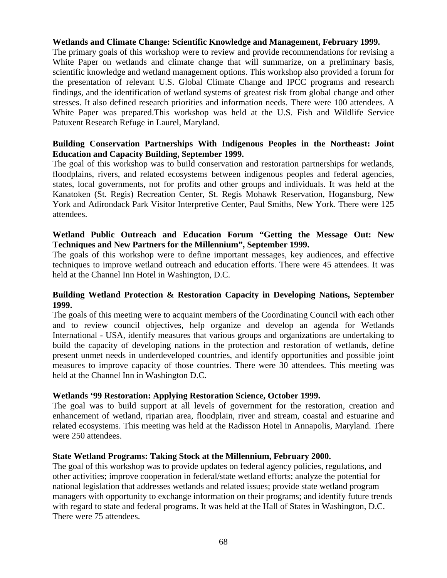## **Wetlands and Climate Change: Scientific Knowledge and Management, February 1999.**

The primary goals of this workshop were to review and provide recommendations for revising a White Paper on wetlands and climate change that will summarize, on a preliminary basis, scientific knowledge and wetland management options. This workshop also provided a forum for the presentation of relevant U.S. Global Climate Change and IPCC programs and research findings, and the identification of wetland systems of greatest risk from global change and other stresses. It also defined research priorities and information needs. There were 100 attendees. A White Paper was prepared.This workshop was held at the U.S. Fish and Wildlife Service Patuxent Research Refuge in Laurel, Maryland.

## **Building Conservation Partnerships With Indigenous Peoples in the Northeast: Joint Education and Capacity Building, September 1999.**

The goal of this workshop was to build conservation and restoration partnerships for wetlands, floodplains, rivers, and related ecosystems between indigenous peoples and federal agencies, states, local governments, not for profits and other groups and individuals. It was held at the Kanatoken (St. Regis) Recreation Center, St. Regis Mohawk Reservation, Hogansburg, New York and Adirondack Park Visitor Interpretive Center, Paul Smiths, New York. There were 125 attendees.

## **Wetland Public Outreach and Education Forum "Getting the Message Out: New Techniques and New Partners for the Millennium", September 1999.**

The goals of this workshop were to define important messages, key audiences, and effective techniques to improve wetland outreach and education efforts. There were 45 attendees. It was held at the Channel Inn Hotel in Washington, D.C.

## **Building Wetland Protection & Restoration Capacity in Developing Nations, September 1999.**

The goals of this meeting were to acquaint members of the Coordinating Council with each other and to review council objectives, help organize and develop an agenda for Wetlands International - USA, identify measures that various groups and organizations are undertaking to build the capacity of developing nations in the protection and restoration of wetlands, define present unmet needs in underdeveloped countries, and identify opportunities and possible joint measures to improve capacity of those countries. There were 30 attendees. This meeting was held at the Channel Inn in Washington D.C.

## **Wetlands '99 Restoration: Applying Restoration Science, October 1999.**

The goal was to build support at all levels of government for the restoration, creation and enhancement of wetland, riparian area, floodplain, river and stream, coastal and estuarine and related ecosystems. This meeting was held at the Radisson Hotel in Annapolis, Maryland. There were 250 attendees.

## **State Wetland Programs: Taking Stock at the Millennium, February 2000.**

The goal of this workshop was to provide updates on federal agency policies, regulations, and other activities; improve cooperation in federal/state wetland efforts; analyze the potential for national legislation that addresses wetlands and related issues; provide state wetland program managers with opportunity to exchange information on their programs; and identify future trends with regard to state and federal programs. It was held at the Hall of States in Washington, D.C. There were 75 attendees.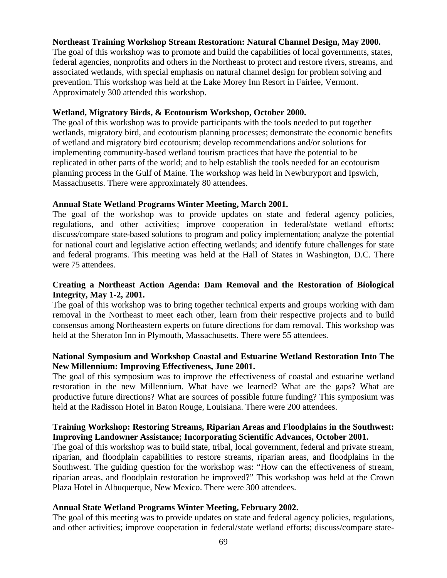## **Northeast Training Workshop Stream Restoration: Natural Channel Design, May 2000.**

The goal of this workshop was to promote and build the capabilities of local governments, states, federal agencies, nonprofits and others in the Northeast to protect and restore rivers, streams, and associated wetlands, with special emphasis on natural channel design for problem solving and prevention. This workshop was held at the Lake Morey Inn Resort in Fairlee, Vermont. Approximately 300 attended this workshop.

## **Wetland, Migratory Birds, & Ecotourism Workshop, October 2000.**

The goal of this workshop was to provide participants with the tools needed to put together wetlands, migratory bird, and ecotourism planning processes; demonstrate the economic benefits of wetland and migratory bird ecotourism; develop recommendations and/or solutions for implementing community-based wetland tourism practices that have the potential to be replicated in other parts of the world; and to help establish the tools needed for an ecotourism planning process in the Gulf of Maine. The workshop was held in Newburyport and Ipswich, Massachusetts. There were approximately 80 attendees.

## **Annual State Wetland Programs Winter Meeting, March 2001.**

The goal of the workshop was to provide updates on state and federal agency policies, regulations, and other activities; improve cooperation in federal/state wetland efforts; discuss/compare state-based solutions to program and policy implementation; analyze the potential for national court and legislative action effecting wetlands; and identify future challenges for state and federal programs. This meeting was held at the Hall of States in Washington, D.C. There were 75 attendees.

## **Creating a Northeast Action Agenda: Dam Removal and the Restoration of Biological Integrity, May 1-2, 2001.**

The goal of this workshop was to bring together technical experts and groups working with dam removal in the Northeast to meet each other, learn from their respective projects and to build consensus among Northeastern experts on future directions for dam removal. This workshop was held at the Sheraton Inn in Plymouth, Massachusetts. There were 55 attendees.

## **National Symposium and Workshop Coastal and Estuarine Wetland Restoration Into The New Millennium: Improving Effectiveness, June 2001.**

The goal of this symposium was to improve the effectiveness of coastal and estuarine wetland restoration in the new Millennium. What have we learned? What are the gaps? What are productive future directions? What are sources of possible future funding? This symposium was held at the Radisson Hotel in Baton Rouge, Louisiana. There were 200 attendees.

## **Training Workshop: Restoring Streams, Riparian Areas and Floodplains in the Southwest: Improving Landowner Assistance; Incorporating Scientific Advances, October 2001.**

The goal of this workshop was to build state, tribal, local government, federal and private stream, riparian, and floodplain capabilities to restore streams, riparian areas, and floodplains in the Southwest. The guiding question for the workshop was: "How can the effectiveness of stream, riparian areas, and floodplain restoration be improved?" This workshop was held at the Crown Plaza Hotel in Albuquerque, New Mexico. There were 300 attendees.

## **Annual State Wetland Programs Winter Meeting, February 2002.**

The goal of this meeting was to provide updates on state and federal agency policies, regulations, and other activities; improve cooperation in federal/state wetland efforts; discuss/compare state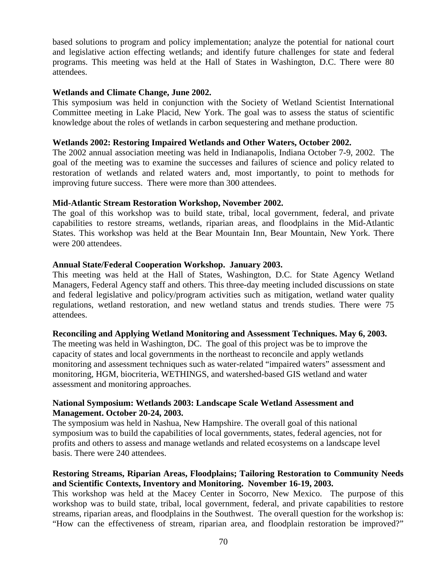based solutions to program and policy implementation; analyze the potential for national court and legislative action effecting wetlands; and identify future challenges for state and federal programs. This meeting was held at the Hall of States in Washington, D.C. There were 80 attendees.

#### **Wetlands and Climate Change, June 2002.**

This symposium was held in conjunction with the Society of Wetland Scientist International Committee meeting in Lake Placid, New York. The goal was to assess the status of scientific knowledge about the roles of wetlands in carbon sequestering and methane production.

#### **Wetlands 2002: Restoring Impaired Wetlands and Other Waters, October 2002.**

The 2002 annual association meeting was held in Indianapolis, Indiana October 7-9, 2002. The goal of the meeting was to examine the successes and failures of science and policy related to restoration of wetlands and related waters and, most importantly, to point to methods for improving future success. There were more than 300 attendees.

#### **Mid-Atlantic Stream Restoration Workshop, November 2002.**

The goal of this workshop was to build state, tribal, local government, federal, and private capabilities to restore streams, wetlands, riparian areas, and floodplains in the Mid-Atlantic States. This workshop was held at the Bear Mountain Inn, Bear Mountain, New York. There were 200 attendees.

#### **Annual State/Federal Cooperation Workshop. January 2003.**

This meeting was held at the Hall of States, Washington, D.C. for State Agency Wetland Managers, Federal Agency staff and others. This three-day meeting included discussions on state and federal legislative and policy/program activities such as mitigation, wetland water quality regulations, wetland restoration, and new wetland status and trends studies. There were 75 attendees.

#### **Reconciling and Applying Wetland Monitoring and Assessment Techniques. May 6, 2003.**

The meeting was held in Washington, DC. The goal of this project was be to improve the capacity of states and local governments in the northeast to reconcile and apply wetlands monitoring and assessment techniques such as water-related "impaired waters" assessment and monitoring, HGM, biocriteria, WETHINGS, and watershed-based GIS wetland and water assessment and monitoring approaches.

#### **National Symposium: Wetlands 2003: Landscape Scale Wetland Assessment and Management. October 20-24, 2003.**

The symposium was held in Nashua, New Hampshire. The overall goal of this national symposium was to build the capabilities of local governments, states, federal agencies, not for profits and others to assess and manage wetlands and related ecosystems on a landscape level basis. There were 240 attendees.

# **Restoring Streams, Riparian Areas, Floodplains; Tailoring Restoration to Community Needs and Scientific Contexts, Inventory and Monitoring. November 16-19, 2003.**

This workshop was held at the Macey Center in Socorro, New Mexico. The purpose of this workshop was to build state, tribal, local government, federal, and private capabilities to restore streams, riparian areas, and floodplains in the Southwest. The overall question for the workshop is: "How can the effectiveness of stream, riparian area, and floodplain restoration be improved?"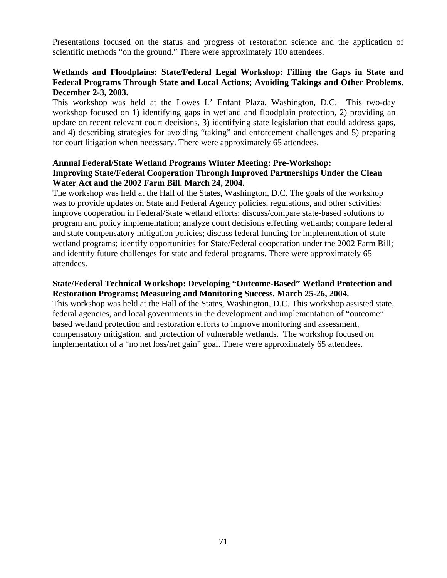Presentations focused on the status and progress of restoration science and the application of scientific methods "on the ground." There were approximately 100 attendees.

## **Wetlands and Floodplains: State/Federal Legal Workshop: Filling the Gaps in State and Federal Programs Through State and Local Actions; Avoiding Takings and Other Problems. December 2-3, 2003.**

This workshop was held at the Lowes L' Enfant Plaza, Washington, D.C. This two-day workshop focused on 1) identifying gaps in wetland and floodplain protection, 2) providing an update on recent relevant court decisions, 3) identifying state legislation that could address gaps, and 4) describing strategies for avoiding "taking" and enforcement challenges and 5) preparing for court litigation when necessary. There were approximately 65 attendees.

## **Annual Federal/State Wetland Programs Winter Meeting: Pre-Workshop: Improving State/Federal Cooperation Through Improved Partnerships Under the Clean Water Act and the 2002 Farm Bill. March 24, 2004.**

The workshop was held at the Hall of the States, Washington, D.C. The goals of the workshop was to provide updates on State and Federal Agency policies, regulations, and other sctivities; improve cooperation in Federal/State wetland efforts; discuss/compare state-based solutions to program and policy implementation; analyze court decisions effecting wetlands; compare federal and state compensatory mitigation policies; discuss federal funding for implementation of state wetland programs; identify opportunities for State/Federal cooperation under the 2002 Farm Bill; and identify future challenges for state and federal programs. There were approximately 65 attendees.

## **State/Federal Technical Workshop: Developing "Outcome-Based" Wetland Protection and Restoration Programs; Measuring and Monitoring Success. March 25-26, 2004.**

This workshop was held at the Hall of the States, Washington, D.C. This workshop assisted state, federal agencies, and local governments in the development and implementation of "outcome" based wetland protection and restoration efforts to improve monitoring and assessment, compensatory mitigation, and protection of vulnerable wetlands. The workshop focused on implementation of a "no net loss/net gain" goal. There were approximately 65 attendees.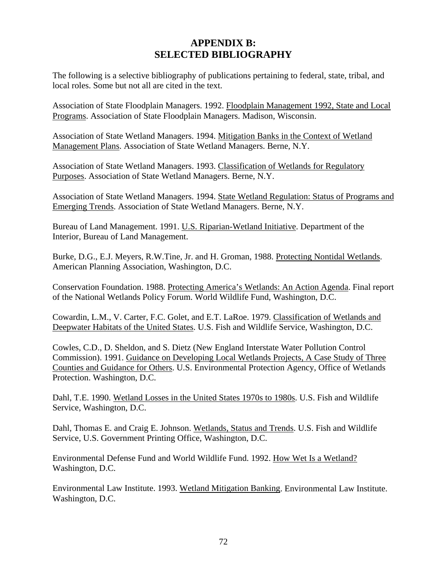# **APPENDIX B: SELECTED BIBLIOGRAPHY**

The following is a selective bibliography of publications pertaining to federal, state, tribal, and local roles. Some but not all are cited in the text.

Association of State Floodplain Managers. 1992. Floodplain Management 1992, State and Local Programs. Association of State Floodplain Managers. Madison, Wisconsin.

Association of State Wetland Managers. 1994. Mitigation Banks in the Context of Wetland Management Plans. Association of State Wetland Managers. Berne, N.Y.

Association of State Wetland Managers. 1993. Classification of Wetlands for Regulatory Purposes. Association of State Wetland Managers. Berne, N.Y.

Association of State Wetland Managers. 1994. State Wetland Regulation: Status of Programs and Emerging Trends. Association of State Wetland Managers. Berne, N.Y.

Bureau of Land Management. 1991. U.S. Riparian-Wetland Initiative. Department of the Interior, Bureau of Land Management.

Burke, D.G., E.J. Meyers, R.W.Tine, Jr. and H. Groman, 1988. Protecting Nontidal Wetlands. American Planning Association, Washington, D.C.

Conservation Foundation. 1988. Protecting America's Wetlands: An Action Agenda. Final report of the National Wetlands Policy Forum. World Wildlife Fund, Washington, D.C.

Cowardin, L.M., V. Carter, F.C. Golet, and E.T. LaRoe. 1979. Classification of Wetlands and Deepwater Habitats of the United States. U.S. Fish and Wildlife Service, Washington, D.C.

Cowles, C.D., D. Sheldon, and S. Dietz (New England Interstate Water Pollution Control Commission). 1991. Guidance on Developing Local Wetlands Projects, A Case Study of Three Counties and Guidance for Others. U.S. Environmental Protection Agency, Office of Wetlands Protection. Washington, D.C.

Dahl, T.E. 1990. Wetland Losses in the United States 1970s to 1980s. U.S. Fish and Wildlife Service, Washington, D.C.

Dahl, Thomas E. and Craig E. Johnson. Wetlands, Status and Trends. U.S. Fish and Wildlife Service, U.S. Government Printing Office, Washington, D.C.

Environmental Defense Fund and World Wildlife Fund. 1992. How Wet Is a Wetland? Washington, D.C.

Environmental Law Institute. 1993. Wetland Mitigation Banking. Environmental Law Institute. Washington, D.C.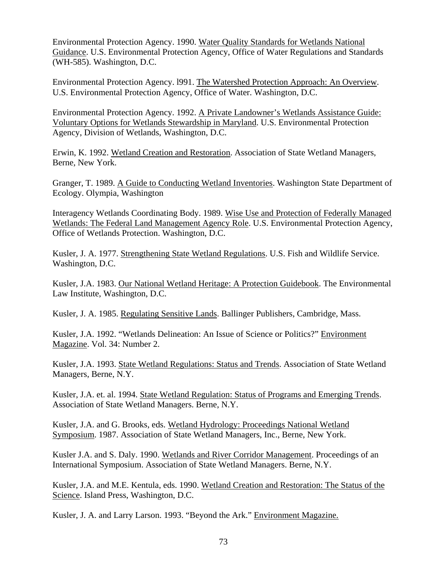Environmental Protection Agency. 1990. Water Quality Standards for Wetlands National Guidance. U.S. Environmental Protection Agency, Office of Water Regulations and Standards (WH-585). Washington, D.C.

Environmental Protection Agency. l991. The Watershed Protection Approach: An Overview. U.S. Environmental Protection Agency, Office of Water. Washington, D.C.

Environmental Protection Agency. 1992. A Private Landowner's Wetlands Assistance Guide: Voluntary Options for Wetlands Stewardship in Maryland. U.S. Environmental Protection Agency, Division of Wetlands, Washington, D.C.

Erwin, K. 1992. Wetland Creation and Restoration. Association of State Wetland Managers, Berne, New York.

Granger, T. 1989. A Guide to Conducting Wetland Inventories. Washington State Department of Ecology. Olympia, Washington

Interagency Wetlands Coordinating Body. 1989. Wise Use and Protection of Federally Managed Wetlands: The Federal Land Management Agency Role. U.S. Environmental Protection Agency, Office of Wetlands Protection. Washington, D.C.

Kusler, J. A. 1977. Strengthening State Wetland Regulations. U.S. Fish and Wildlife Service. Washington, D.C.

Kusler, J.A. 1983. Our National Wetland Heritage: A Protection Guidebook. The Environmental Law Institute, Washington, D.C.

Kusler, J. A. 1985. Regulating Sensitive Lands. Ballinger Publishers, Cambridge, Mass.

Kusler, J.A. 1992. "Wetlands Delineation: An Issue of Science or Politics?" Environment Magazine. Vol. 34: Number 2.

Kusler, J.A. 1993. State Wetland Regulations: Status and Trends. Association of State Wetland Managers, Berne, N.Y.

Kusler, J.A. et. al. 1994. State Wetland Regulation: Status of Programs and Emerging Trends. Association of State Wetland Managers. Berne, N.Y.

Kusler, J.A. and G. Brooks, eds. Wetland Hydrology: Proceedings National Wetland Symposium. 1987. Association of State Wetland Managers, Inc., Berne, New York.

Kusler J.A. and S. Daly. 1990. Wetlands and River Corridor Management. Proceedings of an International Symposium. Association of State Wetland Managers. Berne, N.Y.

Kusler, J.A. and M.E. Kentula, eds. 1990. Wetland Creation and Restoration: The Status of the Science. Island Press, Washington, D.C.

Kusler, J. A. and Larry Larson. 1993. "Beyond the Ark." Environment Magazine.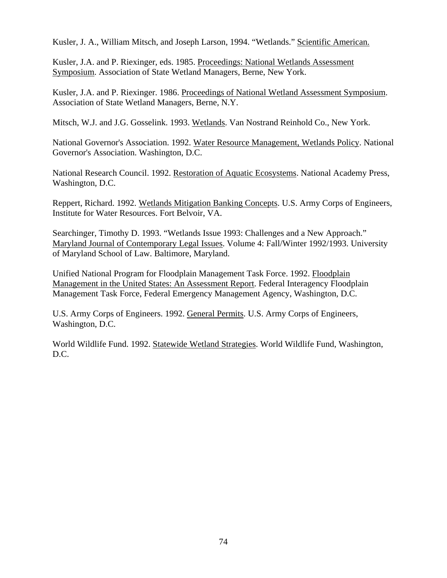Kusler, J. A., William Mitsch, and Joseph Larson, 1994. "Wetlands." Scientific American.

Kusler, J.A. and P. Riexinger, eds. 1985. Proceedings: National Wetlands Assessment Symposium. Association of State Wetland Managers, Berne, New York.

Kusler, J.A. and P. Riexinger. 1986. Proceedings of National Wetland Assessment Symposium. Association of State Wetland Managers, Berne, N.Y.

Mitsch, W.J. and J.G. Gosselink. 1993. Wetlands. Van Nostrand Reinhold Co., New York.

National Governor's Association. 1992. Water Resource Management, Wetlands Policy. National Governor's Association. Washington, D.C.

National Research Council. 1992. Restoration of Aquatic Ecosystems. National Academy Press, Washington, D.C.

Reppert, Richard. 1992. Wetlands Mitigation Banking Concepts. U.S. Army Corps of Engineers, Institute for Water Resources. Fort Belvoir, VA.

Searchinger, Timothy D. 1993. "Wetlands Issue 1993: Challenges and a New Approach." Maryland Journal of Contemporary Legal Issues. Volume 4: Fall/Winter 1992/1993. University of Maryland School of Law. Baltimore, Maryland.

Unified National Program for Floodplain Management Task Force. 1992. Floodplain Management in the United States: An Assessment Report. Federal Interagency Floodplain Management Task Force, Federal Emergency Management Agency, Washington, D.C.

U.S. Army Corps of Engineers. 1992. General Permits. U.S. Army Corps of Engineers, Washington, D.C.

World Wildlife Fund. 1992. Statewide Wetland Strategies. World Wildlife Fund, Washington, D.C.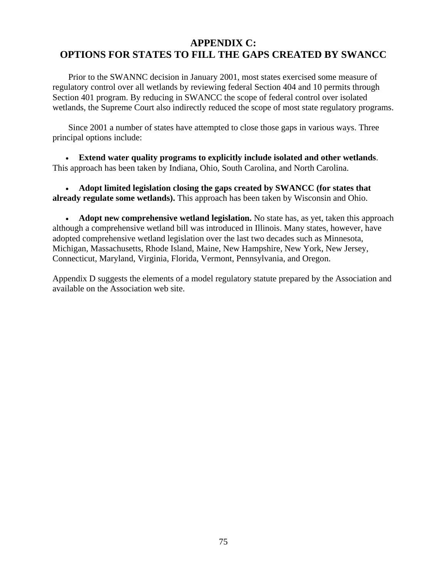# **APPENDIX C: OPTIONS FOR STATES TO FILL THE GAPS CREATED BY SWANCC**

 Prior to the SWANNC decision in January 2001, most states exercised some measure of regulatory control over all wetlands by reviewing federal Section 404 and 10 permits through Section 401 program. By reducing in SWANCC the scope of federal control over isolated wetlands, the Supreme Court also indirectly reduced the scope of most state regulatory programs.

 Since 2001 a number of states have attempted to close those gaps in various ways. Three principal options include:

• **Extend water quality programs to explicitly include isolated and other wetlands**. This approach has been taken by Indiana, Ohio, South Carolina, and North Carolina.

• **Adopt limited legislation closing the gaps created by SWANCC (for states that already regulate some wetlands).** This approach has been taken by Wisconsin and Ohio.

• **Adopt new comprehensive wetland legislation.** No state has, as yet, taken this approach although a comprehensive wetland bill was introduced in Illinois. Many states, however, have adopted comprehensive wetland legislation over the last two decades such as Minnesota, Michigan, Massachusetts, Rhode Island, Maine, New Hampshire, New York, New Jersey, Connecticut, Maryland, Virginia, Florida, Vermont, Pennsylvania, and Oregon.

Appendix D suggests the elements of a model regulatory statute prepared by the Association and available on the Association web site.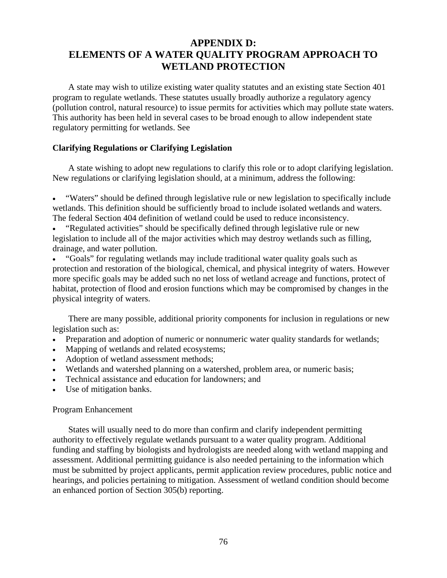# **APPENDIX D: ELEMENTS OF A WATER QUALITY PROGRAM APPROACH TO WETLAND PROTECTION**

A state may wish to utilize existing water quality statutes and an existing state Section 401 program to regulate wetlands. These statutes usually broadly authorize a regulatory agency (pollution control, natural resource) to issue permits for activities which may pollute state waters. This authority has been held in several cases to be broad enough to allow independent state regulatory permitting for wetlands. See

## **Clarifying Regulations or Clarifying Legislation**

A state wishing to adopt new regulations to clarify this role or to adopt clarifying legislation. New regulations or clarifying legislation should, at a minimum, address the following:

• "Waters" should be defined through legislative rule or new legislation to specifically include wetlands. This definition should be sufficiently broad to include isolated wetlands and waters. The federal Section 404 definition of wetland could be used to reduce inconsistency.

• "Regulated activities" should be specifically defined through legislative rule or new legislation to include all of the major activities which may destroy wetlands such as filling, drainage, and water pollution.

• "Goals" for regulating wetlands may include traditional water quality goals such as protection and restoration of the biological, chemical, and physical integrity of waters. However more specific goals may be added such no net loss of wetland acreage and functions, protect of habitat, protection of flood and erosion functions which may be compromised by changes in the physical integrity of waters.

There are many possible, additional priority components for inclusion in regulations or new legislation such as:

- Preparation and adoption of numeric or nonnumeric water quality standards for wetlands;
- Mapping of wetlands and related ecosystems;
- Adoption of wetland assessment methods;
- Wetlands and watershed planning on a watershed, problem area, or numeric basis;
- Technical assistance and education for landowners; and
- Use of mitigation banks.

## Program Enhancement

States will usually need to do more than confirm and clarify independent permitting authority to effectively regulate wetlands pursuant to a water quality program. Additional funding and staffing by biologists and hydrologists are needed along with wetland mapping and assessment. Additional permitting guidance is also needed pertaining to the information which must be submitted by project applicants, permit application review procedures, public notice and hearings, and policies pertaining to mitigation. Assessment of wetland condition should become an enhanced portion of Section 305(b) reporting.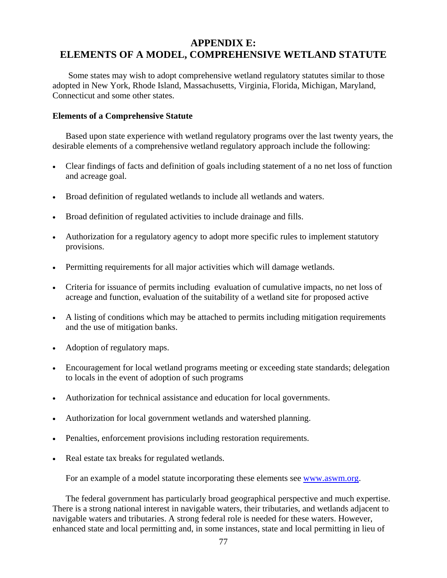# **APPENDIX E: ELEMENTS OF A MODEL, COMPREHENSIVE WETLAND STATUTE**

Some states may wish to adopt comprehensive wetland regulatory statutes similar to those adopted in New York, Rhode Island, Massachusetts, Virginia, Florida, Michigan, Maryland, Connecticut and some other states.

#### **Elements of a Comprehensive Statute**

Based upon state experience with wetland regulatory programs over the last twenty years, the desirable elements of a comprehensive wetland regulatory approach include the following:

- Clear findings of facts and definition of goals including statement of a no net loss of function and acreage goal.
- Broad definition of regulated wetlands to include all wetlands and waters.
- Broad definition of regulated activities to include drainage and fills.
- Authorization for a regulatory agency to adopt more specific rules to implement statutory provisions.
- Permitting requirements for all major activities which will damage wetlands.
- Criteria for issuance of permits including evaluation of cumulative impacts, no net loss of acreage and function, evaluation of the suitability of a wetland site for proposed active
- A listing of conditions which may be attached to permits including mitigation requirements and the use of mitigation banks.
- Adoption of regulatory maps.
- Encouragement for local wetland programs meeting or exceeding state standards; delegation to locals in the event of adoption of such programs
- Authorization for technical assistance and education for local governments.
- Authorization for local government wetlands and watershed planning.
- Penalties, enforcement provisions including restoration requirements.
- Real estate tax breaks for regulated wetlands.

For an example of a model statute incorporating these elements see [www.aswm.org.](http://www.aswm.org/)

The federal government has particularly broad geographical perspective and much expertise. There is a strong national interest in navigable waters, their tributaries, and wetlands adjacent to navigable waters and tributaries. A strong federal role is needed for these waters. However, enhanced state and local permitting and, in some instances, state and local permitting in lieu of